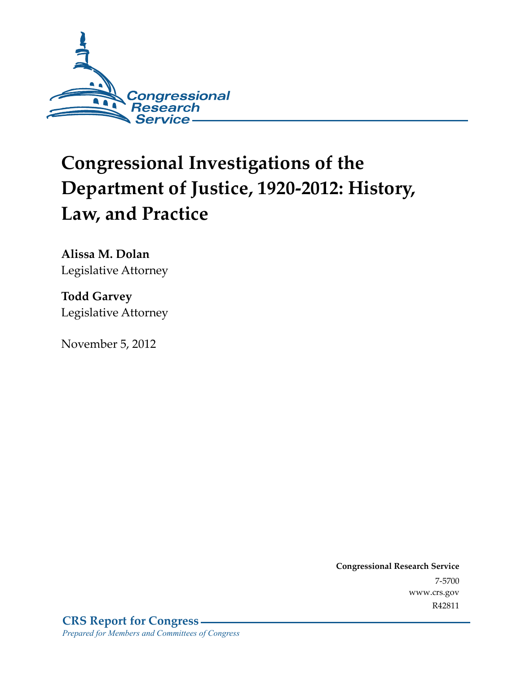

# **Congressional Investigations of the Department of Justice, 1920-2012: History, Law, and Practice**

**Alissa M. Dolan**  Legislative Attorney

**Todd Garvey**  Legislative Attorney

November 5, 2012

**Congressional Research Service**  7-5700 www.crs.gov R42811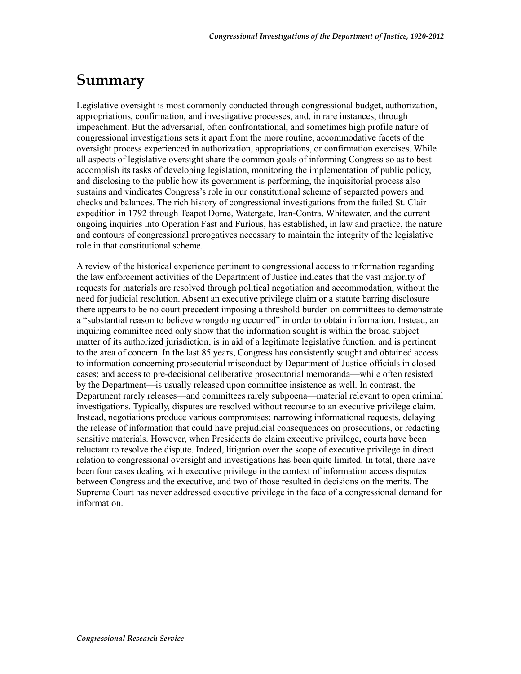### **Summary**

Legislative oversight is most commonly conducted through congressional budget, authorization, appropriations, confirmation, and investigative processes, and, in rare instances, through impeachment. But the adversarial, often confrontational, and sometimes high profile nature of congressional investigations sets it apart from the more routine, accommodative facets of the oversight process experienced in authorization, appropriations, or confirmation exercises. While all aspects of legislative oversight share the common goals of informing Congress so as to best accomplish its tasks of developing legislation, monitoring the implementation of public policy, and disclosing to the public how its government is performing, the inquisitorial process also sustains and vindicates Congress's role in our constitutional scheme of separated powers and checks and balances. The rich history of congressional investigations from the failed St. Clair expedition in 1792 through Teapot Dome, Watergate, Iran-Contra, Whitewater, and the current ongoing inquiries into Operation Fast and Furious, has established, in law and practice, the nature and contours of congressional prerogatives necessary to maintain the integrity of the legislative role in that constitutional scheme.

A review of the historical experience pertinent to congressional access to information regarding the law enforcement activities of the Department of Justice indicates that the vast majority of requests for materials are resolved through political negotiation and accommodation, without the need for judicial resolution. Absent an executive privilege claim or a statute barring disclosure there appears to be no court precedent imposing a threshold burden on committees to demonstrate a "substantial reason to believe wrongdoing occurred" in order to obtain information. Instead, an inquiring committee need only show that the information sought is within the broad subject matter of its authorized jurisdiction, is in aid of a legitimate legislative function, and is pertinent to the area of concern. In the last 85 years, Congress has consistently sought and obtained access to information concerning prosecutorial misconduct by Department of Justice officials in closed cases; and access to pre-decisional deliberative prosecutorial memoranda—while often resisted by the Department—is usually released upon committee insistence as well. In contrast, the Department rarely releases—and committees rarely subpoena—material relevant to open criminal investigations. Typically, disputes are resolved without recourse to an executive privilege claim. Instead, negotiations produce various compromises: narrowing informational requests, delaying the release of information that could have prejudicial consequences on prosecutions, or redacting sensitive materials. However, when Presidents do claim executive privilege, courts have been reluctant to resolve the dispute. Indeed, litigation over the scope of executive privilege in direct relation to congressional oversight and investigations has been quite limited. In total, there have been four cases dealing with executive privilege in the context of information access disputes between Congress and the executive, and two of those resulted in decisions on the merits. The Supreme Court has never addressed executive privilege in the face of a congressional demand for information.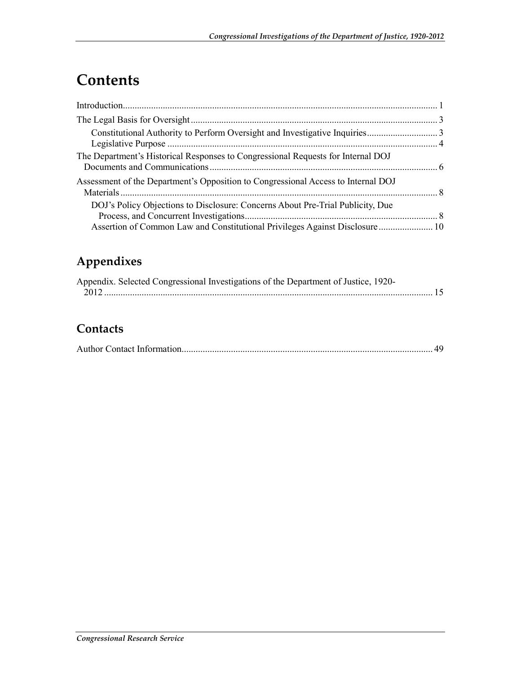## **Contents**

| The Department's Historical Responses to Congressional Requests for Internal DOJ  |  |
|-----------------------------------------------------------------------------------|--|
| Assessment of the Department's Opposition to Congressional Access to Internal DOJ |  |
| DOJ's Policy Objections to Disclosure: Concerns About Pre-Trial Publicity, Due    |  |
| Assertion of Common Law and Constitutional Privileges Against Disclosure  10      |  |

### **Appendixes**

| Appendix. Selected Congressional Investigations of the Department of Justice, 1920- |  |
|-------------------------------------------------------------------------------------|--|
|                                                                                     |  |

### **Contacts**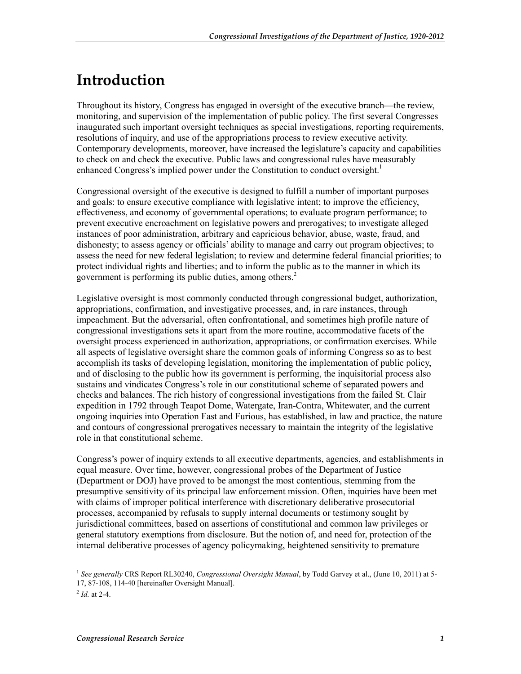## **Introduction**

Throughout its history, Congress has engaged in oversight of the executive branch—the review, monitoring, and supervision of the implementation of public policy. The first several Congresses inaugurated such important oversight techniques as special investigations, reporting requirements, resolutions of inquiry, and use of the appropriations process to review executive activity. Contemporary developments, moreover, have increased the legislature's capacity and capabilities to check on and check the executive. Public laws and congressional rules have measurably enhanced Congress's implied power under the Constitution to conduct oversight.<sup>1</sup>

Congressional oversight of the executive is designed to fulfill a number of important purposes and goals: to ensure executive compliance with legislative intent; to improve the efficiency, effectiveness, and economy of governmental operations; to evaluate program performance; to prevent executive encroachment on legislative powers and prerogatives; to investigate alleged instances of poor administration, arbitrary and capricious behavior, abuse, waste, fraud, and dishonesty; to assess agency or officials' ability to manage and carry out program objectives; to assess the need for new federal legislation; to review and determine federal financial priorities; to protect individual rights and liberties; and to inform the public as to the manner in which its government is performing its public duties, among others.<sup>2</sup>

Legislative oversight is most commonly conducted through congressional budget, authorization, appropriations, confirmation, and investigative processes, and, in rare instances, through impeachment. But the adversarial, often confrontational, and sometimes high profile nature of congressional investigations sets it apart from the more routine, accommodative facets of the oversight process experienced in authorization, appropriations, or confirmation exercises. While all aspects of legislative oversight share the common goals of informing Congress so as to best accomplish its tasks of developing legislation, monitoring the implementation of public policy, and of disclosing to the public how its government is performing, the inquisitorial process also sustains and vindicates Congress's role in our constitutional scheme of separated powers and checks and balances. The rich history of congressional investigations from the failed St. Clair expedition in 1792 through Teapot Dome, Watergate, Iran-Contra, Whitewater, and the current ongoing inquiries into Operation Fast and Furious, has established, in law and practice, the nature and contours of congressional prerogatives necessary to maintain the integrity of the legislative role in that constitutional scheme.

Congress's power of inquiry extends to all executive departments, agencies, and establishments in equal measure. Over time, however, congressional probes of the Department of Justice (Department or DOJ) have proved to be amongst the most contentious, stemming from the presumptive sensitivity of its principal law enforcement mission. Often, inquiries have been met with claims of improper political interference with discretionary deliberative prosecutorial processes, accompanied by refusals to supply internal documents or testimony sought by jurisdictional committees, based on assertions of constitutional and common law privileges or general statutory exemptions from disclosure. But the notion of, and need for, protection of the internal deliberative processes of agency policymaking, heightened sensitivity to premature

<sup>1</sup> *See generally* CRS Report RL30240, *Congressional Oversight Manual*, by Todd Garvey et al., (June 10, 2011) at 5- 17, 87-108, 114-40 [hereinafter Oversight Manual].

 $^{2}$  *Id.* at 2-4.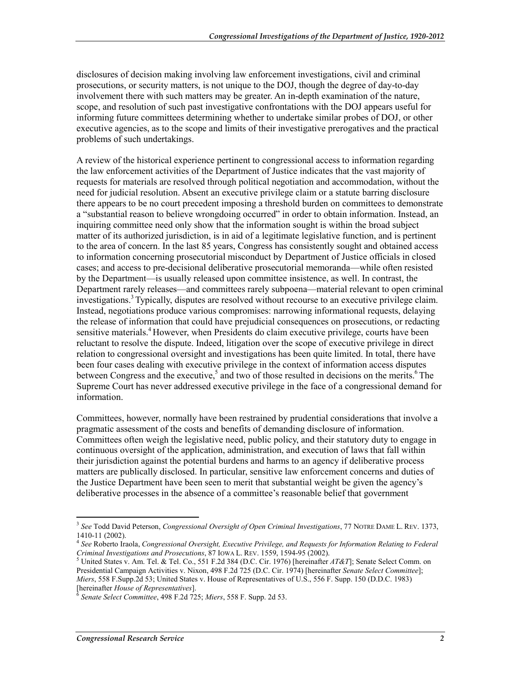disclosures of decision making involving law enforcement investigations, civil and criminal prosecutions, or security matters, is not unique to the DOJ, though the degree of day-to-day involvement there with such matters may be greater. An in-depth examination of the nature, scope, and resolution of such past investigative confrontations with the DOJ appears useful for informing future committees determining whether to undertake similar probes of DOJ, or other executive agencies, as to the scope and limits of their investigative prerogatives and the practical problems of such undertakings.

A review of the historical experience pertinent to congressional access to information regarding the law enforcement activities of the Department of Justice indicates that the vast majority of requests for materials are resolved through political negotiation and accommodation, without the need for judicial resolution. Absent an executive privilege claim or a statute barring disclosure there appears to be no court precedent imposing a threshold burden on committees to demonstrate a "substantial reason to believe wrongdoing occurred" in order to obtain information. Instead, an inquiring committee need only show that the information sought is within the broad subject matter of its authorized jurisdiction, is in aid of a legitimate legislative function, and is pertinent to the area of concern. In the last 85 years, Congress has consistently sought and obtained access to information concerning prosecutorial misconduct by Department of Justice officials in closed cases; and access to pre-decisional deliberative prosecutorial memoranda—while often resisted by the Department—is usually released upon committee insistence, as well. In contrast, the Department rarely releases—and committees rarely subpoena—material relevant to open criminal investigations.<sup>3</sup> Typically, disputes are resolved without recourse to an executive privilege claim. Instead, negotiations produce various compromises: narrowing informational requests, delaying the release of information that could have prejudicial consequences on prosecutions, or redacting sensitive materials.<sup>4</sup> However, when Presidents do claim executive privilege, courts have been reluctant to resolve the dispute. Indeed, litigation over the scope of executive privilege in direct relation to congressional oversight and investigations has been quite limited. In total, there have been four cases dealing with executive privilege in the context of information access disputes between Congress and the executive,<sup>5</sup> and two of those resulted in decisions on the merits.<sup>6</sup> The Supreme Court has never addressed executive privilege in the face of a congressional demand for information.

Committees, however, normally have been restrained by prudential considerations that involve a pragmatic assessment of the costs and benefits of demanding disclosure of information. Committees often weigh the legislative need, public policy, and their statutory duty to engage in continuous oversight of the application, administration, and execution of laws that fall within their jurisdiction against the potential burdens and harms to an agency if deliberative process matters are publically disclosed. In particular, sensitive law enforcement concerns and duties of the Justice Department have been seen to merit that substantial weight be given the agency's deliberative processes in the absence of a committee's reasonable belief that government

<sup>3</sup> *See* Todd David Peterson, *Congressional Oversight of Open Criminal Investigations*, 77 NOTRE DAME L. REV. 1373, 1410-11 (2002).

<sup>4</sup> *See* Roberto Iraola, *Congressional Oversight, Executive Privilege, and Requests for Information Relating to Federal* 

*Criminal Investigations and Prosecutions*, 87 IOWA L. REV. 1559, 1594-95 (2002).<br><sup>5</sup> United States v. Am. Tel. & Tel. Co., 551 F.2d 384 (D.C. Cir. 1976) [hereinafter *AT&T*]; Senate Select Comm. on Presidential Campaign Activities v. Nixon, 498 F.2d 725 (D.C. Cir. 1974) [hereinafter *Senate Select Committee*]; *Miers*, 558 F.Supp.2d 53; United States v. House of Representatives of U.S., 556 F. Supp. 150 (D.D.C. 1983)

<sup>[</sup>hereinafter *House of Representatives*]. 6 *Senate Select Committee*, 498 F.2d 725; *Miers*, 558 F. Supp. 2d 53.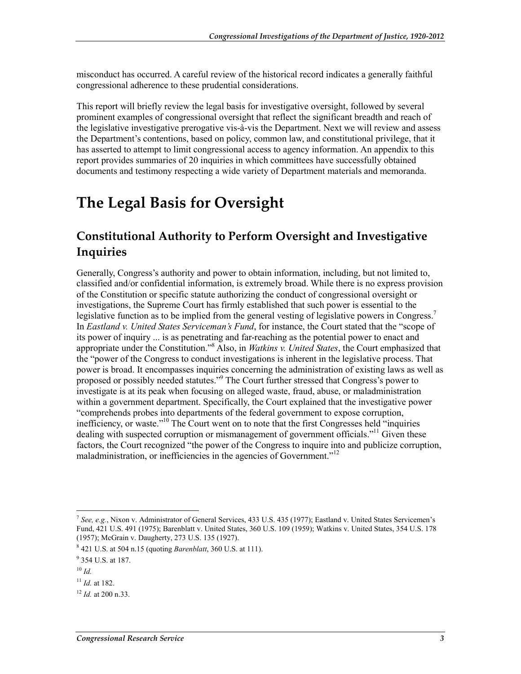misconduct has occurred. A careful review of the historical record indicates a generally faithful congressional adherence to these prudential considerations.

This report will briefly review the legal basis for investigative oversight, followed by several prominent examples of congressional oversight that reflect the significant breadth and reach of the legislative investigative prerogative vis-à-vis the Department. Next we will review and assess the Department's contentions, based on policy, common law, and constitutional privilege, that it has asserted to attempt to limit congressional access to agency information. An appendix to this report provides summaries of 20 inquiries in which committees have successfully obtained documents and testimony respecting a wide variety of Department materials and memoranda.

## **The Legal Basis for Oversight**

#### **Constitutional Authority to Perform Oversight and Investigative Inquiries**

Generally, Congress's authority and power to obtain information, including, but not limited to, classified and/or confidential information, is extremely broad. While there is no express provision of the Constitution or specific statute authorizing the conduct of congressional oversight or investigations, the Supreme Court has firmly established that such power is essential to the legislative function as to be implied from the general vesting of legislative powers in Congress.<sup>7</sup> In *Eastland v. United States Serviceman's Fund*, for instance, the Court stated that the "scope of its power of inquiry ... is as penetrating and far-reaching as the potential power to enact and appropriate under the Constitution."8 Also, in *Watkins v. United States*, the Court emphasized that the "power of the Congress to conduct investigations is inherent in the legislative process. That power is broad. It encompasses inquiries concerning the administration of existing laws as well as proposed or possibly needed statutes."<sup>9</sup> The Court further stressed that Congress's power to investigate is at its peak when focusing on alleged waste, fraud, abuse, or maladministration within a government department. Specifically, the Court explained that the investigative power "comprehends probes into departments of the federal government to expose corruption, inefficiency, or waste."<sup>10</sup> The Court went on to note that the first Congresses held "inquiries" dealing with suspected corruption or mismanagement of government officials."<sup>11</sup> Given these factors, the Court recognized "the power of the Congress to inquire into and publicize corruption, maladministration, or inefficiencies in the agencies of Government."<sup>12</sup>

<sup>7</sup> *See, e.g.*, Nixon v. Administrator of General Services, 433 U.S. 435 (1977); Eastland v. United States Servicemen's Fund, 421 U.S. 491 (1975); Barenblatt v. United States, 360 U.S. 109 (1959); Watkins v. United States, 354 U.S. 178 (1957); McGrain v. Daugherty, 273 U.S. 135 (1927).

<sup>8</sup> 421 U.S. at 504 n.15 (quoting *Barenblatt*, 360 U.S. at 111).

<sup>&</sup>lt;sup>9</sup> 354 U.S. at 187.

<sup>10</sup> *Id.*

 $^{11}$  *Id.* at 182.

<sup>12</sup> *Id.* at 200 n.33.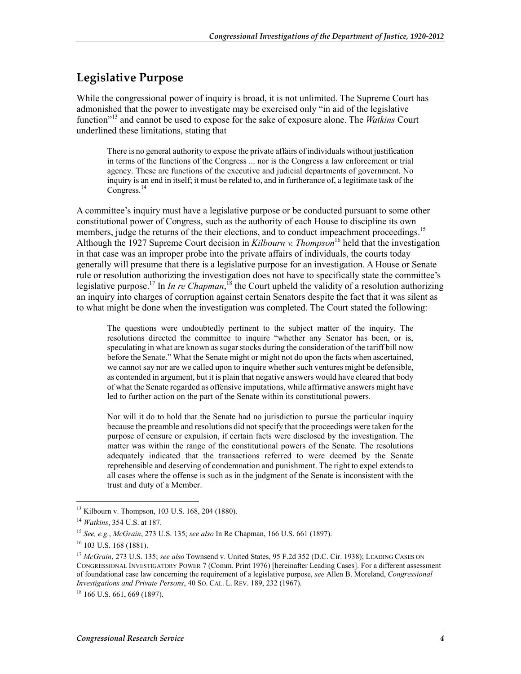#### **Legislative Purpose**

While the congressional power of inquiry is broad, it is not unlimited. The Supreme Court has admonished that the power to investigate may be exercised only "in aid of the legislative function"13 and cannot be used to expose for the sake of exposure alone. The *Watkins* Court underlined these limitations, stating that

There is no general authority to expose the private affairs of individuals without justification in terms of the functions of the Congress ... nor is the Congress a law enforcement or trial agency. These are functions of the executive and judicial departments of government. No inquiry is an end in itself; it must be related to, and in furtherance of, a legitimate task of the Congress.<sup>14</sup>

A committee's inquiry must have a legislative purpose or be conducted pursuant to some other constitutional power of Congress, such as the authority of each House to discipline its own members, judge the returns of the their elections, and to conduct impeachment proceedings.<sup>15</sup> Although the 1927 Supreme Court decision in *Kilbourn v. Thompson*16 held that the investigation in that case was an improper probe into the private affairs of individuals, the courts today generally will presume that there is a legislative purpose for an investigation. A House or Senate rule or resolution authorizing the investigation does not have to specifically state the committee's legislative purpose.<sup>17</sup> In *In re Chapman*,<sup>18</sup> the Court upheld the validity of a resolution authorizing an inquiry into charges of corruption against certain Senators despite the fact that it was silent as to what might be done when the investigation was completed. The Court stated the following:

The questions were undoubtedly pertinent to the subject matter of the inquiry. The resolutions directed the committee to inquire "whether any Senator has been, or is, speculating in what are known as sugar stocks during the consideration of the tariff bill now before the Senate." What the Senate might or might not do upon the facts when ascertained, we cannot say nor are we called upon to inquire whether such ventures might be defensible, as contended in argument, but it is plain that negative answers would have cleared that body of what the Senate regarded as offensive imputations, while affirmative answers might have led to further action on the part of the Senate within its constitutional powers.

Nor will it do to hold that the Senate had no jurisdiction to pursue the particular inquiry because the preamble and resolutions did not specify that the proceedings were taken for the purpose of censure or expulsion, if certain facts were disclosed by the investigation. The matter was within the range of the constitutional powers of the Senate. The resolutions adequately indicated that the transactions referred to were deemed by the Senate reprehensible and deserving of condemnation and punishment. The right to expel extends to all cases where the offense is such as in the judgment of the Senate is inconsistent with the trust and duty of a Member.

<sup>&</sup>lt;sup>13</sup> Kilbourn v. Thompson, 103 U.S. 168, 204 (1880).

<sup>14</sup> *Watkins*, 354 U.S. at 187.

<sup>15</sup> *See, e.g.*, *McGrain*, 273 U.S. 135; *see also* In Re Chapman, 166 U.S. 661 (1897).

<sup>16 103</sup> U.S. 168 (1881).

<sup>17</sup> *McGrain*, 273 U.S. 135; *see also* Townsend v. United States, 95 F.2d 352 (D.C. Cir. 1938); LEADING CASES ON CONGRESSIONAL INVESTIGATORY POWER 7 (Comm. Print 1976) [hereinafter Leading Cases]. For a different assessment of foundational case law concerning the requirement of a legislative purpose, *see* Allen B. Moreland, *Congressional Investigations and Private Persons*, 40 SO. CAL. L. REV. 189, 232 (1967).

 $18$  166 U.S. 661, 669 (1897).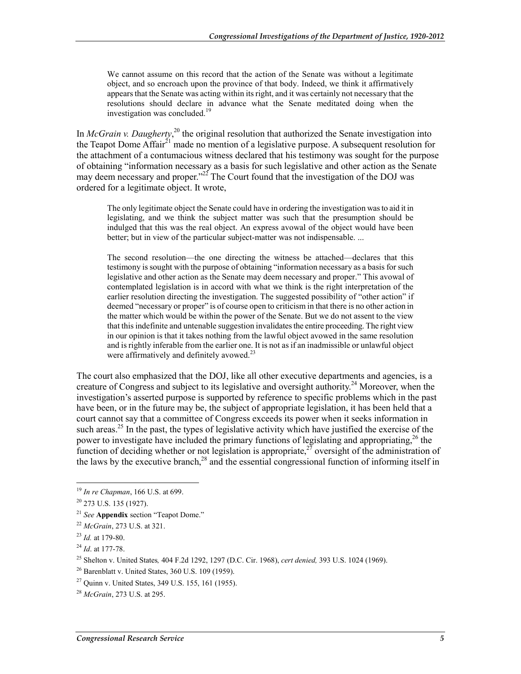We cannot assume on this record that the action of the Senate was without a legitimate object, and so encroach upon the province of that body. Indeed, we think it affirmatively appears that the Senate was acting within its right, and it was certainly not necessary that the resolutions should declare in advance what the Senate meditated doing when the investigation was concluded.<sup>19</sup>

In *McGrain v. Daugherty*<sup>20</sup>, the original resolution that authorized the Senate investigation into the Teapot Dome  $\tilde{Affair}^{21}$  made no mention of a legislative purpose. A subsequent resolution for the attachment of a contumacious witness declared that his testimony was sought for the purpose of obtaining "information necessary as a basis for such legislative and other action as the Senate may deem necessary and proper."<sup>22</sup> The Court found that the investigation of the DOJ was ordered for a legitimate object. It wrote,

The only legitimate object the Senate could have in ordering the investigation was to aid it in legislating, and we think the subject matter was such that the presumption should be indulged that this was the real object. An express avowal of the object would have been better; but in view of the particular subject-matter was not indispensable. ...

The second resolution—the one directing the witness be attached—declares that this testimony is sought with the purpose of obtaining "information necessary as a basis for such legislative and other action as the Senate may deem necessary and proper." This avowal of contemplated legislation is in accord with what we think is the right interpretation of the earlier resolution directing the investigation. The suggested possibility of "other action" if deemed "necessary or proper" is of course open to criticism in that there is no other action in the matter which would be within the power of the Senate. But we do not assent to the view that this indefinite and untenable suggestion invalidates the entire proceeding. The right view in our opinion is that it takes nothing from the lawful object avowed in the same resolution and is rightly inferable from the earlier one. It is not as if an inadmissible or unlawful object were affirmatively and definitely avowed.<sup>23</sup>

The court also emphasized that the DOJ, like all other executive departments and agencies, is a creature of Congress and subject to its legislative and oversight authority.<sup>24</sup> Moreover, when the investigation's asserted purpose is supported by reference to specific problems which in the past have been, or in the future may be, the subject of appropriate legislation, it has been held that a court cannot say that a committee of Congress exceeds its power when it seeks information in such areas.<sup>25</sup> In the past, the types of legislative activity which have justified the exercise of the power to investigate have included the primary functions of legislating and appropriating,<sup>26</sup> the function of deciding whether or not legislation is appropriate,<sup>27</sup> oversight of the administration of the laws by the executive branch,<sup>28</sup> and the essential congressional function of informing itself in

<sup>1</sup> <sup>19</sup> *In re Chapman*, 166 U.S. at 699.

 $20$  273 U.S. 135 (1927).

<sup>21</sup> *See* **Appendix** section "Teapot Dome."

<sup>22</sup> *McGrain*, 273 U.S. at 321.

<sup>23</sup> *Id.* at 179-80.

<sup>24</sup> *Id*. at 177-78.

<sup>25</sup> Shelton v. United States*,* 404 F.2d 1292, 1297 (D.C. Cir. 1968), *cert denied,* 393 U.S. 1024 (1969).

<sup>26</sup> Barenblatt v. United States, 360 U.S. 109 (1959).

<sup>27</sup> Quinn v. United States, 349 U.S. 155, 161 (1955).

<sup>28</sup> *McGrain*, 273 U.S. at 295.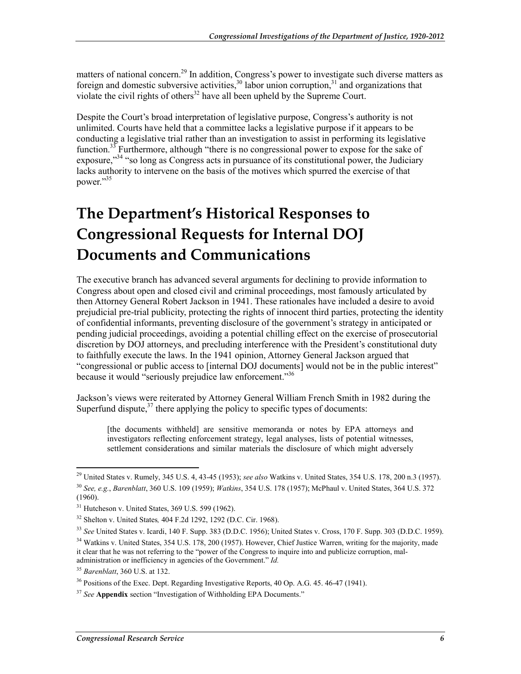matters of national concern.<sup>29</sup> In addition, Congress's power to investigate such diverse matters as foreign and domestic subversive activities,  $30$  labor union corruption,  $31$  and organizations that violate the civil rights of others<sup>32</sup> have all been upheld by the Supreme Court.

Despite the Court's broad interpretation of legislative purpose, Congress's authority is not unlimited. Courts have held that a committee lacks a legislative purpose if it appears to be conducting a legislative trial rather than an investigation to assist in performing its legislative function.<sup>33</sup> Furthermore, although "there is no congressional power to expose for the sake of exposure,<sup>334</sup> "so long as Congress acts in pursuance of its constitutional power, the Judiciary lacks authority to intervene on the basis of the motives which spurred the exercise of that power."35

## **The Department's Historical Responses to Congressional Requests for Internal DOJ Documents and Communications**

The executive branch has advanced several arguments for declining to provide information to Congress about open and closed civil and criminal proceedings, most famously articulated by then Attorney General Robert Jackson in 1941. These rationales have included a desire to avoid prejudicial pre-trial publicity, protecting the rights of innocent third parties, protecting the identity of confidential informants, preventing disclosure of the government's strategy in anticipated or pending judicial proceedings, avoiding a potential chilling effect on the exercise of prosecutorial discretion by DOJ attorneys, and precluding interference with the President's constitutional duty to faithfully execute the laws. In the 1941 opinion, Attorney General Jackson argued that "congressional or public access to [internal DOJ documents] would not be in the public interest" because it would "seriously prejudice law enforcement."<sup>36</sup>

Jackson's views were reiterated by Attorney General William French Smith in 1982 during the Superfund dispute, $3^7$  there applying the policy to specific types of documents:

[the documents withheld] are sensitive memoranda or notes by EPA attorneys and investigators reflecting enforcement strategy, legal analyses, lists of potential witnesses, settlement considerations and similar materials the disclosure of which might adversely

<sup>29</sup> United States v. Rumely, 345 U.S. 4, 43-45 (1953); *see also* Watkins v. United States, 354 U.S. 178, 200 n.3 (1957).

<sup>30</sup> *See, e.g.*, *Barenblatt*, 360 U.S. 109 (1959); *Watkins*, 354 U.S. 178 (1957); McPhaul v. United States, 364 U.S. 372 (1960).

 $31$  Hutcheson v. United States, 369 U.S. 599 (1962).

<sup>32</sup> Shelton v. United States*,* 404 F.2d 1292, 1292 (D.C. Cir. 1968).

<sup>33</sup> *See* United States v. Icardi, 140 F. Supp. 383 (D.D.C. 1956); United States v. Cross, 170 F. Supp. 303 (D.D.C. 1959).

<sup>&</sup>lt;sup>34</sup> Watkins v. United States, 354 U.S. 178, 200 (1957). However, Chief Justice Warren, writing for the majority, made it clear that he was not referring to the "power of the Congress to inquire into and publicize corruption, maladministration or inefficiency in agencies of the Government." *Id.*

<sup>35</sup> *Barenblatt*, 360 U.S. at 132.

 $36$  Positions of the Exec. Dept. Regarding Investigative Reports, 40 Op. A.G. 45, 46-47 (1941).

<sup>37</sup> *See* **Appendix** section "Investigation of Withholding EPA Documents."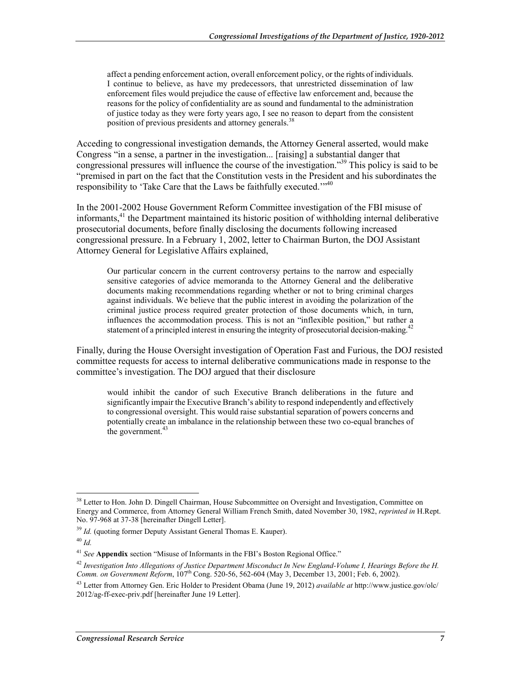affect a pending enforcement action, overall enforcement policy, or the rights of individuals. I continue to believe, as have my predecessors, that unrestricted dissemination of law enforcement files would prejudice the cause of effective law enforcement and, because the reasons for the policy of confidentiality are as sound and fundamental to the administration of justice today as they were forty years ago, I see no reason to depart from the consistent position of previous presidents and attorney generals.<sup>38</sup>

Acceding to congressional investigation demands, the Attorney General asserted, would make Congress "in a sense, a partner in the investigation... [raising] a substantial danger that congressional pressures will influence the course of the investigation.<sup>339</sup> This policy is said to be "premised in part on the fact that the Constitution vests in the President and his subordinates the responsibility to 'Take Care that the Laws be faithfully executed.'"<sup>40</sup>

In the 2001-2002 House Government Reform Committee investigation of the FBI misuse of informants,<sup>41</sup> the Department maintained its historic position of withholding internal deliberative prosecutorial documents, before finally disclosing the documents following increased congressional pressure. In a February 1, 2002, letter to Chairman Burton, the DOJ Assistant Attorney General for Legislative Affairs explained,

Our particular concern in the current controversy pertains to the narrow and especially sensitive categories of advice memoranda to the Attorney General and the deliberative documents making recommendations regarding whether or not to bring criminal charges against individuals. We believe that the public interest in avoiding the polarization of the criminal justice process required greater protection of those documents which, in turn, influences the accommodation process. This is not an "inflexible position," but rather a statement of a principled interest in ensuring the integrity of prosecutorial decision-making.<sup>42</sup>

Finally, during the House Oversight investigation of Operation Fast and Furious, the DOJ resisted committee requests for access to internal deliberative communications made in response to the committee's investigation. The DOJ argued that their disclosure

would inhibit the candor of such Executive Branch deliberations in the future and significantly impair the Executive Branch's ability to respond independently and effectively to congressional oversight. This would raise substantial separation of powers concerns and potentially create an imbalance in the relationship between these two co-equal branches of the government.<sup>43</sup>

<sup>1</sup> <sup>38</sup> Letter to Hon. John D. Dingell Chairman, House Subcommittee on Oversight and Investigation, Committee on Energy and Commerce, from Attorney General William French Smith, dated November 30, 1982, *reprinted in* H.Rept. No. 97-968 at 37-38 [hereinafter Dingell Letter].

<sup>&</sup>lt;sup>39</sup> *Id.* (quoting former Deputy Assistant General Thomas E. Kauper).

<sup>40</sup> *Id.*

<sup>41</sup> *See* **Appendix** section "Misuse of Informants in the FBI's Boston Regional Office."

<sup>&</sup>lt;sup>42</sup> Investigation Into Allegations of Justice Department Misconduct In New England-Volume I, Hearings Before the H. *Comm. on Government Reform*, 107th Cong. 520-56, 562-604 (May 3, December 13, 2001; Feb. 6, 2002).

<sup>43</sup> Letter from Attorney Gen. Eric Holder to President Obama (June 19, 2012) *available at* http://www.justice.gov/olc/ 2012/ag-ff-exec-priv.pdf [hereinafter June 19 Letter].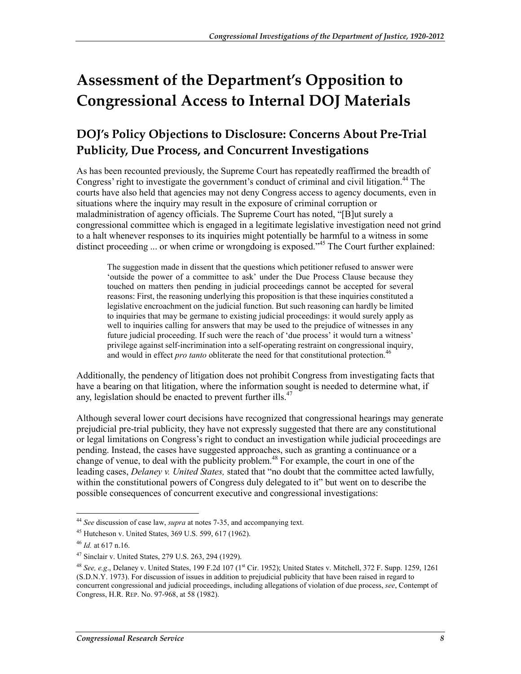## **Assessment of the Department's Opposition to Congressional Access to Internal DOJ Materials**

### **DOJ's Policy Objections to Disclosure: Concerns About Pre-Trial Publicity, Due Process, and Concurrent Investigations**

As has been recounted previously, the Supreme Court has repeatedly reaffirmed the breadth of Congress' right to investigate the government's conduct of criminal and civil litigation.<sup>44</sup> The courts have also held that agencies may not deny Congress access to agency documents, even in situations where the inquiry may result in the exposure of criminal corruption or maladministration of agency officials. The Supreme Court has noted, "[B]ut surely a congressional committee which is engaged in a legitimate legislative investigation need not grind to a halt whenever responses to its inquiries might potentially be harmful to a witness in some distinct proceeding ... or when crime or wrongdoing is exposed.<sup>345</sup> The Court further explained:

The suggestion made in dissent that the questions which petitioner refused to answer were 'outside the power of a committee to ask' under the Due Process Clause because they touched on matters then pending in judicial proceedings cannot be accepted for several reasons: First, the reasoning underlying this proposition is that these inquiries constituted a legislative encroachment on the judicial function. But such reasoning can hardly be limited to inquiries that may be germane to existing judicial proceedings: it would surely apply as well to inquiries calling for answers that may be used to the prejudice of witnesses in any future judicial proceeding. If such were the reach of 'due process' it would turn a witness' privilege against self-incrimination into a self-operating restraint on congressional inquiry, and would in effect *pro tanto* obliterate the need for that constitutional protection.<sup>46</sup>

Additionally, the pendency of litigation does not prohibit Congress from investigating facts that have a bearing on that litigation, where the information sought is needed to determine what, if any, legislation should be enacted to prevent further ills.<sup>47</sup>

Although several lower court decisions have recognized that congressional hearings may generate prejudicial pre-trial publicity, they have not expressly suggested that there are any constitutional or legal limitations on Congress's right to conduct an investigation while judicial proceedings are pending. Instead, the cases have suggested approaches, such as granting a continuance or a change of venue, to deal with the publicity problem.<sup>48</sup> For example, the court in one of the leading cases, *Delaney v. United States,* stated that "no doubt that the committee acted lawfully, within the constitutional powers of Congress duly delegated to it" but went on to describe the possible consequences of concurrent executive and congressional investigations:

<sup>44</sup> *See* discussion of case law, *supra* at notes 7-35, and accompanying text.

<sup>45</sup> Hutcheson v. United States, 369 U.S. 599, 617 (1962).

<sup>46</sup> *Id.* at 617 n.16.

<sup>47</sup> Sinclair v. United States, 279 U.S. 263, 294 (1929).

<sup>&</sup>lt;sup>48</sup> See, e.g., Delaney v. United States, 199 F.2d 107 (1<sup>st</sup> Cir. 1952); United States v. Mitchell, 372 F. Supp. 1259, 1261 (S.D.N.Y. 1973). For discussion of issues in addition to prejudicial publicity that have been raised in regard to concurrent congressional and judicial proceedings, including allegations of violation of due process, *see*, Contempt of Congress, H.R. REP. No. 97-968, at 58 (1982).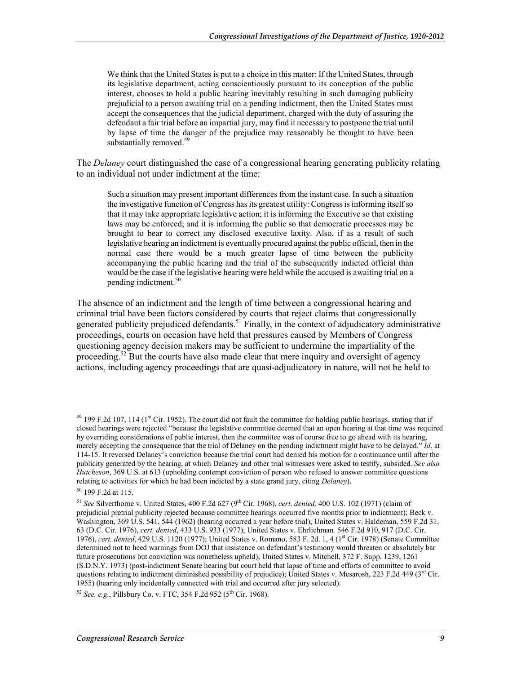We think that the United States is put to a choice in this matter: If the United States, through its legislative department, acting conscientiously pursuant to its conception of the public interest, chooses to hold a public hearing inevitably resulting in such damaging publicity prejudicial to a person awaiting trial on a pending indictment, then the United States must accept the consequences that the judicial department, charged with the duty of assuring the defendant a fair trial before an impartial jury, may find it necessary to postpone the trial until by lapse of time the danger of the prejudice may reasonably be thought to have been substantially removed. $49$ 

The *Delaney* court distinguished the case of a congressional hearing generating publicity relating to an individual not under indictment at the time:

Such a situation may present important differences from the instant case. In such a situation the investigative function of Congress has its greatest utility: Congress is informing itself so that it may take appropriate legislative action; it is informing the Executive so that existing laws may be enforced; and it is informing the public so that democratic processes may be brought to bear to correct any disclosed executive laxity. Also, if as a result of such legislative hearing an indictment is eventually procured against the public official, then in the normal case there would be a much greater lapse of time between the publicity accompanying the public hearing and the trial of the subsequently indicted official than would be the case if the legislative hearing were held while the accused is awaiting trial on a pending indictment.<sup>50</sup>

The absence of an indictment and the length of time between a congressional hearing and criminal trial have been factors considered by courts that reject claims that congressionally generated publicity prejudiced defendants.<sup>51</sup> Finally, in the context of adjudicatory administrative proceedings, courts on occasion have held that pressures caused by Members of Congress questioning agency decision makers may be sufficient to undermine the impartiality of the proceeding.<sup>52</sup> But the courts have also made clear that mere inquiry and oversight of agency actions, including agency proceedings that are quasi-adjudicatory in nature, will not be held to

 $49$  199 F.2d 107, 114 ( $1<sup>st</sup>$  Cir. 1952). The court did not fault the committee for holding public hearings, stating that if closed hearings were rejected "because the legislative committee deemed that an open hearing at that time was required by overriding considerations of public interest, then the committee was of course free to go ahead with its hearing, merely accepting the consequence that the trial of Delaney on the pending indictment might have to be delayed." *Id*. at 114-15. It reversed Delaney's conviction because the trial court had denied his motion for a continuance until after the publicity generated by the hearing, at which Delaney and other trial witnesses were asked to testify, subsided. *See also Hutcheson*, 369 U.S. at 613 (upholding contempt conviction of person who refused to answer committee questions relating to activities for which he had been indicted by a state grand jury, citing *Delaney*).

<sup>50 199</sup> F.2d at 115.

<sup>&</sup>lt;sup>51</sup> See Silverthorne v. United States, 400 F.2d 627 (9<sup>th</sup> Cir. 1968), *cert. denied*, 400 U.S. 102 (1971) (claim of prejudicial pretrial publicity rejected because committee hearings occurred five months prior to indictment); Beck v. Washington, 369 U.S. 541, 544 (1962) (hearing occurred a year before trial); United States v. Haldeman, 559 F.2d 31, 63 (D.C. Cir. 1976), *cert. denied*, 433 U.S. 933 (1977); United States v. Ehrlichman*,* 546 F.2d 910, 917 (D.C. Cir. 1976), *cert. denied*, 429 U.S. 1120 (1977); United States v. Romano, 583 F. 2d. 1, 4 (1st Cir. 1978) (Senate Committee determined not to heed warnings from DOJ that insistence on defendant's testimony would threaten or absolutely bar future prosecutions but conviction was nonetheless upheld); United States v. Mitchell*,* 372 F. Supp. 1239, 1261 (S.D.N.Y. 1973) (post-indictment Senate hearing but court held that lapse of time and efforts of committee to avoid questions relating to indictment diminished possibility of prejudice); United States v. Mesarosh, 223 F.2d 449 ( $3<sup>rd</sup>$  Cir. 1955) (hearing only incidentally connected with trial and occurred after jury selected).

<sup>&</sup>lt;sup>52</sup> *See, e.g.*, Pillsbury Co. v. FTC, 354 F.2d 952 (5<sup>th</sup> Cir. 1968).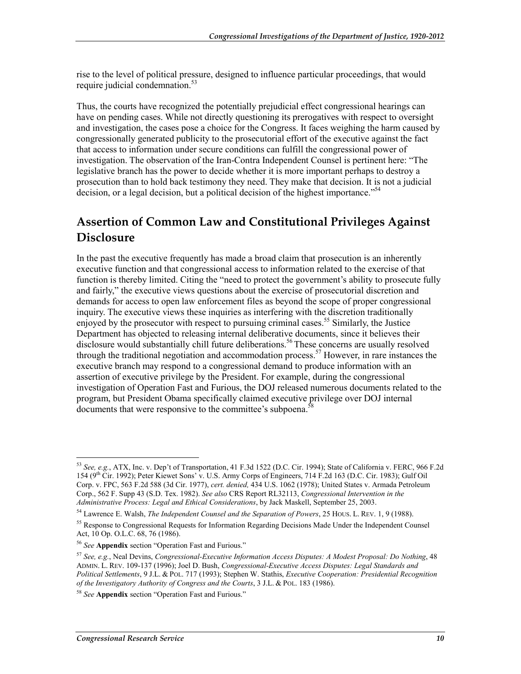rise to the level of political pressure, designed to influence particular proceedings, that would require judicial condemnation.<sup>53</sup>

Thus, the courts have recognized the potentially prejudicial effect congressional hearings can have on pending cases. While not directly questioning its prerogatives with respect to oversight and investigation, the cases pose a choice for the Congress. It faces weighing the harm caused by congressionally generated publicity to the prosecutorial effort of the executive against the fact that access to information under secure conditions can fulfill the congressional power of investigation. The observation of the Iran-Contra Independent Counsel is pertinent here: "The legislative branch has the power to decide whether it is more important perhaps to destroy a prosecution than to hold back testimony they need. They make that decision. It is not a judicial decision, or a legal decision, but a political decision of the highest importance."<sup>54</sup>

### **Assertion of Common Law and Constitutional Privileges Against Disclosure**

In the past the executive frequently has made a broad claim that prosecution is an inherently executive function and that congressional access to information related to the exercise of that function is thereby limited. Citing the "need to protect the government's ability to prosecute fully and fairly," the executive views questions about the exercise of prosecutorial discretion and demands for access to open law enforcement files as beyond the scope of proper congressional inquiry. The executive views these inquiries as interfering with the discretion traditionally enjoyed by the prosecutor with respect to pursuing criminal cases.<sup>55</sup> Similarly, the Justice Department has objected to releasing internal deliberative documents, since it believes their disclosure would substantially chill future deliberations.<sup>56</sup> These concerns are usually resolved through the traditional negotiation and accommodation process.<sup>57</sup> However, in rare instances the executive branch may respond to a congressional demand to produce information with an assertion of executive privilege by the President. For example, during the congressional investigation of Operation Fast and Furious, the DOJ released numerous documents related to the program, but President Obama specifically claimed executive privilege over DOJ internal documents that were responsive to the committee's subpoena.<sup>58</sup>

<sup>&</sup>lt;u>.</u> <sup>53</sup> *See, e.g.*, ATX, Inc. v. Dep't of Transportation, 41 F.3d 1522 (D.C. Cir. 1994); State of California v. FERC, 966 F.2d 154 (9th Cir. 1992); Peter Kiewet Sons' v. U.S. Army Corps of Engineers, 714 F.2d 163 (D.C. Cir. 1983); Gulf Oil Corp. v. FPC, 563 F.2d 588 (3d Cir. 1977), *cert. denied,* 434 U.S. 1062 (1978); United States v. Armada Petroleum Corp., 562 F. Supp 43 (S.D. Tex. 1982). *See also* CRS Report RL32113, *Congressional Intervention in the Administrative Process: Legal and Ethical Considerations*, by Jack Maskell, September 25, 2003.

<sup>54</sup> Lawrence E. Walsh, *The Independent Counsel and the Separation of Powers*, 25 HOUS. L. REV. 1, 9 (1988).

<sup>&</sup>lt;sup>55</sup> Response to Congressional Requests for Information Regarding Decisions Made Under the Independent Counsel Act, 10 Op. O.L.C. 68, 76 (1986).

<sup>56</sup> *See* **Appendix** section "Operation Fast and Furious."

<sup>57</sup> *See, e.g.*, Neal Devins, *Congressional-Executive Information Access Disputes: A Modest Proposal: Do Nothing*, 48 ADMIN. L. REV. 109-137 (1996); Joel D. Bush, *Congressional-Executive Access Disputes: Legal Standards and Political Settlements*, 9 J.L. & POL. 717 (1993); Stephen W. Stathis, *Executive Cooperation: Presidential Recognition of the Investigatory Authority of Congress and the Courts*, 3 J.L. & POL. 183 (1986).

<sup>58</sup> *See* **Appendix** section "Operation Fast and Furious."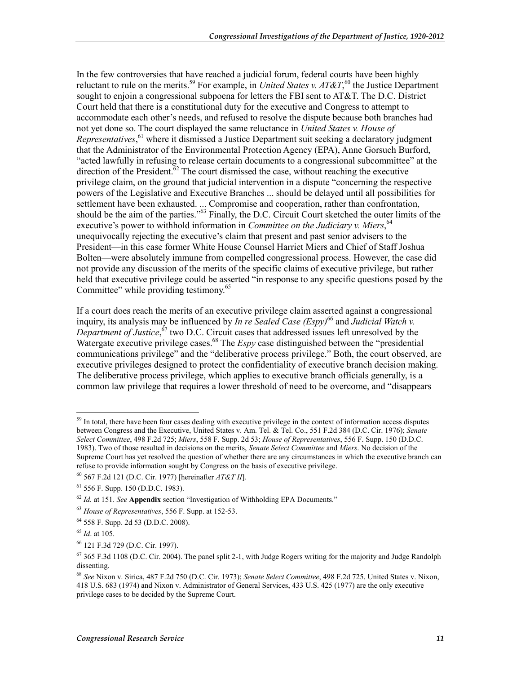In the few controversies that have reached a judicial forum, federal courts have been highly reluctant to rule on the merits.<sup>59</sup> For example, in *United States v. AT&T*,<sup>60</sup> the Justice Department sought to enjoin a congressional subpoena for letters the FBI sent to AT&T. The D.C. District Court held that there is a constitutional duty for the executive and Congress to attempt to accommodate each other's needs, and refused to resolve the dispute because both branches had not yet done so. The court displayed the same reluctance in *United States v. House of Representatives*, <sup>61</sup> where it dismissed a Justice Department suit seeking a declaratory judgment that the Administrator of the Environmental Protection Agency (EPA), Anne Gorsuch Burford, "acted lawfully in refusing to release certain documents to a congressional subcommittee" at the direction of the President. $62$  The court dismissed the case, without reaching the executive privilege claim, on the ground that judicial intervention in a dispute "concerning the respective powers of the Legislative and Executive Branches ... should be delayed until all possibilities for settlement have been exhausted. ... Compromise and cooperation, rather than confrontation, should be the aim of the parties."<sup>63</sup> Finally, the D.C. Circuit Court sketched the outer limits of the executive's power to withhold information in *Committee on the Judiciary v. Miers*,<sup>64</sup> unequivocally rejecting the executive's claim that present and past senior advisers to the President—in this case former White House Counsel Harriet Miers and Chief of Staff Joshua Bolten—were absolutely immune from compelled congressional process. However, the case did not provide any discussion of the merits of the specific claims of executive privilege, but rather held that executive privilege could be asserted "in response to any specific questions posed by the Committee" while providing testimony.<sup>65</sup>

If a court does reach the merits of an executive privilege claim asserted against a congressional inquiry, its analysis may be influenced by *In re Sealed Case (Espy)*<sup>66</sup> and *Judicial Watch v.* Department of Justice,<sup>67</sup> two D.C. Circuit cases that addressed issues left unresolved by the Watergate executive privilege cases.<sup>68</sup> The *Espy* case distinguished between the "presidential" communications privilege" and the "deliberative process privilege." Both, the court observed, are executive privileges designed to protect the confidentiality of executive branch decision making. The deliberative process privilege, which applies to executive branch officials generally, is a common law privilege that requires a lower threshold of need to be overcome, and "disappears

<sup>1</sup>  $59$  In total, there have been four cases dealing with executive privilege in the context of information access disputes between Congress and the Executive, United States v. Am. Tel. & Tel. Co., 551 F.2d 384 (D.C. Cir. 1976); *Senate Select Committee*, 498 F.2d 725; *Miers*, 558 F. Supp. 2d 53; *House of Representatives*, 556 F. Supp. 150 (D.D.C. 1983). Two of those resulted in decisions on the merits, *Senate Select Committee* and *Miers*. No decision of the Supreme Court has yet resolved the question of whether there are any circumstances in which the executive branch can refuse to provide information sought by Congress on the basis of executive privilege.

<sup>60 567</sup> F.2d 121 (D.C. Cir. 1977) [hereinafter *AT&T II*].

<sup>61 556</sup> F. Supp. 150 (D.D.C. 1983).

<sup>62</sup> *Id.* at 151. *See* **Appendix** section "Investigation of Withholding EPA Documents."

<sup>63</sup> *House of Representatives*, 556 F. Supp. at 152-53.

<sup>64 558</sup> F. Supp. 2d 53 (D.D.C. 2008).

<sup>65</sup> *Id*. at 105.

<sup>66 121</sup> F.3d 729 (D.C. Cir. 1997).

 $67$  365 F.3d 1108 (D.C. Cir. 2004). The panel split 2-1, with Judge Rogers writing for the majority and Judge Randolph dissenting.

<sup>68</sup> *See* Nixon v. Sirica, 487 F.2d 750 (D.C. Cir. 1973); *Senate Select Committee*, 498 F.2d 725. United States v. Nixon, 418 U.S. 683 (1974) and Nixon v. Administrator of General Services, 433 U.S. 425 (1977) are the only executive privilege cases to be decided by the Supreme Court.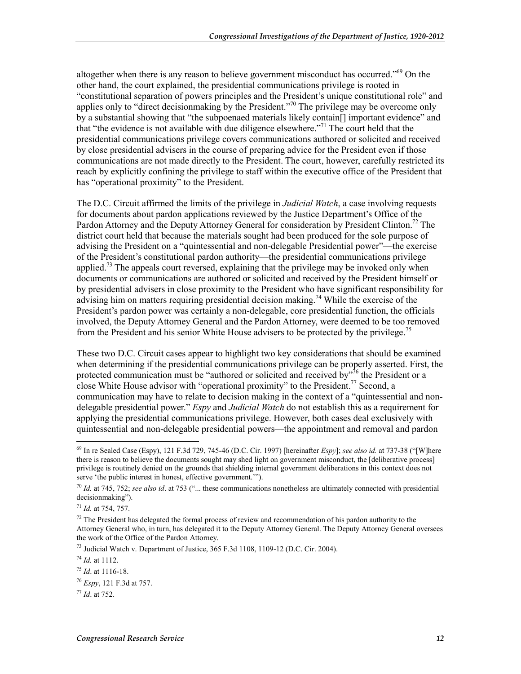altogether when there is any reason to believe government misconduct has occurred."<sup>69</sup> On the other hand, the court explained, the presidential communications privilege is rooted in "constitutional separation of powers principles and the President's unique constitutional role" and applies only to "direct decision making by the President."<sup>70</sup> The privilege may be overcome only by a substantial showing that "the subpoenaed materials likely contain[] important evidence" and that "the evidence is not available with due diligence elsewhere."71 The court held that the presidential communications privilege covers communications authored or solicited and received by close presidential advisers in the course of preparing advice for the President even if those communications are not made directly to the President. The court, however, carefully restricted its reach by explicitly confining the privilege to staff within the executive office of the President that has "operational proximity" to the President.

The D.C. Circuit affirmed the limits of the privilege in *Judicial Watch*, a case involving requests for documents about pardon applications reviewed by the Justice Department's Office of the Pardon Attorney and the Deputy Attorney General for consideration by President Clinton.<sup>72</sup> The district court held that because the materials sought had been produced for the sole purpose of advising the President on a "quintessential and non-delegable Presidential power"—the exercise of the President's constitutional pardon authority—the presidential communications privilege applied.<sup>73</sup> The appeals court reversed, explaining that the privilege may be invoked only when documents or communications are authored or solicited and received by the President himself or by presidential advisers in close proximity to the President who have significant responsibility for advising him on matters requiring presidential decision making.74 While the exercise of the President's pardon power was certainly a non-delegable, core presidential function, the officials involved, the Deputy Attorney General and the Pardon Attorney, were deemed to be too removed from the President and his senior White House advisers to be protected by the privilege.<sup>75</sup>

These two D.C. Circuit cases appear to highlight two key considerations that should be examined when determining if the presidential communications privilege can be properly asserted. First, the protected communication must be "authored or solicited and received by"<sup>76</sup> the President or a close White House advisor with "operational proximity" to the President.<sup>77</sup> Second, a communication may have to relate to decision making in the context of a "quintessential and nondelegable presidential power." *Espy* and *Judicial Watch* do not establish this as a requirement for applying the presidential communications privilege. However, both cases deal exclusively with quintessential and non-delegable presidential powers—the appointment and removal and pardon

<sup>69</sup> In re Sealed Case (Espy), 121 F.3d 729, 745-46 (D.C. Cir. 1997) [hereinafter *Espy*]; *see also id.* at 737-38 ("[W]here there is reason to believe the documents sought may shed light on government misconduct, the [deliberative process] privilege is routinely denied on the grounds that shielding internal government deliberations in this context does not serve 'the public interest in honest, effective government.'").

<sup>70</sup> *Id.* at 745, 752; *see also id*. at 753 ("... these communications nonetheless are ultimately connected with presidential decisionmaking").

<sup>71</sup> *Id.* at 754, 757.

 $72$  The President has delegated the formal process of review and recommendation of his pardon authority to the Attorney General who, in turn, has delegated it to the Deputy Attorney General. The Deputy Attorney General oversees the work of the Office of the Pardon Attorney.

<sup>73</sup> Judicial Watch v. Department of Justice, 365 F.3d 1108, 1109-12 (D.C. Cir. 2004).

<sup>74</sup> *Id.* at 1112.

<sup>75</sup> *Id*. at 1116-18.

<sup>76</sup> *Espy*, 121 F.3d at 757.

<sup>77</sup> *Id*. at 752.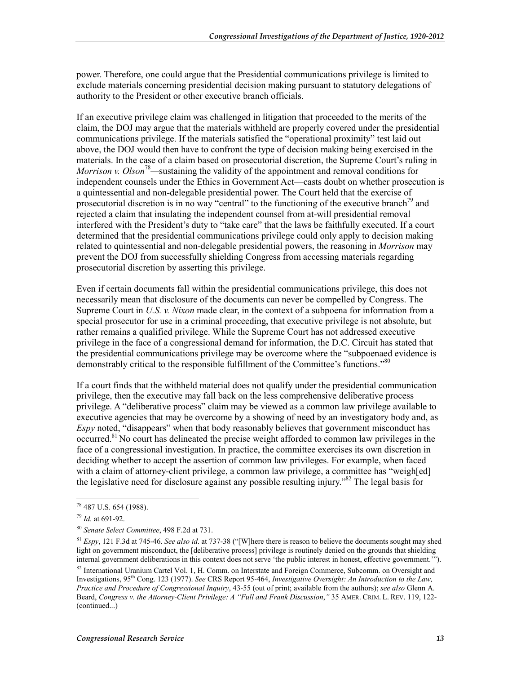power. Therefore, one could argue that the Presidential communications privilege is limited to exclude materials concerning presidential decision making pursuant to statutory delegations of authority to the President or other executive branch officials.

If an executive privilege claim was challenged in litigation that proceeded to the merits of the claim, the DOJ may argue that the materials withheld are properly covered under the presidential communications privilege. If the materials satisfied the "operational proximity" test laid out above, the DOJ would then have to confront the type of decision making being exercised in the materials. In the case of a claim based on prosecutorial discretion, the Supreme Court's ruling in *Morrison v. Olson*<sup>78</sup>—sustaining the validity of the appointment and removal conditions for independent counsels under the Ethics in Government Act—casts doubt on whether prosecution is a quintessential and non-delegable presidential power. The Court held that the exercise of prosecutorial discretion is in no way "central" to the functioning of the executive branch<sup>79</sup> and rejected a claim that insulating the independent counsel from at-will presidential removal interfered with the President's duty to "take care" that the laws be faithfully executed. If a court determined that the presidential communications privilege could only apply to decision making related to quintessential and non-delegable presidential powers, the reasoning in *Morrison* may prevent the DOJ from successfully shielding Congress from accessing materials regarding prosecutorial discretion by asserting this privilege.

Even if certain documents fall within the presidential communications privilege, this does not necessarily mean that disclosure of the documents can never be compelled by Congress. The Supreme Court in *U.S. v. Nixon* made clear, in the context of a subpoena for information from a special prosecutor for use in a criminal proceeding, that executive privilege is not absolute, but rather remains a qualified privilege. While the Supreme Court has not addressed executive privilege in the face of a congressional demand for information, the D.C. Circuit has stated that the presidential communications privilege may be overcome where the "subpoenaed evidence is demonstrably critical to the responsible fulfillment of the Committee's functions."<sup>80</sup>

If a court finds that the withheld material does not qualify under the presidential communication privilege, then the executive may fall back on the less comprehensive deliberative process privilege. A "deliberative process" claim may be viewed as a common law privilege available to executive agencies that may be overcome by a showing of need by an investigatory body and, as *Espy* noted, "disappears" when that body reasonably believes that government misconduct has occurred.<sup>81</sup> No court has delineated the precise weight afforded to common law privileges in the face of a congressional investigation. In practice, the committee exercises its own discretion in deciding whether to accept the assertion of common law privileges. For example, when faced with a claim of attorney-client privilege, a common law privilege, a committee has "weigh[ed] the legislative need for disclosure against any possible resulting injury."82 The legal basis for

<sup>78 487</sup> U.S. 654 (1988).

<sup>79</sup> *Id.* at 691-92.

<sup>80</sup> *Senate Select Committee*, 498 F.2d at 731.

<sup>81</sup> *Espy*, 121 F.3d at 745-46. *See also id*. at 737-38 ("[W]here there is reason to believe the documents sought may shed light on government misconduct, the [deliberative process] privilege is routinely denied on the grounds that shielding internal government deliberations in this context does not serve 'the public interest in honest, effective government.'").

 $82$  International Uranium Cartel Vol. 1, H. Comm. on Interstate and Foreign Commerce, Subcomm. on Oversight and Investigations, 95th Cong. 123 (1977). *See* CRS Report 95-464, *Investigative Oversight: An Introduction to the Law, Practice and Procedure of Congressional Inquiry*, 43-55 (out of print; available from the authors); *see also* Glenn A. Beard, *Congress v. the Attorney-Client Privilege: A "Full and Frank Discussion*,*"* 35 AMER. CRIM. L. REV. 119, 122- (continued...)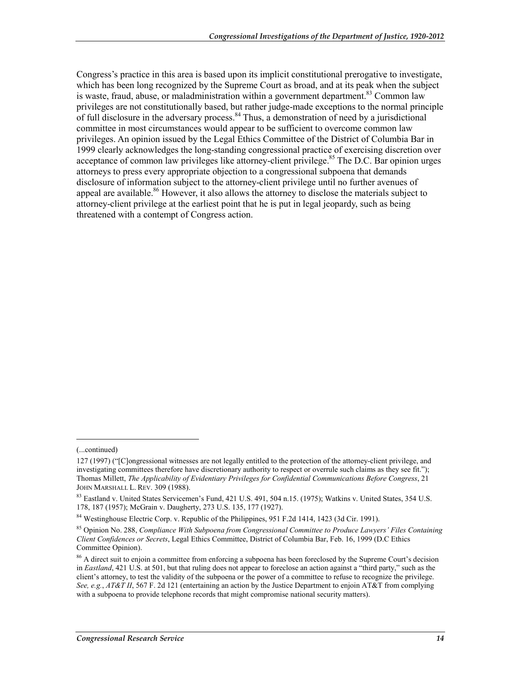Congress's practice in this area is based upon its implicit constitutional prerogative to investigate, which has been long recognized by the Supreme Court as broad, and at its peak when the subject is waste, fraud, abuse, or maladministration within a government department.<sup>83</sup> Common law privileges are not constitutionally based, but rather judge-made exceptions to the normal principle of full disclosure in the adversary process.<sup>84</sup> Thus, a demonstration of need by a jurisdictional committee in most circumstances would appear to be sufficient to overcome common law privileges. An opinion issued by the Legal Ethics Committee of the District of Columbia Bar in 1999 clearly acknowledges the long-standing congressional practice of exercising discretion over acceptance of common law privileges like attorney-client privilege.<sup>85</sup> The D.C. Bar opinion urges attorneys to press every appropriate objection to a congressional subpoena that demands disclosure of information subject to the attorney-client privilege until no further avenues of appeal are available.<sup>86</sup> However, it also allows the attorney to disclose the materials subject to attorney-client privilege at the earliest point that he is put in legal jeopardy, such as being threatened with a contempt of Congress action.

 $\overline{\phantom{a}}$ 

<sup>(...</sup>continued)

<sup>127 (1997) (&</sup>quot;[C]ongressional witnesses are not legally entitled to the protection of the attorney-client privilege, and investigating committees therefore have discretionary authority to respect or overrule such claims as they see fit."); Thomas Millett, *The Applicability of Evidentiary Privileges for Confidential Communications Before Congress*, 21 JOHN MARSHALL L. REV. 309 (1988).

<sup>83</sup> Eastland v. United States Servicemen's Fund, 421 U.S. 491, 504 n.15. (1975); Watkins v. United States, 354 U.S. 178, 187 (1957); McGrain v. Daugherty, 273 U.S. 135, 177 (1927).

<sup>84</sup> Westinghouse Electric Corp. v. Republic of the Philippines, 951 F.2d 1414, 1423 (3d Cir. 1991).

<sup>85</sup> Opinion No. 288, *Compliance With Subpoena from Congressional Committee to Produce Lawyers' Files Containing Client Confidences or Secrets*, Legal Ethics Committee, District of Columbia Bar, Feb. 16, 1999 (D.C Ethics Committee Opinion).

<sup>&</sup>lt;sup>86</sup> A direct suit to enjoin a committee from enforcing a subpoena has been foreclosed by the Supreme Court's decision in *Eastland*, 421 U.S. at 501, but that ruling does not appear to foreclose an action against a "third party," such as the client's attorney, to test the validity of the subpoena or the power of a committee to refuse to recognize the privilege. *See, e.g.*, *AT&T II*, 567 F. 2d 121 (entertaining an action by the Justice Department to enjoin AT&T from complying with a subpoena to provide telephone records that might compromise national security matters).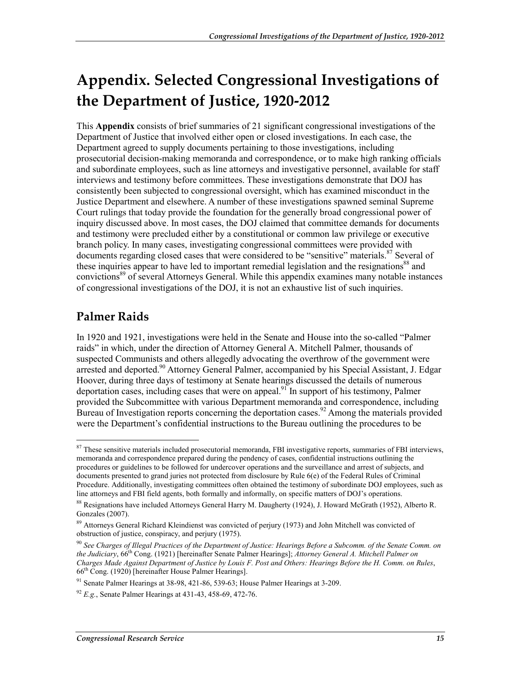## **Appendix. Selected Congressional Investigations of the Department of Justice, 1920-2012**

This **Appendix** consists of brief summaries of 21 significant congressional investigations of the Department of Justice that involved either open or closed investigations. In each case, the Department agreed to supply documents pertaining to those investigations, including prosecutorial decision-making memoranda and correspondence, or to make high ranking officials and subordinate employees, such as line attorneys and investigative personnel, available for staff interviews and testimony before committees. These investigations demonstrate that DOJ has consistently been subjected to congressional oversight, which has examined misconduct in the Justice Department and elsewhere. A number of these investigations spawned seminal Supreme Court rulings that today provide the foundation for the generally broad congressional power of inquiry discussed above. In most cases, the DOJ claimed that committee demands for documents and testimony were precluded either by a constitutional or common law privilege or executive branch policy. In many cases, investigating congressional committees were provided with documents regarding closed cases that were considered to be "sensitive" materials.<sup>87</sup> Several of these inquiries appear to have led to important remedial legislation and the resignations<sup>88</sup> and convictions<sup>89</sup> of several Attorneys General. While this appendix examines many notable instances of congressional investigations of the DOJ, it is not an exhaustive list of such inquiries.

### **Palmer Raids**

<u>.</u>

In 1920 and 1921, investigations were held in the Senate and House into the so-called "Palmer raids" in which, under the direction of Attorney General A. Mitchell Palmer, thousands of suspected Communists and others allegedly advocating the overthrow of the government were arrested and deported.<sup>90</sup> Attorney General Palmer, accompanied by his Special Assistant, J. Edgar Hoover, during three days of testimony at Senate hearings discussed the details of numerous deportation cases, including cases that were on appeal.<sup>91</sup> In support of his testimony, Palmer provided the Subcommittee with various Department memoranda and correspondence, including Bureau of Investigation reports concerning the deportation cases.<sup>92</sup> Among the materials provided were the Department's confidential instructions to the Bureau outlining the procedures to be

<sup>&</sup>lt;sup>87</sup> These sensitive materials included prosecutorial memoranda, FBI investigative reports, summaries of FBI interviews, memoranda and correspondence prepared during the pendency of cases, confidential instructions outlining the procedures or guidelines to be followed for undercover operations and the surveillance and arrest of subjects, and documents presented to grand juries not protected from disclosure by Rule 6(e) of the Federal Rules of Criminal Procedure. Additionally, investigating committees often obtained the testimony of subordinate DOJ employees, such as line attorneys and FBI field agents, both formally and informally, on specific matters of DOJ's operations.

<sup>88</sup> Resignations have included Attorneys General Harry M. Daugherty (1924), J. Howard McGrath (1952), Alberto R. Gonzales (2007).

<sup>89</sup> Attorneys General Richard Kleindienst was convicted of perjury (1973) and John Mitchell was convicted of obstruction of justice, conspiracy, and perjury (1975).

<sup>90</sup> *See Charges of Illegal Practices of the Department of Justice: Hearings Before a Subcomm. of the Senate Comm. on the Judiciary*, 66th Cong. (1921) [hereinafter Senate Palmer Hearings]; *Attorney General A. Mitchell Palmer on Charges Made Against Department of Justice by Louis F. Post and Others: Hearings Before the H. Comm. on Rules*, 66th Cong. (1920) [hereinafter House Palmer Hearings].

<sup>&</sup>lt;sup>91</sup> Senate Palmer Hearings at 38-98, 421-86, 539-63; House Palmer Hearings at 3-209.

<sup>92</sup> *E.g.*, Senate Palmer Hearings at 431-43, 458-69, 472-76.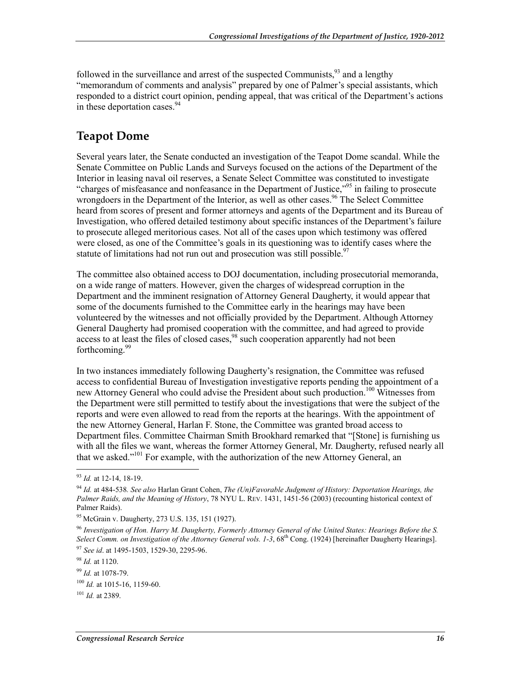followed in the surveillance and arrest of the suspected Communists, $93$  and a lengthy "memorandum of comments and analysis" prepared by one of Palmer's special assistants, which responded to a district court opinion, pending appeal, that was critical of the Department's actions in these deportation cases.<sup>94</sup>

### **Teapot Dome**

Several years later, the Senate conducted an investigation of the Teapot Dome scandal. While the Senate Committee on Public Lands and Surveys focused on the actions of the Department of the Interior in leasing naval oil reserves, a Senate Select Committee was constituted to investigate "charges of misfeasance and nonfeasance in the Department of Justice,"95 in failing to prosecute wrongdoers in the Department of the Interior, as well as other cases.<sup>96</sup> The Select Committee heard from scores of present and former attorneys and agents of the Department and its Bureau of Investigation, who offered detailed testimony about specific instances of the Department's failure to prosecute alleged meritorious cases. Not all of the cases upon which testimony was offered were closed, as one of the Committee's goals in its questioning was to identify cases where the statute of limitations had not run out and prosecution was still possible.<sup>97</sup>

The committee also obtained access to DOJ documentation, including prosecutorial memoranda, on a wide range of matters. However, given the charges of widespread corruption in the Department and the imminent resignation of Attorney General Daugherty, it would appear that some of the documents furnished to the Committee early in the hearings may have been volunteered by the witnesses and not officially provided by the Department. Although Attorney General Daugherty had promised cooperation with the committee, and had agreed to provide access to at least the files of closed cases,  $98$  such cooperation apparently had not been forthcoming.<sup>99</sup>

In two instances immediately following Daugherty's resignation, the Committee was refused access to confidential Bureau of Investigation investigative reports pending the appointment of a new Attorney General who could advise the President about such production.<sup>100</sup> Witnesses from the Department were still permitted to testify about the investigations that were the subject of the reports and were even allowed to read from the reports at the hearings. With the appointment of the new Attorney General, Harlan F. Stone, the Committee was granted broad access to Department files. Committee Chairman Smith Brookhard remarked that "[Stone] is furnishing us with all the files we want, whereas the former Attorney General, Mr. Daugherty, refused nearly all that we asked."101 For example, with the authorization of the new Attorney General, an

<u>.</u>

<sup>93</sup> *Id.* at 12-14, 18-19.

<sup>94</sup> *Id.* at 484-538*. See also* Harlan Grant Cohen, *The (Un)Favorable Judgment of History: Deportation Hearings, the Palmer Raids, and the Meaning of History*, 78 NYU L. REV. 1431, 1451-56 (2003) (recounting historical context of Palmer Raids).

<sup>95</sup> McGrain v. Daugherty, 273 U.S. 135, 151 (1927).

<sup>96</sup> *Investigation of Hon. Harry M. Daugherty, Formerly Attorney General of the United States: Hearings Before the S. Select Comm. on Investigation of the Attorney General vols. 1-3*, 68th Cong. (1924) [hereinafter Daugherty Hearings]. <sup>97</sup> *See id*. at 1495-1503, 1529-30, 2295-96.

<sup>98</sup> *Id.* at 1120.

<sup>99</sup> *Id.* at 1078-79.

<sup>100</sup> *Id.* at 1015-16, 1159-60.

<sup>101</sup> *Id.* at 2389.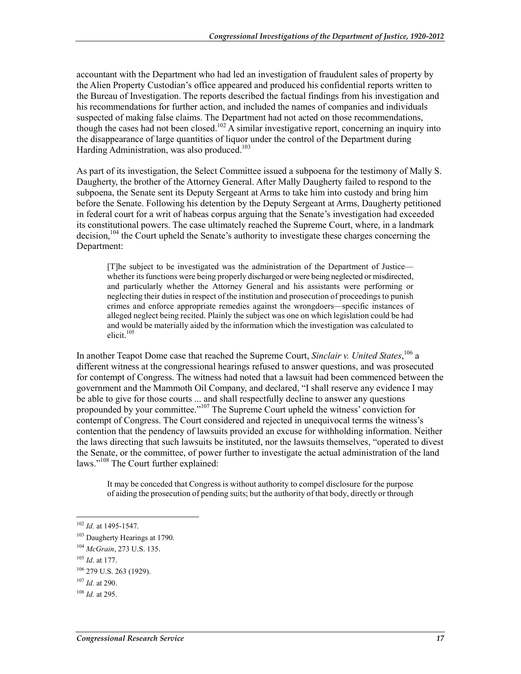accountant with the Department who had led an investigation of fraudulent sales of property by the Alien Property Custodian's office appeared and produced his confidential reports written to the Bureau of Investigation. The reports described the factual findings from his investigation and his recommendations for further action, and included the names of companies and individuals suspected of making false claims. The Department had not acted on those recommendations, though the cases had not been closed.102 A similar investigative report, concerning an inquiry into the disappearance of large quantities of liquor under the control of the Department during Harding Administration, was also produced.<sup>103</sup>

As part of its investigation, the Select Committee issued a subpoena for the testimony of Mally S. Daugherty, the brother of the Attorney General. After Mally Daugherty failed to respond to the subpoena, the Senate sent its Deputy Sergeant at Arms to take him into custody and bring him before the Senate. Following his detention by the Deputy Sergeant at Arms, Daugherty petitioned in federal court for a writ of habeas corpus arguing that the Senate's investigation had exceeded its constitutional powers. The case ultimately reached the Supreme Court, where, in a landmark decision.<sup>104</sup> the Court upheld the Senate's authority to investigate these charges concerning the Department:

[T]he subject to be investigated was the administration of the Department of Justice whether its functions were being properly discharged or were being neglected or misdirected, and particularly whether the Attorney General and his assistants were performing or neglecting their duties in respect of the institution and prosecution of proceedings to punish crimes and enforce appropriate remedies against the wrongdoers—specific instances of alleged neglect being recited. Plainly the subject was one on which legislation could be had and would be materially aided by the information which the investigation was calculated to elicit.<sup>105</sup>

In another Teapot Dome case that reached the Supreme Court, *Sinclair v. United States*, 106 a different witness at the congressional hearings refused to answer questions, and was prosecuted for contempt of Congress. The witness had noted that a lawsuit had been commenced between the government and the Mammoth Oil Company, and declared, "I shall reserve any evidence I may be able to give for those courts ... and shall respectfully decline to answer any questions propounded by your committee."<sup>107</sup> The Supreme Court upheld the witness' conviction for contempt of Congress. The Court considered and rejected in unequivocal terms the witness's contention that the pendency of lawsuits provided an excuse for withholding information. Neither the laws directing that such lawsuits be instituted, nor the lawsuits themselves, "operated to divest the Senate, or the committee, of power further to investigate the actual administration of the land laws."<sup>108</sup> The Court further explained:

It may be conceded that Congress is without authority to compel disclosure for the purpose of aiding the prosecution of pending suits; but the authority of that body, directly or through

<sup>102</sup> *Id.* at 1495-1547.

<sup>103</sup> Daugherty Hearings at 1790.

<sup>104</sup> *McGrain*, 273 U.S. 135.

<sup>105</sup> *Id*. at 177.

<sup>106 279</sup> U.S. 263 (1929).

<sup>107</sup> *Id.* at 290.

<sup>108</sup> *Id.* at 295.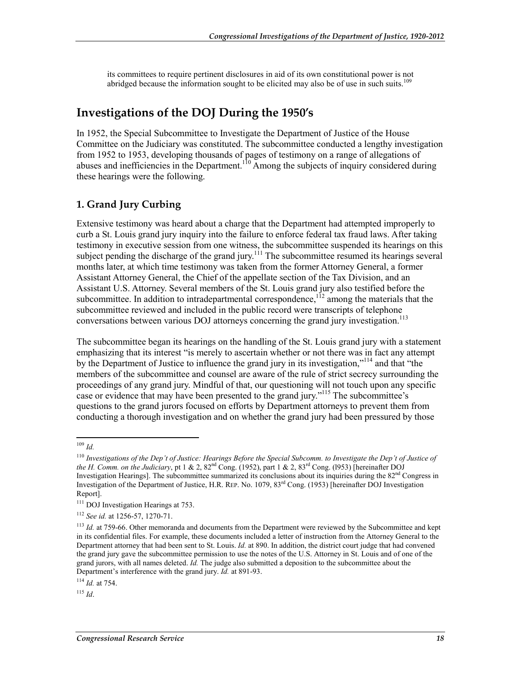its committees to require pertinent disclosures in aid of its own constitutional power is not abridged because the information sought to be elicited may also be of use in such suits. $109$ 

#### **Investigations of the DOJ During the 1950's**

In 1952, the Special Subcommittee to Investigate the Department of Justice of the House Committee on the Judiciary was constituted. The subcommittee conducted a lengthy investigation from 1952 to 1953, developing thousands of pages of testimony on a range of allegations of abuses and inefficiencies in the Department.<sup>110</sup> Among the subjects of inquiry considered during these hearings were the following.

#### **1. Grand Jury Curbing**

Extensive testimony was heard about a charge that the Department had attempted improperly to curb a St. Louis grand jury inquiry into the failure to enforce federal tax fraud laws. After taking testimony in executive session from one witness, the subcommittee suspended its hearings on this subject pending the discharge of the grand jury.<sup>111</sup> The subcommittee resumed its hearings several months later, at which time testimony was taken from the former Attorney General, a former Assistant Attorney General, the Chief of the appellate section of the Tax Division, and an Assistant U.S. Attorney. Several members of the St. Louis grand jury also testified before the subcommittee. In addition to intradepartmental correspondence,<sup>112</sup> among the materials that the subcommittee reviewed and included in the public record were transcripts of telephone conversations between various DOJ attorneys concerning the grand jury investigation.<sup>113</sup>

The subcommittee began its hearings on the handling of the St. Louis grand jury with a statement emphasizing that its interest "is merely to ascertain whether or not there was in fact any attempt by the Department of Justice to influence the grand jury in its investigation,"114 and that "the members of the subcommittee and counsel are aware of the rule of strict secrecy surrounding the proceedings of any grand jury. Mindful of that, our questioning will not touch upon any specific case or evidence that may have been presented to the grand jury."<sup>115</sup> The subcommittee's questions to the grand jurors focused on efforts by Department attorneys to prevent them from conducting a thorough investigation and on whether the grand jury had been pressured by those

<u>.</u>

<sup>109</sup> *Id.*

<sup>110</sup> *Investigations of the Dep't of Justice: Hearings Before the Special Subcomm. to Investigate the Dep't of Justice of the H. Comm. on the Judiciary*, pt 1 & 2, 82nd Cong. (1952), part 1 & 2, 83rd Cong. (l953) [hereinafter DOJ Investigation Hearings]. The subcommittee summarized its conclusions about its inquiries during the  $82<sup>nd</sup>$  Congress in Investigation of the Department of Justice, H.R. REP. No. 1079, 83rd Cong. (1953) [hereinafter DOJ Investigation Report].

<sup>&</sup>lt;sup>111</sup> DOJ Investigation Hearings at 753.

<sup>112</sup> *See id.* at 1256-57, 1270-71.

<sup>&</sup>lt;sup>113</sup> *Id.* at 759-66. Other memoranda and documents from the Department were reviewed by the Subcommittee and kept in its confidential files. For example, these documents included a letter of instruction from the Attorney General to the Department attorney that had been sent to St. Louis. *Id.* at 890. In addition, the district court judge that had convened the grand jury gave the subcommittee permission to use the notes of the U.S. Attorney in St. Louis and of one of the grand jurors, with all names deleted. *Id.* The judge also submitted a deposition to the subcommittee about the Department's interference with the grand jury. *Id.* at 891-93.

<sup>114</sup> *Id.* at 754.

<sup>115</sup> *Id*.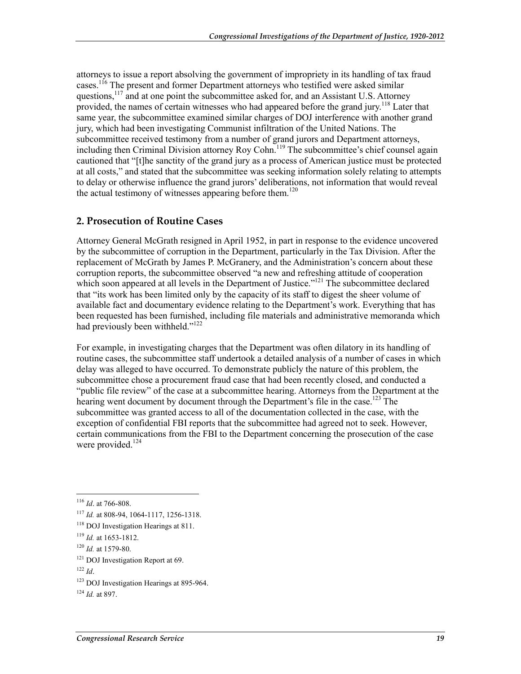attorneys to issue a report absolving the government of impropriety in its handling of tax fraud cases.<sup>116</sup> The present and former Department attorneys who testified were asked similar questions, $117$  and at one point the subcommittee asked for, and an Assistant U.S. Attorney provided, the names of certain witnesses who had appeared before the grand jury.<sup>118</sup> Later that same year, the subcommittee examined similar charges of DOJ interference with another grand jury, which had been investigating Communist infiltration of the United Nations. The subcommittee received testimony from a number of grand jurors and Department attorneys, including then Criminal Division attorney Roy Cohn.<sup>119</sup> The subcommittee's chief counsel again cautioned that "[t]he sanctity of the grand jury as a process of American justice must be protected at all costs," and stated that the subcommittee was seeking information solely relating to attempts to delay or otherwise influence the grand jurors' deliberations, not information that would reveal the actual testimony of witnesses appearing before them.<sup>120</sup>

#### **2. Prosecution of Routine Cases**

Attorney General McGrath resigned in April 1952, in part in response to the evidence uncovered by the subcommittee of corruption in the Department, particularly in the Tax Division. After the replacement of McGrath by James P. McGranery, and the Administration's concern about these corruption reports, the subcommittee observed "a new and refreshing attitude of cooperation which soon appeared at all levels in the Department of Justice."<sup>121</sup> The subcommittee declared that "its work has been limited only by the capacity of its staff to digest the sheer volume of available fact and documentary evidence relating to the Department's work. Everything that has been requested has been furnished, including file materials and administrative memoranda which had previously been withheld."<sup>122</sup>

For example, in investigating charges that the Department was often dilatory in its handling of routine cases, the subcommittee staff undertook a detailed analysis of a number of cases in which delay was alleged to have occurred. To demonstrate publicly the nature of this problem, the subcommittee chose a procurement fraud case that had been recently closed, and conducted a "public file review" of the case at a subcommittee hearing. Attorneys from the Department at the hearing went document by document through the Department's file in the case.<sup>123</sup> The subcommittee was granted access to all of the documentation collected in the case, with the exception of confidential FBI reports that the subcommittee had agreed not to seek. However, certain communications from the FBI to the Department concerning the prosecution of the case were provided. $124$ 

<sup>116</sup> *Id*. at 766-808.

<sup>117</sup> *Id.* at 808-94, 1064-1117, 1256-1318.

<sup>&</sup>lt;sup>118</sup> DOJ Investigation Hearings at 811.

<sup>119</sup> *Id.* at 1653-1812.

<sup>120</sup> *Id.* at 1579-80.

<sup>&</sup>lt;sup>121</sup> DOJ Investigation Report at 69.

<sup>122</sup> *Id*.

<sup>&</sup>lt;sup>123</sup> DOJ Investigation Hearings at 895-964.

<sup>124</sup> *Id.* at 897.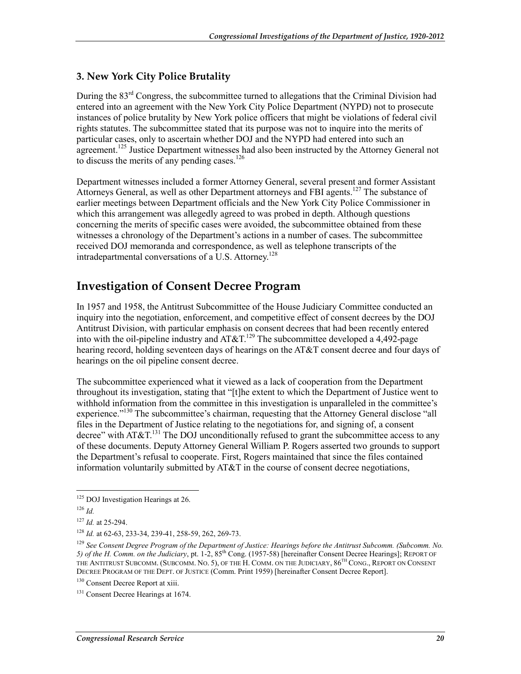#### **3. New York City Police Brutality**

During the 83<sup>rd</sup> Congress, the subcommittee turned to allegations that the Criminal Division had entered into an agreement with the New York City Police Department (NYPD) not to prosecute instances of police brutality by New York police officers that might be violations of federal civil rights statutes. The subcommittee stated that its purpose was not to inquire into the merits of particular cases, only to ascertain whether DOJ and the NYPD had entered into such an agreement.<sup>125</sup> Justice Department witnesses had also been instructed by the Attorney General not to discuss the merits of any pending cases. $126$ 

Department witnesses included a former Attorney General, several present and former Assistant Attorneys General, as well as other Department attorneys and FBI agents.<sup>127</sup> The substance of earlier meetings between Department officials and the New York City Police Commissioner in which this arrangement was allegedly agreed to was probed in depth. Although questions concerning the merits of specific cases were avoided, the subcommittee obtained from these witnesses a chronology of the Department's actions in a number of cases. The subcommittee received DOJ memoranda and correspondence, as well as telephone transcripts of the intradepartmental conversations of a U.S. Attorney.<sup>128</sup>

#### **Investigation of Consent Decree Program**

In 1957 and 1958, the Antitrust Subcommittee of the House Judiciary Committee conducted an inquiry into the negotiation, enforcement, and competitive effect of consent decrees by the DOJ Antitrust Division, with particular emphasis on consent decrees that had been recently entered into with the oil-pipeline industry and  $AT&T$ <sup>129</sup> The subcommittee developed a 4.492-page hearing record, holding seventeen days of hearings on the AT&T consent decree and four days of hearings on the oil pipeline consent decree.

The subcommittee experienced what it viewed as a lack of cooperation from the Department throughout its investigation, stating that "[t]he extent to which the Department of Justice went to withhold information from the committee in this investigation is unparalleled in the committee's experience."<sup>130</sup> The subcommittee's chairman, requesting that the Attorney General disclose "all files in the Department of Justice relating to the negotiations for, and signing of, a consent decree" with  $AT&T$ <sup>131</sup>. The DOJ unconditionally refused to grant the subcommittee access to any of these documents. Deputy Attorney General William P. Rogers asserted two grounds to support the Department's refusal to cooperate. First, Rogers maintained that since the files contained information voluntarily submitted by AT&T in the course of consent decree negotiations,

<sup>1</sup> <sup>125</sup> DOJ Investigation Hearings at 26.

<sup>126</sup> *Id.*

<sup>127</sup> *Id.* at 25-294.

<sup>128</sup> *Id.* at 62-63, 233-34, 239-41, 258-59, 262, 269-73.

<sup>129</sup> *See Consent Degree Program of the Department of Justice: Hearings before the Antitrust Subcomm. (Subcomm. No. 5) of the H. Comm. on the Judiciary*, pt. 1-2, 85th Cong. (1957-58) [hereinafter Consent Decree Hearings]; REPORT OF THE ANTITRUST SUBCOMM. (SUBCOMM. NO. 5), OF THE H. COMM. ON THE JUDICIARY, 86TH CONG., REPORT ON CONSENT DECREE PROGRAM OF THE DEPT. OF JUSTICE (Comm. Print 1959) [hereinafter Consent Decree Report].

<sup>&</sup>lt;sup>130</sup> Consent Decree Report at xiii.

<sup>&</sup>lt;sup>131</sup> Consent Decree Hearings at 1674.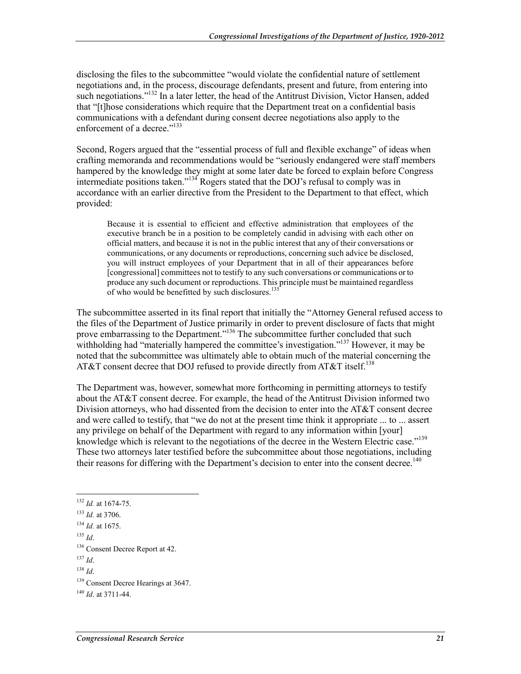disclosing the files to the subcommittee "would violate the confidential nature of settlement negotiations and, in the process, discourage defendants, present and future, from entering into such negotiations."<sup>132</sup> In a later letter, the head of the Antitrust Division, Victor Hansen, added that "[t]hose considerations which require that the Department treat on a confidential basis communications with a defendant during consent decree negotiations also apply to the enforcement of a decree."<sup>133</sup>

Second, Rogers argued that the "essential process of full and flexible exchange" of ideas when crafting memoranda and recommendations would be "seriously endangered were staff members hampered by the knowledge they might at some later date be forced to explain before Congress intermediate positions taken."<sup>134</sup> Rogers stated that the DOJ's refusal to comply was in accordance with an earlier directive from the President to the Department to that effect, which provided:

Because it is essential to efficient and effective administration that employees of the executive branch be in a position to be completely candid in advising with each other on official matters, and because it is not in the public interest that any of their conversations or communications, or any documents or reproductions, concerning such advice be disclosed, you will instruct employees of your Department that in all of their appearances before [congressional] committees not to testify to any such conversations or communications or to produce any such document or reproductions. This principle must be maintained regardless of who would be benefitted by such disclosures.<sup>135</sup>

The subcommittee asserted in its final report that initially the "Attorney General refused access to the files of the Department of Justice primarily in order to prevent disclosure of facts that might prove embarrassing to the Department."<sup>136</sup> The subcommittee further concluded that such withholding had "materially hampered the committee's investigation."<sup>137</sup> However, it may be noted that the subcommittee was ultimately able to obtain much of the material concerning the AT&T consent decree that DOJ refused to provide directly from AT&T itself.<sup>138</sup>

The Department was, however, somewhat more forthcoming in permitting attorneys to testify about the AT&T consent decree. For example, the head of the Antitrust Division informed two Division attorneys, who had dissented from the decision to enter into the AT&T consent decree and were called to testify, that "we do not at the present time think it appropriate ... to ... assert any privilege on behalf of the Department with regard to any information within [your] knowledge which is relevant to the negotiations of the decree in the Western Electric case."<sup>139</sup> These two attorneys later testified before the subcommittee about those negotiations, including their reasons for differing with the Department's decision to enter into the consent decree.<sup>140</sup>

<sup>1</sup> <sup>132</sup> *Id.* at 1674-75.

<sup>133</sup> *Id.* at 3706.

<sup>134</sup> *Id.* at 1675.

<sup>135</sup> *Id*.

<sup>136</sup> Consent Decree Report at 42.

<sup>137</sup> *Id*.

<sup>138</sup> *Id*.

<sup>&</sup>lt;sup>139</sup> Consent Decree Hearings at 3647.

<sup>140</sup> *Id*. at 3711-44.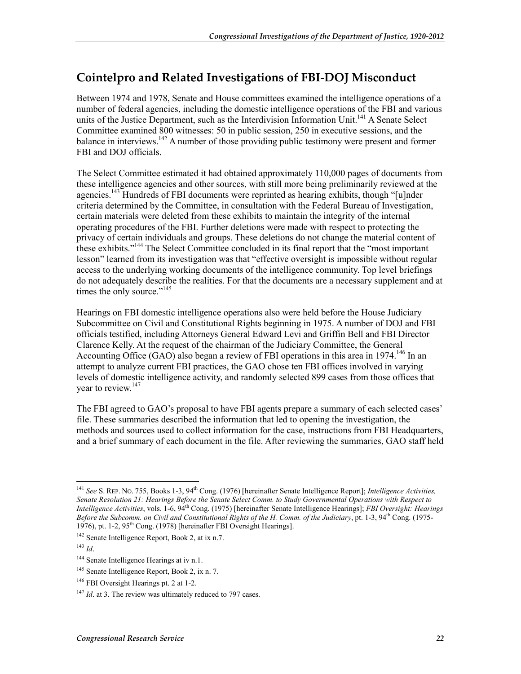#### **Cointelpro and Related Investigations of FBI-DOJ Misconduct**

Between 1974 and 1978, Senate and House committees examined the intelligence operations of a number of federal agencies, including the domestic intelligence operations of the FBI and various units of the Justice Department, such as the Interdivision Information Unit.<sup>141</sup> A Senate Select Committee examined 800 witnesses: 50 in public session, 250 in executive sessions, and the balance in interviews.<sup>142</sup> A number of those providing public testimony were present and former FBI and DOJ officials.

The Select Committee estimated it had obtained approximately 110,000 pages of documents from these intelligence agencies and other sources, with still more being preliminarily reviewed at the agencies.<sup>143</sup> Hundreds of FBI documents were reprinted as hearing exhibits, though "[u]nder criteria determined by the Committee, in consultation with the Federal Bureau of Investigation, certain materials were deleted from these exhibits to maintain the integrity of the internal operating procedures of the FBI. Further deletions were made with respect to protecting the privacy of certain individuals and groups. These deletions do not change the material content of these exhibits."144 The Select Committee concluded in its final report that the "most important lesson" learned from its investigation was that "effective oversight is impossible without regular access to the underlying working documents of the intelligence community. Top level briefings do not adequately describe the realities. For that the documents are a necessary supplement and at times the only source."<sup>145</sup>

Hearings on FBI domestic intelligence operations also were held before the House Judiciary Subcommittee on Civil and Constitutional Rights beginning in 1975. A number of DOJ and FBI officials testified, including Attorneys General Edward Levi and Griffin Bell and FBI Director Clarence Kelly. At the request of the chairman of the Judiciary Committee, the General Accounting Office (GAO) also began a review of FBI operations in this area in 1974.<sup>146</sup> In an attempt to analyze current FBI practices, the GAO chose ten FBI offices involved in varying levels of domestic intelligence activity, and randomly selected 899 cases from those offices that year to review.<sup>147</sup>

The FBI agreed to GAO's proposal to have FBI agents prepare a summary of each selected cases' file. These summaries described the information that led to opening the investigation, the methods and sources used to collect information for the case, instructions from FBI Headquarters, and a brief summary of each document in the file. After reviewing the summaries, GAO staff held

<sup>&</sup>lt;u>.</u> <sup>141</sup> *See* S. REP. No. 755, Books 1-3, 94<sup>th</sup> Cong. (1976) [hereinafter Senate Intelligence Report]; *Intelligence Activities*, *Senate Resolution 21: Hearings Before the Senate Select Comm. to Study Governmental Operations with Respect to Intelligence Activities*, vols. 1-6, 94<sup>th</sup> Cong. (1975) [hereinafter Senate Intelligence Hearings]; *FBI Oversight: Hearings Before the Subcomm. on Civil and Constitutional Rights of the H. Comm. of the Judiciary*, pt. 1-3, 94<sup>th</sup> Cong. (1975-1976), pt. 1-2, 95<sup>th</sup> Cong. (1978) [hereinafter FBI Oversight Hearings].

<sup>142</sup> Senate Intelligence Report, Book 2, at ix n.7.

<sup>143</sup> *Id*.

<sup>&</sup>lt;sup>144</sup> Senate Intelligence Hearings at iv n.1.

<sup>145</sup> Senate Intelligence Report, Book 2, ix n. 7.

<sup>&</sup>lt;sup>146</sup> FBI Oversight Hearings pt. 2 at 1-2.

<sup>&</sup>lt;sup>147</sup> *Id.* at 3. The review was ultimately reduced to 797 cases.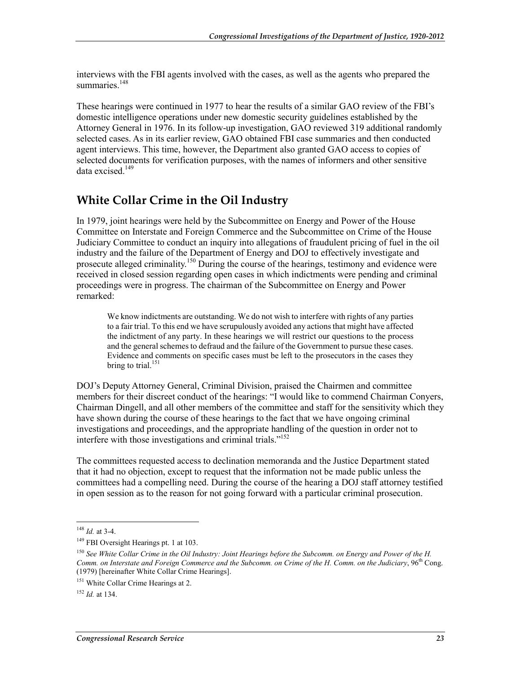interviews with the FBI agents involved with the cases, as well as the agents who prepared the summaries.<sup>148</sup>

These hearings were continued in 1977 to hear the results of a similar GAO review of the FBI's domestic intelligence operations under new domestic security guidelines established by the Attorney General in 1976. In its follow-up investigation, GAO reviewed 319 additional randomly selected cases. As in its earlier review, GAO obtained FBI case summaries and then conducted agent interviews. This time, however, the Department also granted GAO access to copies of selected documents for verification purposes, with the names of informers and other sensitive data excised.<sup>149</sup>

#### **White Collar Crime in the Oil Industry**

In 1979, joint hearings were held by the Subcommittee on Energy and Power of the House Committee on Interstate and Foreign Commerce and the Subcommittee on Crime of the House Judiciary Committee to conduct an inquiry into allegations of fraudulent pricing of fuel in the oil industry and the failure of the Department of Energy and DOJ to effectively investigate and prosecute alleged criminality.<sup>150</sup> During the course of the hearings, testimony and evidence were received in closed session regarding open cases in which indictments were pending and criminal proceedings were in progress. The chairman of the Subcommittee on Energy and Power remarked:

We know indictments are outstanding. We do not wish to interfere with rights of any parties to a fair trial. To this end we have scrupulously avoided any actions that might have affected the indictment of any party. In these hearings we will restrict our questions to the process and the general schemes to defraud and the failure of the Government to pursue these cases. Evidence and comments on specific cases must be left to the prosecutors in the cases they bring to trial. $151$ 

DOJ's Deputy Attorney General, Criminal Division, praised the Chairmen and committee members for their discreet conduct of the hearings: "I would like to commend Chairman Conyers, Chairman Dingell, and all other members of the committee and staff for the sensitivity which they have shown during the course of these hearings to the fact that we have ongoing criminal investigations and proceedings, and the appropriate handling of the question in order not to interfere with those investigations and criminal trials."<sup>152</sup>

The committees requested access to declination memoranda and the Justice Department stated that it had no objection, except to request that the information not be made public unless the committees had a compelling need. During the course of the hearing a DOJ staff attorney testified in open session as to the reason for not going forward with a particular criminal prosecution.

<sup>148</sup> *Id.* at 3-4.

<sup>&</sup>lt;sup>149</sup> FBI Oversight Hearings pt. 1 at 103.

<sup>150</sup> *See White Collar Crime in the Oil Industry: Joint Hearings before the Subcomm. on Energy and Power of the H. Comm. on Interstate and Foreign Commerce and the Subcomm. on Crime of the H. Comm. on the Judiciary*, 96th Cong. (1979) [hereinafter White Collar Crime Hearings].

<sup>&</sup>lt;sup>151</sup> White Collar Crime Hearings at 2.

<sup>152</sup> *Id.* at 134.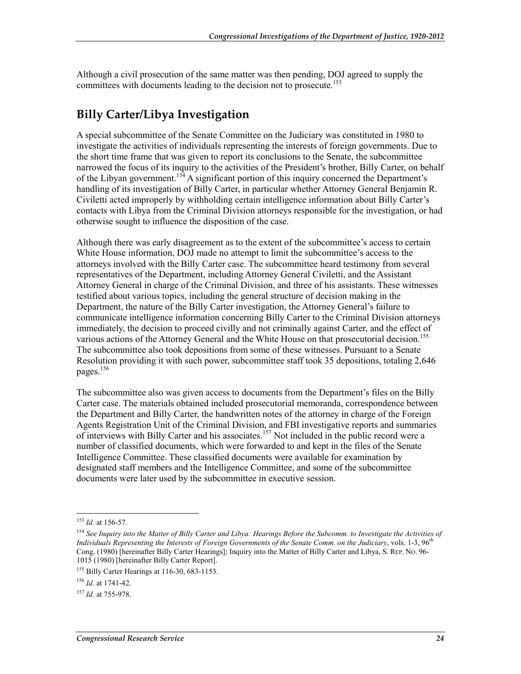Although a civil prosecution of the same matter was then pending, DOJ agreed to supply the committees with documents leading to the decision not to prosecute.<sup>153</sup>

#### **Billy Carter/Libya Investigation**

A special subcommittee of the Senate Committee on the Judiciary was constituted in 1980 to investigate the activities of individuals representing the interests of foreign governments. Due to the short time frame that was given to report its conclusions to the Senate, the subcommittee narrowed the focus of its inquiry to the activities of the President's brother, Billy Carter, on behalf of the Libyan government.<sup>154</sup> A significant portion of this inquiry concerned the Department's handling of its investigation of Billy Carter, in particular whether Attorney General Benjamin R. Civiletti acted improperly by withholding certain intelligence information about Billy Carter's contacts with Libya from the Criminal Division attorneys responsible for the investigation, or had otherwise sought to influence the disposition of the case.

Although there was early disagreement as to the extent of the subcommittee's access to certain White House information, DOJ made no attempt to limit the subcommittee's access to the attorneys involved with the Billy Carter case. The subcommittee heard testimony from several representatives of the Department, including Attorney General Civiletti, and the Assistant Attorney General in charge of the Criminal Division, and three of his assistants. These witnesses testified about various topics, including the general structure of decision making in the Department, the nature of the Billy Carter investigation, the Attorney General's failure to communicate intelligence information concerning Billy Carter to the Criminal Division attorneys immediately, the decision to proceed civilly and not criminally against Carter, and the effect of various actions of the Attorney General and the White House on that prosecutorial decision.<sup>155</sup> The subcommittee also took depositions from some of these witnesses. Pursuant to a Senate Resolution providing it with such power, subcommittee staff took 35 depositions, totaling 2,646 pages.156

The subcommittee also was given access to documents from the Department's files on the Billy Carter case. The materials obtained included prosecutorial memoranda, correspondence between the Department and Billy Carter, the handwritten notes of the attorney in charge of the Foreign Agents Registration Unit of the Criminal Division, and FBI investigative reports and summaries of interviews with Billy Carter and his associates.<sup>157</sup> Not included in the public record were a number of classified documents, which were forwarded to and kept in the files of the Senate Intelligence Committee. These classified documents were available for examination by designated staff members and the Intelligence Committee, and some of the subcommittee documents were later used by the subcommittee in executive session.

<sup>153</sup> *Id.* at 156-57.

<sup>154</sup> *See Inquiry into the Matter of Billy Carter and Libya: Hearings Before the Subcomm. to Investigate the Activities of Individuals Representing the Interests of Foreign Governments of the Senate Comm. on the Judiciary*, vols. 1-3, 96th Cong. (1980) [hereinafter Billy Carter Hearings]; Inquiry into the Matter of Billy Carter and Libya, S. REP. NO. 96- 1015 (1980) [hereinafter Billy Carter Report].

<sup>&</sup>lt;sup>155</sup> Billy Carter Hearings at 116-30, 683-1153.

<sup>156</sup> *Id.* at 1741-42.

<sup>157</sup> *Id.* at 755-978.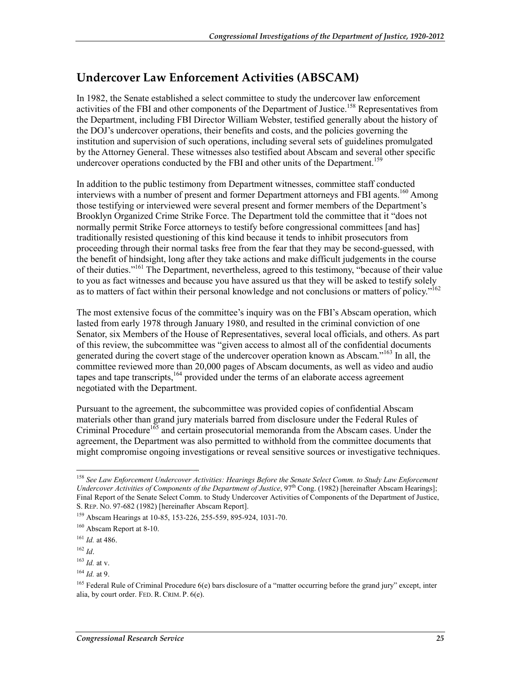#### **Undercover Law Enforcement Activities (ABSCAM)**

In 1982, the Senate established a select committee to study the undercover law enforcement activities of the FBI and other components of the Department of Justice.<sup>158</sup> Representatives from the Department, including FBI Director William Webster, testified generally about the history of the DOJ's undercover operations, their benefits and costs, and the policies governing the institution and supervision of such operations, including several sets of guidelines promulgated by the Attorney General. These witnesses also testified about Abscam and several other specific undercover operations conducted by the FBI and other units of the Department.<sup>159</sup>

In addition to the public testimony from Department witnesses, committee staff conducted interviews with a number of present and former Department attorneys and FBI agents.<sup>160</sup> Among those testifying or interviewed were several present and former members of the Department's Brooklyn Organized Crime Strike Force. The Department told the committee that it "does not normally permit Strike Force attorneys to testify before congressional committees [and has] traditionally resisted questioning of this kind because it tends to inhibit prosecutors from proceeding through their normal tasks free from the fear that they may be second-guessed, with the benefit of hindsight, long after they take actions and make difficult judgements in the course of their duties."161 The Department, nevertheless, agreed to this testimony, "because of their value to you as fact witnesses and because you have assured us that they will be asked to testify solely as to matters of fact within their personal knowledge and not conclusions or matters of policy."<sup>162</sup>

The most extensive focus of the committee's inquiry was on the FBI's Abscam operation, which lasted from early 1978 through January 1980, and resulted in the criminal conviction of one Senator, six Members of the House of Representatives, several local officials, and others. As part of this review, the subcommittee was "given access to almost all of the confidential documents generated during the covert stage of the undercover operation known as Abscam."<sup>163</sup> In all, the committee reviewed more than 20,000 pages of Abscam documents, as well as video and audio tapes and tape transcripts,<sup>164</sup> provided under the terms of an elaborate access agreement negotiated with the Department.

Pursuant to the agreement, the subcommittee was provided copies of confidential Abscam materials other than grand jury materials barred from disclosure under the Federal Rules of Criminal Procedure<sup>165</sup> and certain prosecutorial memoranda from the Abscam cases. Under the agreement, the Department was also permitted to withhold from the committee documents that might compromise ongoing investigations or reveal sensitive sources or investigative techniques.

<sup>158</sup> *See Law Enforcement Undercover Activities: Hearings Before the Senate Select Comm. to Study Law Enforcement Undercover Activities of Components of the Department of Justice*, 97<sup>th</sup> Cong. (1982) [hereinafter Abscam Hearings]; Final Report of the Senate Select Comm. to Study Undercover Activities of Components of the Department of Justice, S. REP. NO. 97-682 (1982) [hereinafter Abscam Report].

<sup>159</sup> Abscam Hearings at 10-85, 153-226, 255-559, 895-924, 1031-70.

<sup>160</sup> Abscam Report at 8-10.

<sup>161</sup> *Id.* at 486.

<sup>162</sup> *Id*.

<sup>163</sup> *Id.* at v.

<sup>164</sup> *Id.* at 9.

 $165$  Federal Rule of Criminal Procedure  $6(e)$  bars disclosure of a "matter occurring before the grand jury" except, inter alia, by court order. FED. R. CRIM. P. 6(e).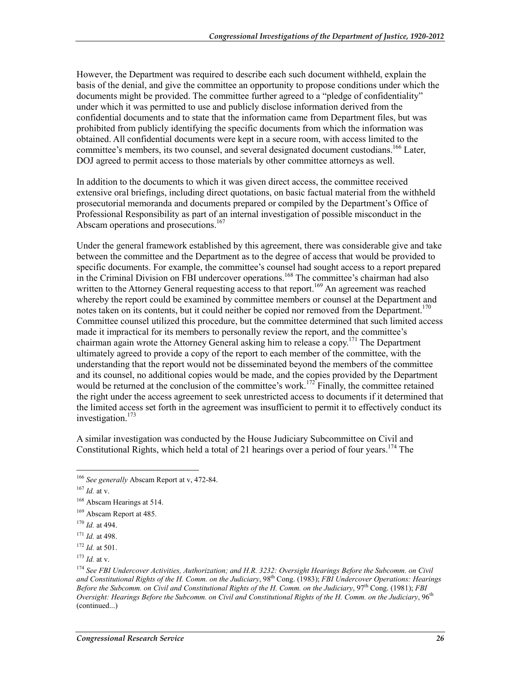However, the Department was required to describe each such document withheld, explain the basis of the denial, and give the committee an opportunity to propose conditions under which the documents might be provided. The committee further agreed to a "pledge of confidentiality" under which it was permitted to use and publicly disclose information derived from the confidential documents and to state that the information came from Department files, but was prohibited from publicly identifying the specific documents from which the information was obtained. All confidential documents were kept in a secure room, with access limited to the committee's members, its two counsel, and several designated document custodians.<sup>166</sup> Later, DOJ agreed to permit access to those materials by other committee attorneys as well.

In addition to the documents to which it was given direct access, the committee received extensive oral briefings, including direct quotations, on basic factual material from the withheld prosecutorial memoranda and documents prepared or compiled by the Department's Office of Professional Responsibility as part of an internal investigation of possible misconduct in the Abscam operations and prosecutions.<sup>167</sup>

Under the general framework established by this agreement, there was considerable give and take between the committee and the Department as to the degree of access that would be provided to specific documents. For example, the committee's counsel had sought access to a report prepared in the Criminal Division on FBI undercover operations.<sup>168</sup> The committee's chairman had also written to the Attorney General requesting access to that report.<sup>169</sup> An agreement was reached whereby the report could be examined by committee members or counsel at the Department and notes taken on its contents, but it could neither be copied nor removed from the Department.<sup>170</sup> Committee counsel utilized this procedure, but the committee determined that such limited access made it impractical for its members to personally review the report, and the committee's chairman again wrote the Attorney General asking him to release a copy.<sup>171</sup> The Department ultimately agreed to provide a copy of the report to each member of the committee, with the understanding that the report would not be disseminated beyond the members of the committee and its counsel, no additional copies would be made, and the copies provided by the Department would be returned at the conclusion of the committee's work.<sup>172</sup> Finally, the committee retained the right under the access agreement to seek unrestricted access to documents if it determined that the limited access set forth in the agreement was insufficient to permit it to effectively conduct its investigation.173

A similar investigation was conducted by the House Judiciary Subcommittee on Civil and Constitutional Rights, which held a total of 21 hearings over a period of four years.<sup>174</sup> The

<sup>166</sup> *See generally* Abscam Report at v, 472-84.

<sup>167</sup> *Id.* at v.

<sup>168</sup> Abscam Hearings at 514.

<sup>169</sup> Abscam Report at 485.

<sup>170</sup> *Id.* at 494.

<sup>171</sup> *Id.* at 498.

<sup>172</sup> *Id.* at 501.

<sup>173</sup> *Id.* at v.

<sup>174</sup> *See FBI Undercover Activities, Authorization; and H.R. 3232: Oversight Hearings Before the Subcomm. on Civil and Constitutional Rights of the H. Comm. on the Judiciary*, 98th Cong. (1983); *FBI Undercover Operations: Hearings Before the Subcomm. on Civil and Constitutional Rights of the H. Comm. on the Judiciary*,  $97<sup>th</sup>$  Cong. (1981); *FBI Oversight: Hearings Before the Subcomm. on Civil and Constitutional Rights of the H. Comm. on the Judiciary*, 96<sup>th</sup> (continued...)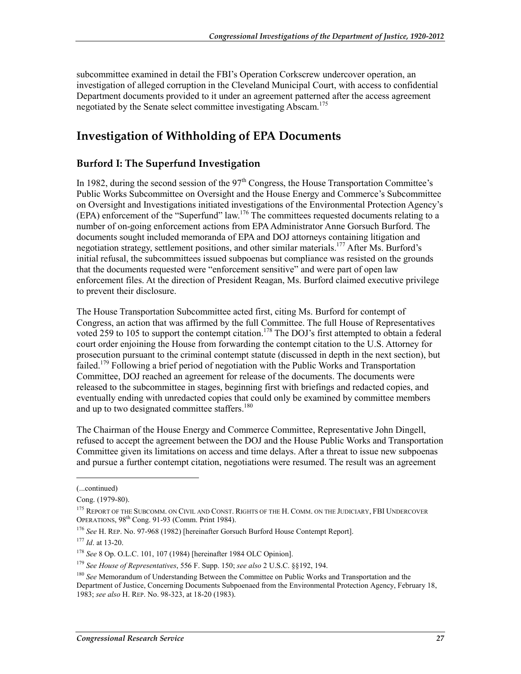subcommittee examined in detail the FBI's Operation Corkscrew undercover operation, an investigation of alleged corruption in the Cleveland Municipal Court, with access to confidential Department documents provided to it under an agreement patterned after the access agreement negotiated by the Senate select committee investigating Abscam.<sup>175</sup>

#### **Investigation of Withholding of EPA Documents**

#### **Burford I: The Superfund Investigation**

In 1982, during the second session of the  $97<sup>th</sup>$  Congress, the House Transportation Committee's Public Works Subcommittee on Oversight and the House Energy and Commerce's Subcommittee on Oversight and Investigations initiated investigations of the Environmental Protection Agency's (EPA) enforcement of the "Superfund" law.176 The committees requested documents relating to a number of on-going enforcement actions from EPA Administrator Anne Gorsuch Burford. The documents sought included memoranda of EPA and DOJ attorneys containing litigation and negotiation strategy, settlement positions, and other similar materials.<sup>177</sup> After Ms. Burford's initial refusal, the subcommittees issued subpoenas but compliance was resisted on the grounds that the documents requested were "enforcement sensitive" and were part of open law enforcement files. At the direction of President Reagan, Ms. Burford claimed executive privilege to prevent their disclosure.

The House Transportation Subcommittee acted first, citing Ms. Burford for contempt of Congress, an action that was affirmed by the full Committee. The full House of Representatives voted 259 to 105 to support the contempt citation.<sup>178</sup> The DOJ's first attempted to obtain a federal court order enjoining the House from forwarding the contempt citation to the U.S. Attorney for prosecution pursuant to the criminal contempt statute (discussed in depth in the next section), but failed.179 Following a brief period of negotiation with the Public Works and Transportation Committee, DOJ reached an agreement for release of the documents. The documents were released to the subcommittee in stages, beginning first with briefings and redacted copies, and eventually ending with unredacted copies that could only be examined by committee members and up to two designated committee staffers.<sup>180</sup>

The Chairman of the House Energy and Commerce Committee, Representative John Dingell, refused to accept the agreement between the DOJ and the House Public Works and Transportation Committee given its limitations on access and time delays. After a threat to issue new subpoenas and pursue a further contempt citation, negotiations were resumed. The result was an agreement

 $\overline{\phantom{a}}$ 

<sup>(...</sup>continued)

Cong. (1979-80).

<sup>&</sup>lt;sup>175</sup> REPORT OF THE SUBCOMM. ON CIVIL AND CONST. RIGHTS OF THE H. COMM. ON THE JUDICIARY, FBI UNDERCOVER OPERATIONS, 98<sup>th</sup> Cong. 91-93 (Comm. Print 1984).

<sup>176</sup> *See* H. REP. No. 97-968 (1982) [hereinafter Gorsuch Burford House Contempt Report].

<sup>177</sup> *Id*. at 13-20.

<sup>178</sup> *See* 8 Op. O.L.C. 101, 107 (1984) [hereinafter 1984 OLC Opinion].

<sup>179</sup> *See House of Representatives*, 556 F. Supp. 150; *see also* 2 U.S.C. §§192, 194.

<sup>&</sup>lt;sup>180</sup> See Memorandum of Understanding Between the Committee on Public Works and Transportation and the Department of Justice, Concerning Documents Subpoenaed from the Environmental Protection Agency, February 18, 1983; *see also* H. REP. No. 98-323, at 18-20 (1983).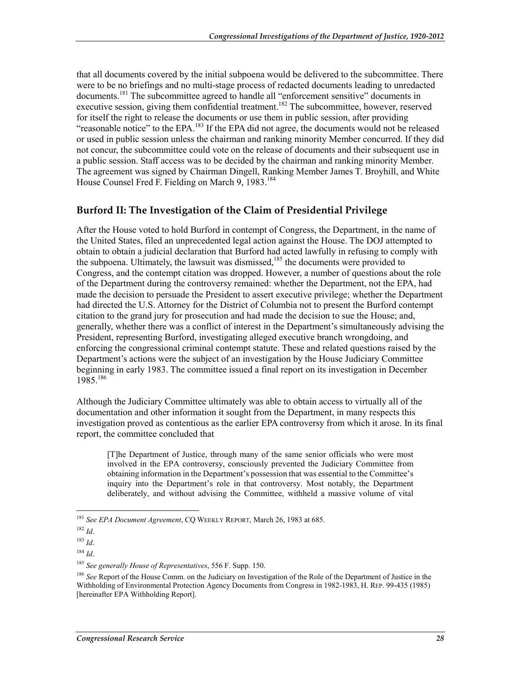that all documents covered by the initial subpoena would be delivered to the subcommittee. There were to be no briefings and no multi-stage process of redacted documents leading to unredacted documents.<sup>181</sup> The subcommittee agreed to handle all "enforcement sensitive" documents in executive session, giving them confidential treatment.<sup>182</sup> The subcommittee, however, reserved for itself the right to release the documents or use them in public session, after providing "reasonable notice" to the EPA.<sup>183</sup> If the EPA did not agree, the documents would not be released or used in public session unless the chairman and ranking minority Member concurred. If they did not concur, the subcommittee could vote on the release of documents and their subsequent use in a public session. Staff access was to be decided by the chairman and ranking minority Member. The agreement was signed by Chairman Dingell, Ranking Member James T. Broyhill, and White House Counsel Fred F. Fielding on March 9, 1983.<sup>184</sup>

#### **Burford II: The Investigation of the Claim of Presidential Privilege**

After the House voted to hold Burford in contempt of Congress, the Department, in the name of the United States, filed an unprecedented legal action against the House. The DOJ attempted to obtain to obtain a judicial declaration that Burford had acted lawfully in refusing to comply with the subpoena. Ultimately, the lawsuit was dismissed,<sup>185</sup> the documents were provided to Congress, and the contempt citation was dropped. However, a number of questions about the role of the Department during the controversy remained: whether the Department, not the EPA, had made the decision to persuade the President to assert executive privilege; whether the Department had directed the U.S. Attorney for the District of Columbia not to present the Burford contempt citation to the grand jury for prosecution and had made the decision to sue the House; and, generally, whether there was a conflict of interest in the Department's simultaneously advising the President, representing Burford, investigating alleged executive branch wrongdoing, and enforcing the congressional criminal contempt statute. These and related questions raised by the Department's actions were the subject of an investigation by the House Judiciary Committee beginning in early 1983. The committee issued a final report on its investigation in December 1985.186

Although the Judiciary Committee ultimately was able to obtain access to virtually all of the documentation and other information it sought from the Department, in many respects this investigation proved as contentious as the earlier EPA controversy from which it arose. In its final report, the committee concluded that

[T]he Department of Justice, through many of the same senior officials who were most involved in the EPA controversy, consciously prevented the Judiciary Committee from obtaining information in the Department's possession that was essential to the Committee's inquiry into the Department's role in that controversy. Most notably, the Department deliberately, and without advising the Committee, withheld a massive volume of vital

<sup>181</sup> *See EPA Document Agreement*, CQ WEEKLY REPORT, March 26, 1983 at 685.

<sup>182</sup> *Id*.

<sup>183</sup> *Id*.

<sup>184</sup> *Id*.

<sup>185</sup> *See generally House of Representatives*, 556 F. Supp. 150.

<sup>&</sup>lt;sup>186</sup> See Report of the House Comm. on the Judiciary on Investigation of the Role of the Department of Justice in the Withholding of Environmental Protection Agency Documents from Congress in 1982-1983, H. REP. 99-435 (1985) [hereinafter EPA Withholding Report].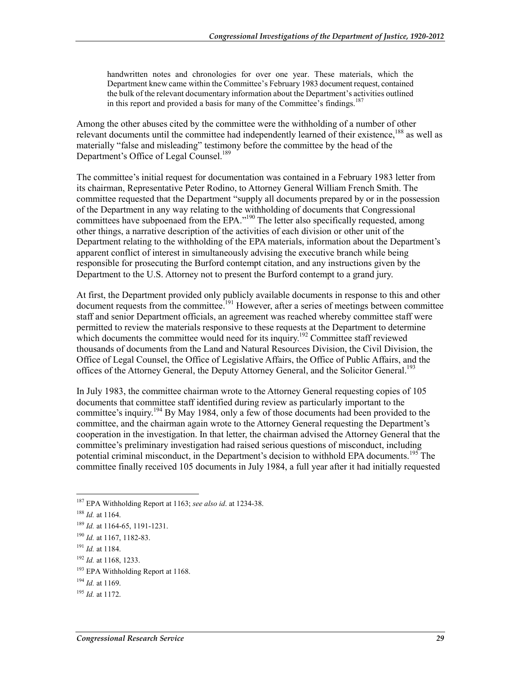handwritten notes and chronologies for over one year. These materials, which the Department knew came within the Committee's February 1983 document request, contained the bulk of the relevant documentary information about the Department's activities outlined in this report and provided a basis for many of the Committee's findings.<sup>187</sup>

Among the other abuses cited by the committee were the withholding of a number of other relevant documents until the committee had independently learned of their existence,<sup>188</sup> as well as materially "false and misleading" testimony before the committee by the head of the Department's Office of Legal Counsel.<sup>189</sup>

The committee's initial request for documentation was contained in a February 1983 letter from its chairman, Representative Peter Rodino, to Attorney General William French Smith. The committee requested that the Department "supply all documents prepared by or in the possession of the Department in any way relating to the withholding of documents that Congressional committees have subpoenaed from the EPA."<sup>190</sup> The letter also specifically requested, among other things, a narrative description of the activities of each division or other unit of the Department relating to the withholding of the EPA materials, information about the Department's apparent conflict of interest in simultaneously advising the executive branch while being responsible for prosecuting the Burford contempt citation, and any instructions given by the Department to the U.S. Attorney not to present the Burford contempt to a grand jury.

At first, the Department provided only publicly available documents in response to this and other document requests from the committee.<sup>191</sup> However, after a series of meetings between committee staff and senior Department officials, an agreement was reached whereby committee staff were permitted to review the materials responsive to these requests at the Department to determine which documents the committee would need for its inquiry.<sup>192</sup> Committee staff reviewed thousands of documents from the Land and Natural Resources Division, the Civil Division, the Office of Legal Counsel, the Office of Legislative Affairs, the Office of Public Affairs, and the offices of the Attorney General, the Deputy Attorney General, and the Solicitor General.<sup>193</sup>

In July 1983, the committee chairman wrote to the Attorney General requesting copies of 105 documents that committee staff identified during review as particularly important to the committee's inquiry.<sup>194</sup> By May 1984, only a few of those documents had been provided to the committee, and the chairman again wrote to the Attorney General requesting the Department's cooperation in the investigation. In that letter, the chairman advised the Attorney General that the committee's preliminary investigation had raised serious questions of misconduct, including potential criminal misconduct, in the Department's decision to withhold EPA documents.<sup>195</sup> The committee finally received 105 documents in July 1984, a full year after it had initially requested

<sup>1</sup> 187 EPA Withholding Report at 1163; *see also id*. at 1234-38.

<sup>188</sup> *Id.* at 1164.

<sup>189</sup> *Id.* at 1164-65, 1191-1231.

<sup>190</sup> *Id.* at 1167, 1182-83.

<sup>191</sup> *Id.* at 1184.

<sup>192</sup> *Id.* at 1168, 1233.

<sup>&</sup>lt;sup>193</sup> EPA Withholding Report at 1168.

<sup>194</sup> *Id.* at 1169.

<sup>195</sup> *Id.* at 1172.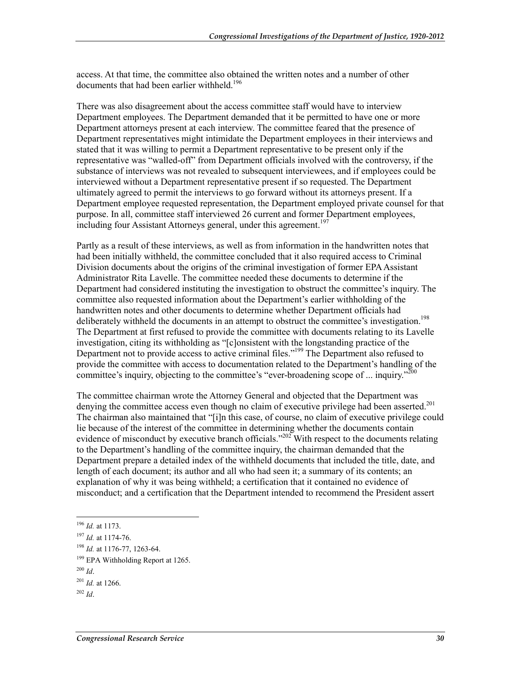access. At that time, the committee also obtained the written notes and a number of other documents that had been earlier withheld.<sup>196</sup>

There was also disagreement about the access committee staff would have to interview Department employees. The Department demanded that it be permitted to have one or more Department attorneys present at each interview. The committee feared that the presence of Department representatives might intimidate the Department employees in their interviews and stated that it was willing to permit a Department representative to be present only if the representative was "walled-off" from Department officials involved with the controversy, if the substance of interviews was not revealed to subsequent interviewees, and if employees could be interviewed without a Department representative present if so requested. The Department ultimately agreed to permit the interviews to go forward without its attorneys present. If a Department employee requested representation, the Department employed private counsel for that purpose. In all, committee staff interviewed 26 current and former Department employees, including four Assistant Attorneys general, under this agreement.<sup>197</sup>

Partly as a result of these interviews, as well as from information in the handwritten notes that had been initially withheld, the committee concluded that it also required access to Criminal Division documents about the origins of the criminal investigation of former EPA Assistant Administrator Rita Lavelle. The committee needed these documents to determine if the Department had considered instituting the investigation to obstruct the committee's inquiry. The committee also requested information about the Department's earlier withholding of the handwritten notes and other documents to determine whether Department officials had deliberately withheld the documents in an attempt to obstruct the committee's investigation.<sup>198</sup> The Department at first refused to provide the committee with documents relating to its Lavelle investigation, citing its withholding as "[c]onsistent with the longstanding practice of the Department not to provide access to active criminal files."199 The Department also refused to provide the committee with access to documentation related to the Department's handling of the committee's inquiry, objecting to the committee's "ever-broadening scope of ... inquiry."<sup>200</sup>

The committee chairman wrote the Attorney General and objected that the Department was denying the committee access even though no claim of executive privilege had been asserted.<sup>201</sup> The chairman also maintained that "[i]n this case, of course, no claim of executive privilege could lie because of the interest of the committee in determining whether the documents contain evidence of misconduct by executive branch officials."<sup>202</sup> With respect to the documents relating to the Department's handling of the committee inquiry, the chairman demanded that the Department prepare a detailed index of the withheld documents that included the title, date, and length of each document; its author and all who had seen it; a summary of its contents; an explanation of why it was being withheld; a certification that it contained no evidence of misconduct; and a certification that the Department intended to recommend the President assert

<sup>1</sup> <sup>196</sup> *Id.* at 1173.

<sup>197</sup> *Id.* at 1174-76.

<sup>198</sup> *Id.* at 1176-77, 1263-64.

<sup>&</sup>lt;sup>199</sup> EPA Withholding Report at 1265.

<sup>200</sup> *Id*.

 $^{201}$  *Id.* at 1266.

 $202$  *Id*.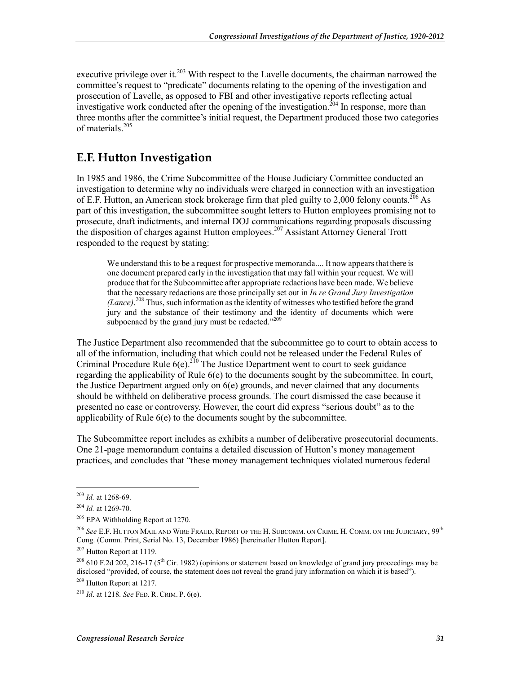executive privilege over it.<sup>203</sup> With respect to the Lavelle documents, the chairman narrowed the committee's request to "predicate" documents relating to the opening of the investigation and prosecution of Lavelle, as opposed to FBI and other investigative reports reflecting actual investigative work conducted after the opening of the investigation.<sup>204</sup> In response, more than three months after the committee's initial request, the Department produced those two categories of materials $^{205}$ 

#### **E.F. Hutton Investigation**

In 1985 and 1986, the Crime Subcommittee of the House Judiciary Committee conducted an investigation to determine why no individuals were charged in connection with an investigation of E.F. Hutton, an American stock brokerage firm that pled guilty to 2,000 felony counts.<sup>206</sup> As part of this investigation, the subcommittee sought letters to Hutton employees promising not to prosecute, draft indictments, and internal DOJ communications regarding proposals discussing the disposition of charges against Hutton employees.<sup>207</sup> Assistant Attorney General Trott responded to the request by stating:

We understand this to be a request for prospective memoranda.... It now appears that there is one document prepared early in the investigation that may fall within your request. We will produce that for the Subcommittee after appropriate redactions have been made. We believe that the necessary redactions are those principally set out in *In re Grand Jury Investigation (Lance)*. 208 Thus, such information as the identity of witnesses who testified before the grand jury and the substance of their testimony and the identity of documents which were subpoenaed by the grand jury must be redacted."<sup>209</sup>

The Justice Department also recommended that the subcommittee go to court to obtain access to all of the information, including that which could not be released under the Federal Rules of Criminal Procedure Rule  $6(e)$ <sup>210</sup> The Justice Department went to court to seek guidance regarding the applicability of Rule 6(e) to the documents sought by the subcommittee. In court, the Justice Department argued only on  $6(e)$  grounds, and never claimed that any documents should be withheld on deliberative process grounds. The court dismissed the case because it presented no case or controversy. However, the court did express "serious doubt" as to the applicability of Rule 6(e) to the documents sought by the subcommittee.

The Subcommittee report includes as exhibits a number of deliberative prosecutorial documents. One 21-page memorandum contains a detailed discussion of Hutton's money management practices, and concludes that "these money management techniques violated numerous federal

<sup>203</sup> *Id.* at 1268-69.

<sup>204</sup> *Id.* at 1269-70.

<sup>205</sup> EPA Withholding Report at 1270.

<sup>206</sup> *See* E.F. HUTTON MAIL AND WIRE FRAUD, REPORT OF THE H. SUBCOMM. ON CRIME, H. COMM. ON THE JUDICIARY, 99th Cong. (Comm. Print, Serial No. 13, December 1986) [hereinafter Hutton Report].

<sup>207</sup> Hutton Report at 1119.

<sup>&</sup>lt;sup>208</sup> 610 F.2d 202, 216-17 (5<sup>th</sup> Cir. 1982) (opinions or statement based on knowledge of grand jury proceedings may be disclosed "provided, of course, the statement does not reveal the grand jury information on which it is based"). 209 Hutton Report at 1217.

<sup>210</sup> *Id*. at 1218. *See* FED. R. CRIM. P. 6(e).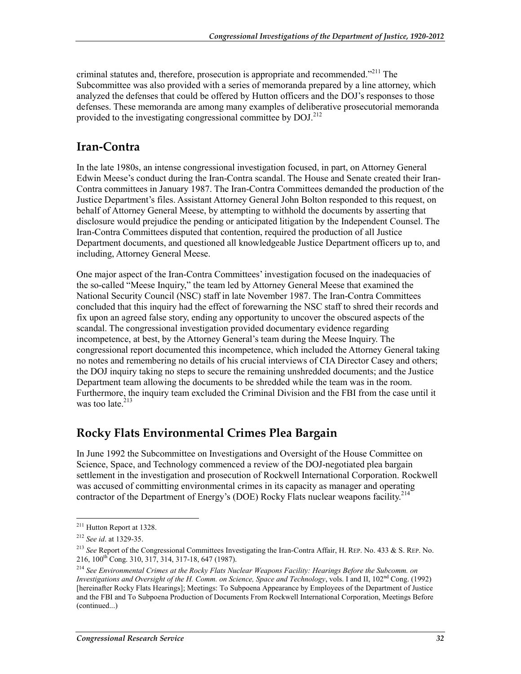criminal statutes and, therefore, prosecution is appropriate and recommended."<sup>211</sup> The Subcommittee was also provided with a series of memoranda prepared by a line attorney, which analyzed the defenses that could be offered by Hutton officers and the DOJ's responses to those defenses. These memoranda are among many examples of deliberative prosecutorial memoranda provided to the investigating congressional committee by DOJ.<sup>212</sup>

#### **Iran-Contra**

In the late 1980s, an intense congressional investigation focused, in part, on Attorney General Edwin Meese's conduct during the Iran-Contra scandal. The House and Senate created their Iran-Contra committees in January 1987. The Iran-Contra Committees demanded the production of the Justice Department's files. Assistant Attorney General John Bolton responded to this request, on behalf of Attorney General Meese, by attempting to withhold the documents by asserting that disclosure would prejudice the pending or anticipated litigation by the Independent Counsel. The Iran-Contra Committees disputed that contention, required the production of all Justice Department documents, and questioned all knowledgeable Justice Department officers up to, and including, Attorney General Meese.

One major aspect of the Iran-Contra Committees' investigation focused on the inadequacies of the so-called "Meese Inquiry," the team led by Attorney General Meese that examined the National Security Council (NSC) staff in late November 1987. The Iran-Contra Committees concluded that this inquiry had the effect of forewarning the NSC staff to shred their records and fix upon an agreed false story, ending any opportunity to uncover the obscured aspects of the scandal. The congressional investigation provided documentary evidence regarding incompetence, at best, by the Attorney General's team during the Meese Inquiry. The congressional report documented this incompetence, which included the Attorney General taking no notes and remembering no details of his crucial interviews of CIA Director Casey and others; the DOJ inquiry taking no steps to secure the remaining unshredded documents; and the Justice Department team allowing the documents to be shredded while the team was in the room. Furthermore, the inquiry team excluded the Criminal Division and the FBI from the case until it was too late. $^{213}$ 

#### **Rocky Flats Environmental Crimes Plea Bargain**

In June 1992 the Subcommittee on Investigations and Oversight of the House Committee on Science, Space, and Technology commenced a review of the DOJ-negotiated plea bargain settlement in the investigation and prosecution of Rockwell International Corporation. Rockwell was accused of committing environmental crimes in its capacity as manager and operating contractor of the Department of Energy's (DOE) Rocky Flats nuclear weapons facility.<sup>214</sup>

<sup>1</sup> <sup>211</sup> Hutton Report at 1328.

<sup>212</sup> *See id*. at 1329-35.

<sup>213</sup> *See* Report of the Congressional Committees Investigating the Iran-Contra Affair, H. REP. No. 433 & S. REP. No. 216, 100th Cong. 310, 317, 314, 317-18, 647 (1987).

<sup>214</sup> *See Environmental Crimes at the Rocky Flats Nuclear Weapons Facility: Hearings Before the Subcomm. on Investigations and Oversight of the H. Comm. on Science, Space and Technology*, vols. I and II, 102<sup>nd</sup> Cong. (1992) [hereinafter Rocky Flats Hearings]; Meetings: To Subpoena Appearance by Employees of the Department of Justice and the FBI and To Subpoena Production of Documents From Rockwell International Corporation, Meetings Before (continued...)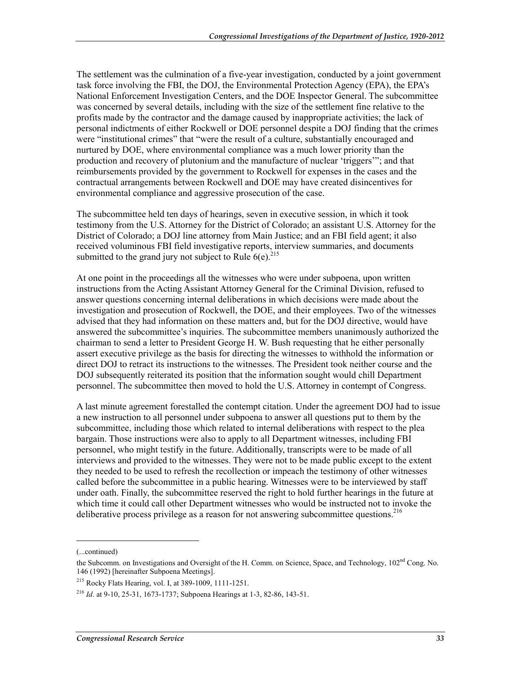The settlement was the culmination of a five-year investigation, conducted by a joint government task force involving the FBI, the DOJ, the Environmental Protection Agency (EPA), the EPA's National Enforcement Investigation Centers, and the DOE Inspector General. The subcommittee was concerned by several details, including with the size of the settlement fine relative to the profits made by the contractor and the damage caused by inappropriate activities; the lack of personal indictments of either Rockwell or DOE personnel despite a DOJ finding that the crimes were "institutional crimes" that "were the result of a culture, substantially encouraged and nurtured by DOE, where environmental compliance was a much lower priority than the production and recovery of plutonium and the manufacture of nuclear 'triggers'"; and that reimbursements provided by the government to Rockwell for expenses in the cases and the contractual arrangements between Rockwell and DOE may have created disincentives for environmental compliance and aggressive prosecution of the case.

The subcommittee held ten days of hearings, seven in executive session, in which it took testimony from the U.S. Attorney for the District of Colorado; an assistant U.S. Attorney for the District of Colorado; a DOJ line attorney from Main Justice; and an FBI field agent; it also received voluminous FBI field investigative reports, interview summaries, and documents submitted to the grand jury not subject to Rule  $6(e)^{215}$ 

At one point in the proceedings all the witnesses who were under subpoena, upon written instructions from the Acting Assistant Attorney General for the Criminal Division, refused to answer questions concerning internal deliberations in which decisions were made about the investigation and prosecution of Rockwell, the DOE, and their employees. Two of the witnesses advised that they had information on these matters and, but for the DOJ directive, would have answered the subcommittee's inquiries. The subcommittee members unanimously authorized the chairman to send a letter to President George H. W. Bush requesting that he either personally assert executive privilege as the basis for directing the witnesses to withhold the information or direct DOJ to retract its instructions to the witnesses. The President took neither course and the DOJ subsequently reiterated its position that the information sought would chill Department personnel. The subcommittee then moved to hold the U.S. Attorney in contempt of Congress.

A last minute agreement forestalled the contempt citation. Under the agreement DOJ had to issue a new instruction to all personnel under subpoena to answer all questions put to them by the subcommittee, including those which related to internal deliberations with respect to the plea bargain. Those instructions were also to apply to all Department witnesses, including FBI personnel, who might testify in the future. Additionally, transcripts were to be made of all interviews and provided to the witnesses. They were not to be made public except to the extent they needed to be used to refresh the recollection or impeach the testimony of other witnesses called before the subcommittee in a public hearing. Witnesses were to be interviewed by staff under oath. Finally, the subcommittee reserved the right to hold further hearings in the future at which time it could call other Department witnesses who would be instructed not to invoke the deliberative process privilege as a reason for not answering subcommittee questions.<sup>216</sup>

<sup>(...</sup>continued)

the Subcomm. on Investigations and Oversight of the H. Comm. on Science, Space, and Technology, 102<sup>nd</sup> Cong. No. 146 (1992) [hereinafter Subpoena Meetings].

<sup>215</sup> Rocky Flats Hearing, vol. I, at 389-1009, 1111-1251.

<sup>216</sup> *Id*. at 9-10, 25-31, 1673-1737; Subpoena Hearings at 1-3, 82-86, 143-51.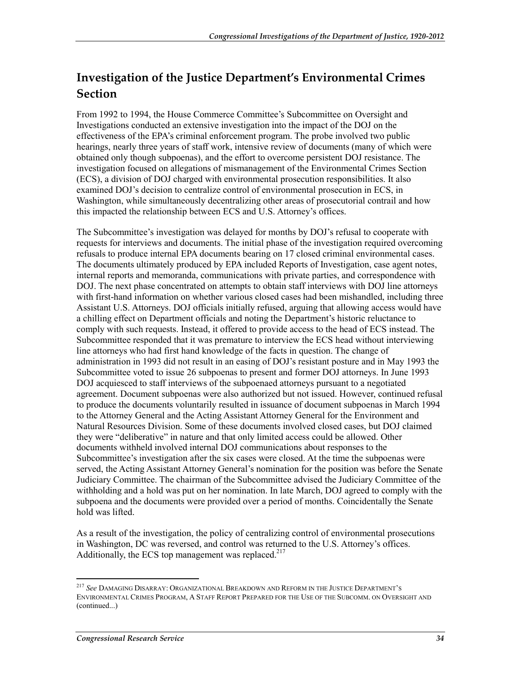### **Investigation of the Justice Department's Environmental Crimes Section**

From 1992 to 1994, the House Commerce Committee's Subcommittee on Oversight and Investigations conducted an extensive investigation into the impact of the DOJ on the effectiveness of the EPA's criminal enforcement program. The probe involved two public hearings, nearly three years of staff work, intensive review of documents (many of which were obtained only though subpoenas), and the effort to overcome persistent DOJ resistance. The investigation focused on allegations of mismanagement of the Environmental Crimes Section (ECS), a division of DOJ charged with environmental prosecution responsibilities. It also examined DOJ's decision to centralize control of environmental prosecution in ECS, in Washington, while simultaneously decentralizing other areas of prosecutorial contrail and how this impacted the relationship between ECS and U.S. Attorney's offices.

The Subcommittee's investigation was delayed for months by DOJ's refusal to cooperate with requests for interviews and documents. The initial phase of the investigation required overcoming refusals to produce internal EPA documents bearing on 17 closed criminal environmental cases. The documents ultimately produced by EPA included Reports of Investigation, case agent notes, internal reports and memoranda, communications with private parties, and correspondence with DOJ. The next phase concentrated on attempts to obtain staff interviews with DOJ line attorneys with first-hand information on whether various closed cases had been mishandled, including three Assistant U.S. Attorneys. DOJ officials initially refused, arguing that allowing access would have a chilling effect on Department officials and noting the Department's historic reluctance to comply with such requests. Instead, it offered to provide access to the head of ECS instead. The Subcommittee responded that it was premature to interview the ECS head without interviewing line attorneys who had first hand knowledge of the facts in question. The change of administration in 1993 did not result in an easing of DOJ's resistant posture and in May 1993 the Subcommittee voted to issue 26 subpoenas to present and former DOJ attorneys. In June 1993 DOJ acquiesced to staff interviews of the subpoenaed attorneys pursuant to a negotiated agreement. Document subpoenas were also authorized but not issued. However, continued refusal to produce the documents voluntarily resulted in issuance of document subpoenas in March 1994 to the Attorney General and the Acting Assistant Attorney General for the Environment and Natural Resources Division. Some of these documents involved closed cases, but DOJ claimed they were "deliberative" in nature and that only limited access could be allowed. Other documents withheld involved internal DOJ communications about responses to the Subcommittee's investigation after the six cases were closed. At the time the subpoenas were served, the Acting Assistant Attorney General's nomination for the position was before the Senate Judiciary Committee. The chairman of the Subcommittee advised the Judiciary Committee of the withholding and a hold was put on her nomination. In late March, DOJ agreed to comply with the subpoena and the documents were provided over a period of months. Coincidentally the Senate hold was lifted.

As a result of the investigation, the policy of centralizing control of environmental prosecutions in Washington, DC was reversed, and control was returned to the U.S. Attorney's offices. Additionally, the ECS top management was replaced.<sup>217</sup>

<sup>217</sup> *See* DAMAGING DISARRAY: ORGANIZATIONAL BREAKDOWN AND REFORM IN THE JUSTICE DEPARTMENT'S ENVIRONMENTAL CRIMES PROGRAM, A STAFF REPORT PREPARED FOR THE USE OF THE SUBCOMM. ON OVERSIGHT AND (continued...)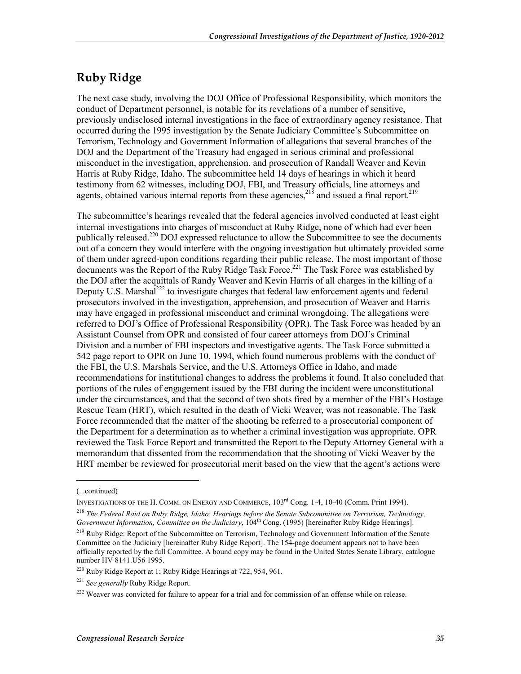### **Ruby Ridge**

The next case study, involving the DOJ Office of Professional Responsibility, which monitors the conduct of Department personnel, is notable for its revelations of a number of sensitive, previously undisclosed internal investigations in the face of extraordinary agency resistance. That occurred during the 1995 investigation by the Senate Judiciary Committee's Subcommittee on Terrorism, Technology and Government Information of allegations that several branches of the DOJ and the Department of the Treasury had engaged in serious criminal and professional misconduct in the investigation, apprehension, and prosecution of Randall Weaver and Kevin Harris at Ruby Ridge, Idaho. The subcommittee held 14 days of hearings in which it heard testimony from 62 witnesses, including DOJ, FBI, and Treasury officials, line attorneys and agents, obtained various internal reports from these agencies,  $^{218}$  and issued a final report.<sup>219</sup>

The subcommittee's hearings revealed that the federal agencies involved conducted at least eight internal investigations into charges of misconduct at Ruby Ridge, none of which had ever been publically released.<sup>220</sup> DOJ expressed reluctance to allow the Subcommittee to see the documents out of a concern they would interfere with the ongoing investigation but ultimately provided some of them under agreed-upon conditions regarding their public release. The most important of those documents was the Report of the Ruby Ridge Task Force.<sup>221</sup> The Task Force was established by the DOJ after the acquittals of Randy Weaver and Kevin Harris of all charges in the killing of a Deputy U.S. Marshal<sup>222</sup> to investigate charges that federal law enforcement agents and federal prosecutors involved in the investigation, apprehension, and prosecution of Weaver and Harris may have engaged in professional misconduct and criminal wrongdoing. The allegations were referred to DOJ's Office of Professional Responsibility (OPR). The Task Force was headed by an Assistant Counsel from OPR and consisted of four career attorneys from DOJ's Criminal Division and a number of FBI inspectors and investigative agents. The Task Force submitted a 542 page report to OPR on June 10, 1994, which found numerous problems with the conduct of the FBI, the U.S. Marshals Service, and the U.S. Attorneys Office in Idaho, and made recommendations for institutional changes to address the problems it found. It also concluded that portions of the rules of engagement issued by the FBI during the incident were unconstitutional under the circumstances, and that the second of two shots fired by a member of the FBI's Hostage Rescue Team (HRT), which resulted in the death of Vicki Weaver, was not reasonable. The Task Force recommended that the matter of the shooting be referred to a prosecutorial component of the Department for a determination as to whether a criminal investigation was appropriate. OPR reviewed the Task Force Report and transmitted the Report to the Deputy Attorney General with a memorandum that dissented from the recommendation that the shooting of Vicki Weaver by the HRT member be reviewed for prosecutorial merit based on the view that the agent's actions were

 $\overline{\phantom{a}}$ 

<sup>(...</sup>continued)

INVESTIGATIONS OF THE H. COMM. ON ENERGY AND COMMERCE,  $103<sup>rd</sup>$  Cong. 1-4, 10-40 (Comm. Print 1994).

<sup>218</sup> *The Federal Raid on Ruby Ridge, Idaho*: *Hearings before the Senate Subcommittee on Terrorism, Technology,*  Government Information, Committee on the Judiciary, 104<sup>th</sup> Cong. (1995) [hereinafter Ruby Ridge Hearings].

<sup>&</sup>lt;sup>219</sup> Ruby Ridge: Report of the Subcommittee on Terrorism, Technology and Government Information of the Senate Committee on the Judiciary [hereinafter Ruby Ridge Report]. The 154-page document appears not to have been officially reported by the full Committee. A bound copy may be found in the United States Senate Library, catalogue number HV 8141.U56 1995.

<sup>220</sup> Ruby Ridge Report at 1; Ruby Ridge Hearings at 722, 954, 961.

<sup>221</sup> *See generally* Ruby Ridge Report.

<sup>&</sup>lt;sup>222</sup> Weaver was convicted for failure to appear for a trial and for commission of an offense while on release.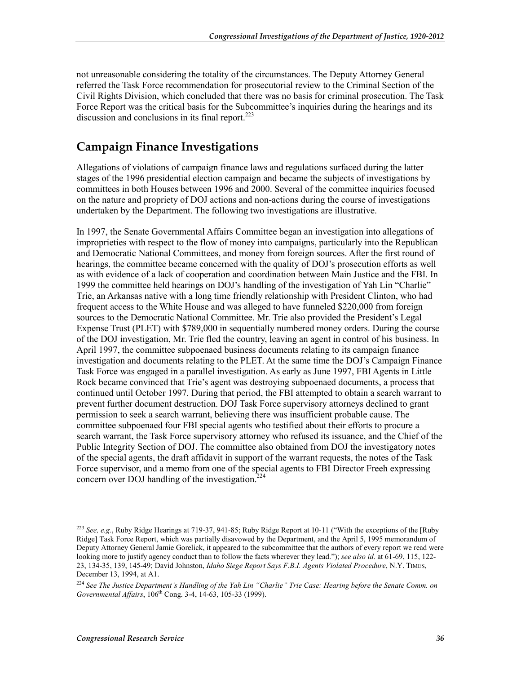not unreasonable considering the totality of the circumstances. The Deputy Attorney General referred the Task Force recommendation for prosecutorial review to the Criminal Section of the Civil Rights Division, which concluded that there was no basis for criminal prosecution. The Task Force Report was the critical basis for the Subcommittee's inquiries during the hearings and its discussion and conclusions in its final report. $223$ 

#### **Campaign Finance Investigations**

Allegations of violations of campaign finance laws and regulations surfaced during the latter stages of the 1996 presidential election campaign and became the subjects of investigations by committees in both Houses between 1996 and 2000. Several of the committee inquiries focused on the nature and propriety of DOJ actions and non-actions during the course of investigations undertaken by the Department. The following two investigations are illustrative.

In 1997, the Senate Governmental Affairs Committee began an investigation into allegations of improprieties with respect to the flow of money into campaigns, particularly into the Republican and Democratic National Committees, and money from foreign sources. After the first round of hearings, the committee became concerned with the quality of DOJ's prosecution efforts as well as with evidence of a lack of cooperation and coordination between Main Justice and the FBI. In 1999 the committee held hearings on DOJ's handling of the investigation of Yah Lin "Charlie" Trie, an Arkansas native with a long time friendly relationship with President Clinton, who had frequent access to the White House and was alleged to have funneled \$220,000 from foreign sources to the Democratic National Committee. Mr. Trie also provided the President's Legal Expense Trust (PLET) with \$789,000 in sequentially numbered money orders. During the course of the DOJ investigation, Mr. Trie fled the country, leaving an agent in control of his business. In April 1997, the committee subpoenaed business documents relating to its campaign finance investigation and documents relating to the PLET. At the same time the DOJ's Campaign Finance Task Force was engaged in a parallel investigation. As early as June 1997, FBI Agents in Little Rock became convinced that Trie's agent was destroying subpoenaed documents, a process that continued until October 1997. During that period, the FBI attempted to obtain a search warrant to prevent further document destruction. DOJ Task Force supervisory attorneys declined to grant permission to seek a search warrant, believing there was insufficient probable cause. The committee subpoenaed four FBI special agents who testified about their efforts to procure a search warrant, the Task Force supervisory attorney who refused its issuance, and the Chief of the Public Integrity Section of DOJ. The committee also obtained from DOJ the investigatory notes of the special agents, the draft affidavit in support of the warrant requests, the notes of the Task Force supervisor, and a memo from one of the special agents to FBI Director Freeh expressing concern over DOJ handling of the investigation. $224$ 

<sup>1</sup> <sup>223</sup> *See, e.g.*, Ruby Ridge Hearings at 719-37, 941-85; Ruby Ridge Report at 10-11 ("With the exceptions of the [Ruby Ridge] Task Force Report, which was partially disavowed by the Department, and the April 5, 1995 memorandum of Deputy Attorney General Jamie Gorelick, it appeared to the subcommittee that the authors of every report we read were looking more to justify agency conduct than to follow the facts wherever they lead."); *see also id*. at 61-69, 115, 122- 23, 134-35, 139, 145-49; David Johnston, *Idaho Siege Report Says F.B.I. Agents Violated Procedure*, N.Y. TIMES, December 13, 1994, at A1.

<sup>224</sup> *See The Justice Department's Handling of the Yah Lin "Charlie" Trie Case: Hearing before the Senate Comm. on Governmental Affairs*, 106<sup>th</sup> Cong. 3-4, 14-63, 105-33 (1999).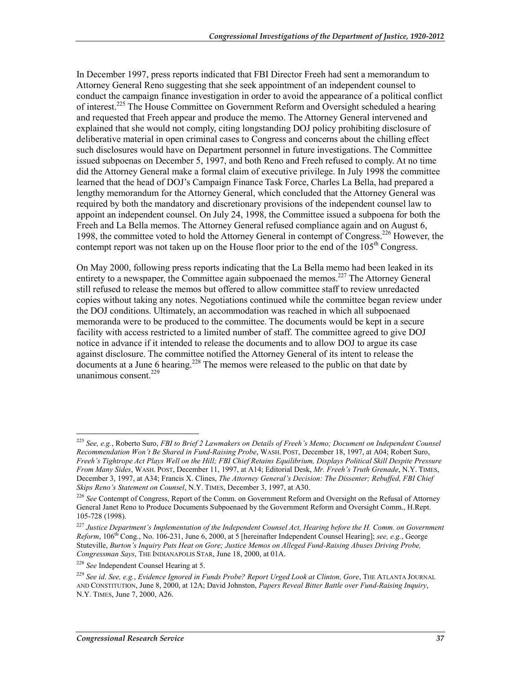In December 1997, press reports indicated that FBI Director Freeh had sent a memorandum to Attorney General Reno suggesting that she seek appointment of an independent counsel to conduct the campaign finance investigation in order to avoid the appearance of a political conflict of interest.<sup>225</sup> The House Committee on Government Reform and Oversight scheduled a hearing and requested that Freeh appear and produce the memo. The Attorney General intervened and explained that she would not comply, citing longstanding DOJ policy prohibiting disclosure of deliberative material in open criminal cases to Congress and concerns about the chilling effect such disclosures would have on Department personnel in future investigations. The Committee issued subpoenas on December 5, 1997, and both Reno and Freeh refused to comply. At no time did the Attorney General make a formal claim of executive privilege. In July 1998 the committee learned that the head of DOJ's Campaign Finance Task Force, Charles La Bella, had prepared a lengthy memorandum for the Attorney General, which concluded that the Attorney General was required by both the mandatory and discretionary provisions of the independent counsel law to appoint an independent counsel. On July 24, 1998, the Committee issued a subpoena for both the Freeh and La Bella memos. The Attorney General refused compliance again and on August 6, 1998, the committee voted to hold the Attorney General in contempt of Congress.226 However, the contempt report was not taken up on the House floor prior to the end of the  $105<sup>th</sup>$  Congress.

On May 2000, following press reports indicating that the La Bella memo had been leaked in its entirety to a newspaper, the Committee again subpoenaed the memos.<sup>227</sup> The Attorney General still refused to release the memos but offered to allow committee staff to review unredacted copies without taking any notes. Negotiations continued while the committee began review under the DOJ conditions. Ultimately, an accommodation was reached in which all subpoenaed memoranda were to be produced to the committee. The documents would be kept in a secure facility with access restricted to a limited number of staff. The committee agreed to give DOJ notice in advance if it intended to release the documents and to allow DOJ to argue its case against disclosure. The committee notified the Attorney General of its intent to release the  $\alpha$  documents at a June 6 hearing.<sup>228</sup> The memos were released to the public on that date by unanimous consent.<sup>229</sup>

<sup>225</sup> *See, e.g.*, Roberto Suro, *FBI to Brief 2 Lawmakers on Details of Freeh's Memo; Document on Independent Counsel Recommendation Won't Be Shared in Fund-Raising Probe*, WASH. POST, December 18, 1997, at A04; Robert Suro, *Freeh's Tightrope Act Plays Well on the Hill; FBI Chief Retains Equilibrium, Displays Political Skill Despite Pressure From Many Sides*, WASH. POST, December 11, 1997, at A14; Editorial Desk, *Mr. Freeh's Truth Grenade*, N.Y. TIMES, December 3, 1997, at A34; Francis X. Clines, *The Attorney General's Decision: The Dissenter; Rebuffed, FBI Chief Skips Reno's Statement on Counsel*, N.Y. TIMES, December 3, 1997, at A30.

<sup>226</sup> *See* Contempt of Congress, Report of the Comm. on Government Reform and Oversight on the Refusal of Attorney General Janet Reno to Produce Documents Subpoenaed by the Government Reform and Oversight Comm., H.Rept. 105-728 (1998).

<sup>227</sup> *Justice Department's Implementation of the Independent Counsel Act, Hearing before the H. Comm. on Government Reform*, 106th Cong., No. 106-231, June 6, 2000, at 5 [hereinafter Independent Counsel Hearing]; *see, e.g.*, George Stuteville, *Burton's Inquiry Puts Heat on Gore; Justice Memos on Alleged Fund-Raising Abuses Driving Probe, Congressman Says*, THE INDIANAPOLIS STAR, June 18, 2000, at 01A.

<sup>228</sup> *See* Independent Counsel Hearing at 5.

<sup>229</sup> *See id*. *See, e.g.*, *Evidence Ignored in Funds Probe? Report Urged Look at Clinton, Gore*, THE ATLANTA JOURNAL AND CONSTITUTION, June 8, 2000, at 12A; David Johnston, *Papers Reveal Bitter Battle over Fund-Raising Inquiry*, N.Y. TIMES, June 7, 2000, A26.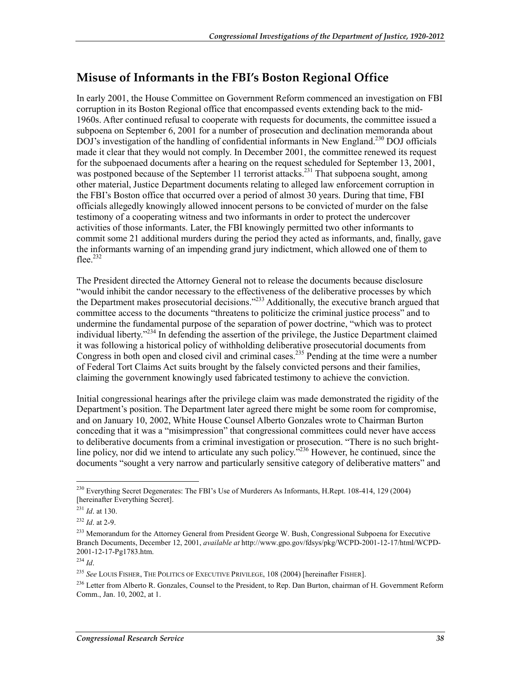#### **Misuse of Informants in the FBI's Boston Regional Office**

In early 2001, the House Committee on Government Reform commenced an investigation on FBI corruption in its Boston Regional office that encompassed events extending back to the mid-1960s. After continued refusal to cooperate with requests for documents, the committee issued a subpoena on September 6, 2001 for a number of prosecution and declination memoranda about DOJ's investigation of the handling of confidential informants in New England.<sup>230</sup> DOJ officials made it clear that they would not comply. In December 2001, the committee renewed its request for the subpoenaed documents after a hearing on the request scheduled for September 13, 2001, was postponed because of the September 11 terrorist attacks.<sup>231</sup> That subpoena sought, among other material, Justice Department documents relating to alleged law enforcement corruption in the FBI's Boston office that occurred over a period of almost 30 years. During that time, FBI officials allegedly knowingly allowed innocent persons to be convicted of murder on the false testimony of a cooperating witness and two informants in order to protect the undercover activities of those informants. Later, the FBI knowingly permitted two other informants to commit some 21 additional murders during the period they acted as informants, and, finally, gave the informants warning of an impending grand jury indictment, which allowed one of them to flee. $232$ 

The President directed the Attorney General not to release the documents because disclosure "would inhibit the candor necessary to the effectiveness of the deliberative processes by which the Department makes prosecutorial decisions."<sup>233</sup> Additionally, the executive branch argued that committee access to the documents "threatens to politicize the criminal justice process" and to undermine the fundamental purpose of the separation of power doctrine, "which was to protect individual liberty."234 In defending the assertion of the privilege, the Justice Department claimed it was following a historical policy of withholding deliberative prosecutorial documents from Congress in both open and closed civil and criminal cases.<sup>235</sup> Pending at the time were a number of Federal Tort Claims Act suits brought by the falsely convicted persons and their families, claiming the government knowingly used fabricated testimony to achieve the conviction.

Initial congressional hearings after the privilege claim was made demonstrated the rigidity of the Department's position. The Department later agreed there might be some room for compromise, and on January 10, 2002, White House Counsel Alberto Gonzales wrote to Chairman Burton conceding that it was a "misimpression" that congressional committees could never have access to deliberative documents from a criminal investigation or prosecution. "There is no such brightline policy, nor did we intend to articulate any such policy.<sup>5236</sup> However, he continued, since the documents "sought a very narrow and particularly sensitive category of deliberative matters" and

<sup>&</sup>lt;u>.</u> <sup>230</sup> Everything Secret Degenerates: The FBI's Use of Murderers As Informants, H.Rept. 108-414, 129 (2004) [hereinafter Everything Secret].

<sup>231</sup> *Id*. at 130.

<sup>232</sup> *Id*. at 2-9.

<sup>&</sup>lt;sup>233</sup> Memorandum for the Attorney General from President George W. Bush, Congressional Subpoena for Executive Branch Documents, December 12, 2001, *available at* http://www.gpo.gov/fdsys/pkg/WCPD-2001-12-17/html/WCPD-2001-12-17-Pg1783.htm.

<sup>234</sup> *Id*.

<sup>&</sup>lt;sup>235</sup> See LOUIS FISHER, THE POLITICS OF EXECUTIVE PRIVILEGE, 108 (2004) [hereinafter FISHER].

<sup>&</sup>lt;sup>236</sup> Letter from Alberto R. Gonzales, Counsel to the President, to Rep. Dan Burton, chairman of H. Government Reform Comm., Jan. 10, 2002, at 1.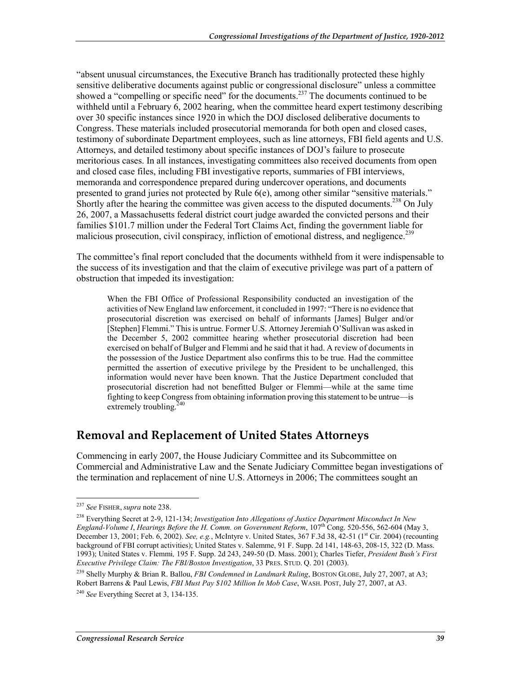"absent unusual circumstances, the Executive Branch has traditionally protected these highly sensitive deliberative documents against public or congressional disclosure" unless a committee showed a "compelling or specific need" for the documents.<sup>237</sup> The documents continued to be withheld until a February 6, 2002 hearing, when the committee heard expert testimony describing over 30 specific instances since 1920 in which the DOJ disclosed deliberative documents to Congress. These materials included prosecutorial memoranda for both open and closed cases, testimony of subordinate Department employees, such as line attorneys, FBI field agents and U.S. Attorneys, and detailed testimony about specific instances of DOJ's failure to prosecute meritorious cases. In all instances, investigating committees also received documents from open and closed case files, including FBI investigative reports, summaries of FBI interviews, memoranda and correspondence prepared during undercover operations, and documents presented to grand juries not protected by Rule 6(e), among other similar "sensitive materials." Shortly after the hearing the committee was given access to the disputed documents.<sup>238</sup> On July 26, 2007, a Massachusetts federal district court judge awarded the convicted persons and their families \$101.7 million under the Federal Tort Claims Act, finding the government liable for malicious prosecution, civil conspiracy, infliction of emotional distress, and negligence.<sup>239</sup>

The committee's final report concluded that the documents withheld from it were indispensable to the success of its investigation and that the claim of executive privilege was part of a pattern of obstruction that impeded its investigation:

When the FBI Office of Professional Responsibility conducted an investigation of the activities of New England law enforcement, it concluded in 1997: "There is no evidence that prosecutorial discretion was exercised on behalf of informants [James] Bulger and/or [Stephen] Flemmi." This is untrue. Former U.S. Attorney Jeremiah O'Sullivan was asked in the December 5, 2002 committee hearing whether prosecutorial discretion had been exercised on behalf of Bulger and Flemmi and he said that it had. A review of documents in the possession of the Justice Department also confirms this to be true. Had the committee permitted the assertion of executive privilege by the President to be unchallenged, this information would never have been known. That the Justice Department concluded that prosecutorial discretion had not benefitted Bulger or Flemmi—while at the same time fighting to keep Congress from obtaining information proving this statement to be untrue—is extremely troubling.<sup>240</sup>

#### **Removal and Replacement of United States Attorneys**

Commencing in early 2007, the House Judiciary Committee and its Subcommittee on Commercial and Administrative Law and the Senate Judiciary Committee began investigations of the termination and replacement of nine U.S. Attorneys in 2006; The committees sought an

<sup>237</sup> *See* FISHER, *supra* note 238.

<sup>238</sup> Everything Secret at 2-9, 121-134; *Investigation Into Allegations of Justice Department Misconduct In New England-Volume I*, *Hearings Before the H. Comm. on Government Reform*, 107th Cong. 520-556, 562-604 (May 3, December 13, 2001; Feb. 6, 2002). *See, e.g.*, McIntyre v. United States, 367 F.3d 38, 42-51 (1<sup>st</sup> Cir. 2004) (recounting background of FBI corrupt activities); United States v. Salemme, 91 F. Supp. 2d 141, 148-63, 208-15, 322 (D. Mass. 1993); United States v. Flemmi*,* 195 F. Supp. 2d 243, 249-50 (D. Mass. 2001); Charles Tiefer, *President Bush's First Executive Privilege Claim: The FBI/Boston Investigation*, 33 PRES. STUD. Q. 201 (2003).

<sup>&</sup>lt;sup>239</sup> Shelly Murphy & Brian R. Ballou, *FBI Condemned in Landmark Ruling*, BOSTON GLOBE, July 27, 2007, at A3; Robert Barrens & Paul Lewis, *FBI Must Pay \$102 Million In Mob Case*, WASH. POST, July 27, 2007, at A3.

<sup>240</sup> *See* Everything Secret at 3, 134-135.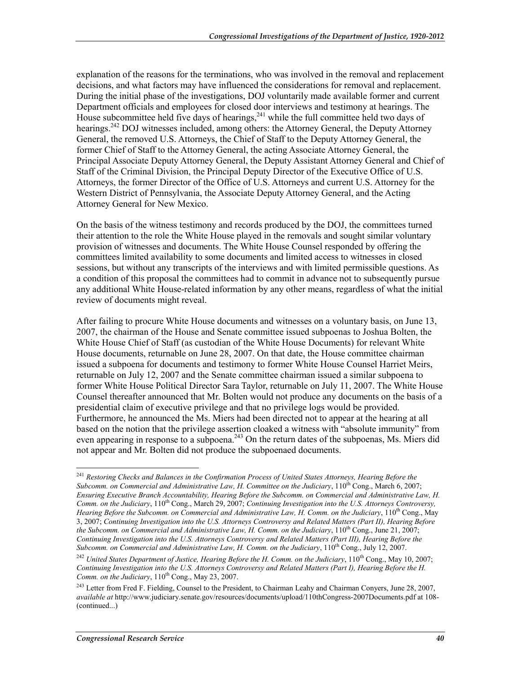explanation of the reasons for the terminations, who was involved in the removal and replacement decisions, and what factors may have influenced the considerations for removal and replacement. During the initial phase of the investigations, DOJ voluntarily made available former and current Department officials and employees for closed door interviews and testimony at hearings. The House subcommittee held five days of hearings,  $^{241}$  while the full committee held two days of hearings.<sup>242</sup> DOJ witnesses included, among others: the Attorney General, the Deputy Attorney General, the removed U.S. Attorneys, the Chief of Staff to the Deputy Attorney General, the former Chief of Staff to the Attorney General, the acting Associate Attorney General, the Principal Associate Deputy Attorney General, the Deputy Assistant Attorney General and Chief of Staff of the Criminal Division, the Principal Deputy Director of the Executive Office of U.S. Attorneys, the former Director of the Office of U.S. Attorneys and current U.S. Attorney for the Western District of Pennsylvania, the Associate Deputy Attorney General, and the Acting Attorney General for New Mexico.

On the basis of the witness testimony and records produced by the DOJ, the committees turned their attention to the role the White House played in the removals and sought similar voluntary provision of witnesses and documents. The White House Counsel responded by offering the committees limited availability to some documents and limited access to witnesses in closed sessions, but without any transcripts of the interviews and with limited permissible questions. As a condition of this proposal the committees had to commit in advance not to subsequently pursue any additional White House-related information by any other means, regardless of what the initial review of documents might reveal.

After failing to procure White House documents and witnesses on a voluntary basis, on June 13, 2007, the chairman of the House and Senate committee issued subpoenas to Joshua Bolten, the White House Chief of Staff (as custodian of the White House Documents) for relevant White House documents, returnable on June 28, 2007. On that date, the House committee chairman issued a subpoena for documents and testimony to former White House Counsel Harriet Meirs, returnable on July 12, 2007 and the Senate committee chairman issued a similar subpoena to former White House Political Director Sara Taylor, returnable on July 11, 2007. The White House Counsel thereafter announced that Mr. Bolten would not produce any documents on the basis of a presidential claim of executive privilege and that no privilege logs would be provided. Furthermore, he announced the Ms. Miers had been directed not to appear at the hearing at all based on the notion that the privilege assertion cloaked a witness with "absolute immunity" from even appearing in response to a subpoena.<sup>243</sup> On the return dates of the subpoenas, Ms. Miers did not appear and Mr. Bolten did not produce the subpoenaed documents.

<u>.</u>

<sup>241</sup> *Restoring Checks and Balances in the Confirmation Process of United States Attorneys, Hearing Before the Subcomm. on Commercial and Administrative Law, H. Committee on the Judiciary*, 110<sup>th</sup> Cong., March 6, 2007; *Ensuring Executive Branch Accountability, Hearing Before the Subcomm. on Commercial and Administrative Law, H. Comm. on the Judiciary*, 110<sup>th</sup> Cong., March 29, 2007; *Continuing Investigation into the U.S. Attorneys Controversy*, *Hearing Before the Subcomm. on Commercial and Administrative Law, H. Comm. on the Judiciary*, 110th Cong., May 3, 2007; *Continuing Investigation into the U.S. Attorneys Controversy and Related Matters (Part II), Hearing Before the Subcomm. on Commercial and Administrative Law, H. Comm. on the Judiciary*, 110<sup>th</sup> Cong., June 21, 2007; *Continuing Investigation into the U.S. Attorneys Controversy and Related Matters (Part III), Hearing Before the*  Subcomm. on Commercial and Administrative Law, H. Comm. on the Judiciary, 110<sup>th</sup> Cong., July 12, 2007.

<sup>&</sup>lt;sup>242</sup> *United States Department of Justice, Hearing Before the H. Comm. on the Judiciary*, 110<sup>th</sup> Cong., May 10, 2007; *Continuing Investigation into the U.S. Attorneys Controversy and Related Matters (Part I), Hearing Before the H. Comm. on the Judiciary*,  $110^{th}$  Cong., May 23, 2007.

<sup>&</sup>lt;sup>243</sup> Letter from Fred F. Fielding, Counsel to the President, to Chairman Leahy and Chairman Conyers, June 28, 2007, *available at* http://www.judiciary.senate.gov/resources/documents/upload/110thCongress-2007Documents.pdf at 108- (continued...)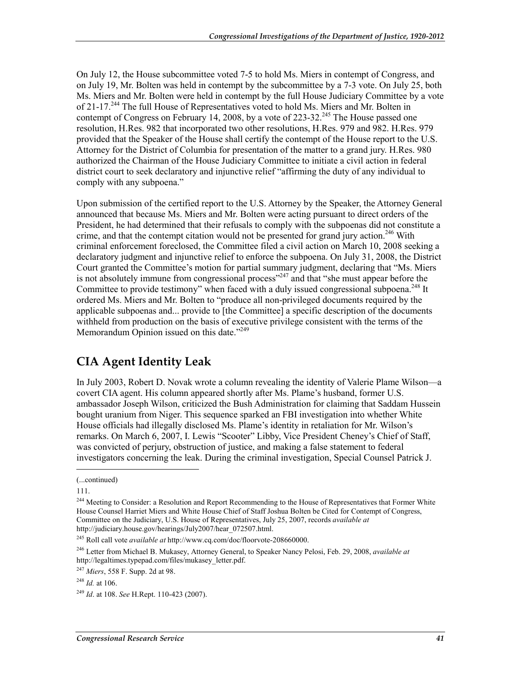On July 12, the House subcommittee voted 7-5 to hold Ms. Miers in contempt of Congress, and on July 19, Mr. Bolten was held in contempt by the subcommittee by a 7-3 vote. On July 25, both Ms. Miers and Mr. Bolten were held in contempt by the full House Judiciary Committee by a vote of 21-17.<sup>244</sup> The full House of Representatives voted to hold Ms. Miers and Mr. Bolten in contempt of Congress on February 14, 2008, by a vote of  $223-32$ <sup>245</sup>. The House passed one resolution, H.Res. 982 that incorporated two other resolutions, H.Res. 979 and 982. H.Res. 979 provided that the Speaker of the House shall certify the contempt of the House report to the U.S. Attorney for the District of Columbia for presentation of the matter to a grand jury. H.Res. 980 authorized the Chairman of the House Judiciary Committee to initiate a civil action in federal district court to seek declaratory and injunctive relief "affirming the duty of any individual to comply with any subpoena."

Upon submission of the certified report to the U.S. Attorney by the Speaker, the Attorney General announced that because Ms. Miers and Mr. Bolten were acting pursuant to direct orders of the President, he had determined that their refusals to comply with the subpoenas did not constitute a crime, and that the contempt citation would not be presented for grand jury action.<sup>246</sup> With criminal enforcement foreclosed, the Committee filed a civil action on March 10, 2008 seeking a declaratory judgment and injunctive relief to enforce the subpoena. On July 31, 2008, the District Court granted the Committee's motion for partial summary judgment, declaring that "Ms. Miers is not absolutely immune from congressional process<sup>"247</sup> and that "she must appear before the Committee to provide testimony" when faced with a duly issued congressional subpoena.<sup>248</sup> It ordered Ms. Miers and Mr. Bolten to "produce all non-privileged documents required by the applicable subpoenas and... provide to [the Committee] a specific description of the documents withheld from production on the basis of executive privilege consistent with the terms of the Memorandum Opinion issued on this date."<sup>249</sup>

### **CIA Agent Identity Leak**

In July 2003, Robert D. Novak wrote a column revealing the identity of Valerie Plame Wilson—a covert CIA agent. His column appeared shortly after Ms. Plame's husband, former U.S. ambassador Joseph Wilson, criticized the Bush Administration for claiming that Saddam Hussein bought uranium from Niger. This sequence sparked an FBI investigation into whether White House officials had illegally disclosed Ms. Plame's identity in retaliation for Mr. Wilson's remarks. On March 6, 2007, I. Lewis "Scooter" Libby, Vice President Cheney's Chief of Staff, was convicted of perjury, obstruction of justice, and making a false statement to federal investigators concerning the leak. During the criminal investigation, Special Counsel Patrick J.

<sup>(...</sup>continued)

<sup>111.</sup> 

<sup>&</sup>lt;sup>244</sup> Meeting to Consider: a Resolution and Report Recommending to the House of Representatives that Former White House Counsel Harriet Miers and White House Chief of Staff Joshua Bolten be Cited for Contempt of Congress, Committee on the Judiciary, U.S. House of Representatives, July 25, 2007, records *available at*  http://judiciary.house.gov/hearings/July2007/hear\_072507.html.

<sup>245</sup> Roll call vote *available at* http://www.cq.com/doc/floorvote-208660000.

<sup>246</sup> Letter from Michael B. Mukasey, Attorney General, to Speaker Nancy Pelosi, Feb. 29, 2008, *available at* http://legaltimes.typepad.com/files/mukasey\_letter.pdf.

<sup>247</sup> *Miers*, 558 F. Supp. 2d at 98.

 $^{248}$  *Id.* at 106.

<sup>249</sup> *Id*. at 108. *See* H.Rept. 110-423 (2007).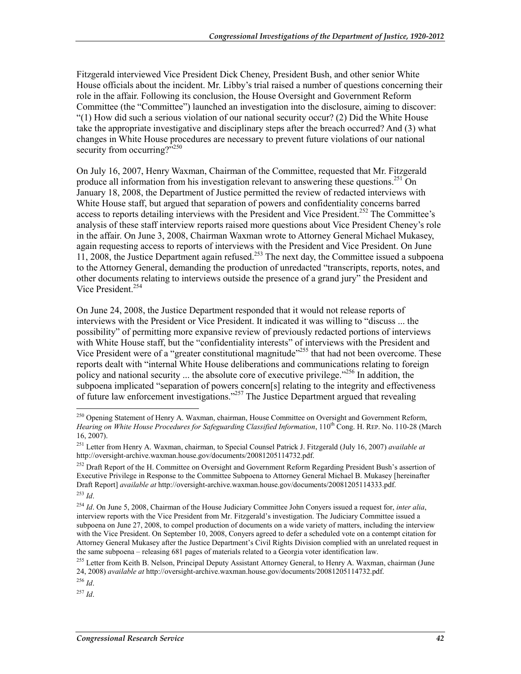Fitzgerald interviewed Vice President Dick Cheney, President Bush, and other senior White House officials about the incident. Mr. Libby's trial raised a number of questions concerning their role in the affair. Following its conclusion, the House Oversight and Government Reform Committee (the "Committee") launched an investigation into the disclosure, aiming to discover: "(1) How did such a serious violation of our national security occur? (2) Did the White House take the appropriate investigative and disciplinary steps after the breach occurred? And (3) what changes in White House procedures are necessary to prevent future violations of our national security from occurring? $\mathbb{R}^{25250}$ 

On July 16, 2007, Henry Waxman, Chairman of the Committee, requested that Mr. Fitzgerald produce all information from his investigation relevant to answering these questions.<sup>251</sup> On January 18, 2008, the Department of Justice permitted the review of redacted interviews with White House staff, but argued that separation of powers and confidentiality concerns barred access to reports detailing interviews with the President and Vice President.<sup>252</sup> The Committee's analysis of these staff interview reports raised more questions about Vice President Cheney's role in the affair. On June 3, 2008, Chairman Waxman wrote to Attorney General Michael Mukasey, again requesting access to reports of interviews with the President and Vice President. On June 11, 2008, the Justice Department again refused.<sup>253</sup> The next day, the Committee issued a subpoena to the Attorney General, demanding the production of unredacted "transcripts, reports, notes, and other documents relating to interviews outside the presence of a grand jury" the President and Vice President.<sup>254</sup>

On June 24, 2008, the Justice Department responded that it would not release reports of interviews with the President or Vice President. It indicated it was willing to "discuss ... the possibility" of permitting more expansive review of previously redacted portions of interviews with White House staff, but the "confidentiality interests" of interviews with the President and Vice President were of a "greater constitutional magnitude"<sup>255</sup> that had not been overcome. These reports dealt with "internal White House deliberations and communications relating to foreign policy and national security ... the absolute core of executive privilege.<sup>2256</sup> In addition, the subpoena implicated "separation of powers concern[s] relating to the integrity and effectiveness of future law enforcement investigations."<sup>257</sup> The Justice Department argued that revealing

<sup>257</sup> *Id*.

<sup>&</sup>lt;u>.</u> <sup>250</sup> Opening Statement of Henry A. Waxman, chairman, House Committee on Oversight and Government Reform, *Hearing on White House Procedures for Safeguarding Classified Information*, 110<sup>th</sup> Cong. H. REP. No. 110-28 (March 16, 2007).

<sup>251</sup> Letter from Henry A. Waxman, chairman, to Special Counsel Patrick J. Fitzgerald (July 16, 2007) *available at* http://oversight-archive.waxman.house.gov/documents/20081205114732.pdf.

<sup>&</sup>lt;sup>252</sup> Draft Report of the H. Committee on Oversight and Government Reform Regarding President Bush's assertion of Executive Privilege in Response to the Committee Subpoena to Attorney General Michael B. Mukasey [hereinafter Draft Report] *available at* http://oversight-archive.waxman.house.gov/documents/20081205114333.pdf. <sup>253</sup> *Id*.

<sup>254</sup> *Id*. On June 5, 2008, Chairman of the House Judiciary Committee John Conyers issued a request for, *inter alia*, interview reports with the Vice President from Mr. Fitzgerald's investigation. The Judiciary Committee issued a subpoena on June 27, 2008, to compel production of documents on a wide variety of matters, including the interview with the Vice President. On September 10, 2008, Conyers agreed to defer a scheduled vote on a contempt citation for Attorney General Mukasey after the Justice Department's Civil Rights Division complied with an unrelated request in the same subpoena – releasing 681 pages of materials related to a Georgia voter identification law.

<sup>&</sup>lt;sup>255</sup> Letter from Keith B. Nelson, Principal Deputy Assistant Attorney General, to Henry A. Waxman, chairman (June 24, 2008) *available at* http://oversight-archive.waxman.house.gov/documents/20081205114732.pdf.

<sup>256</sup> *Id*.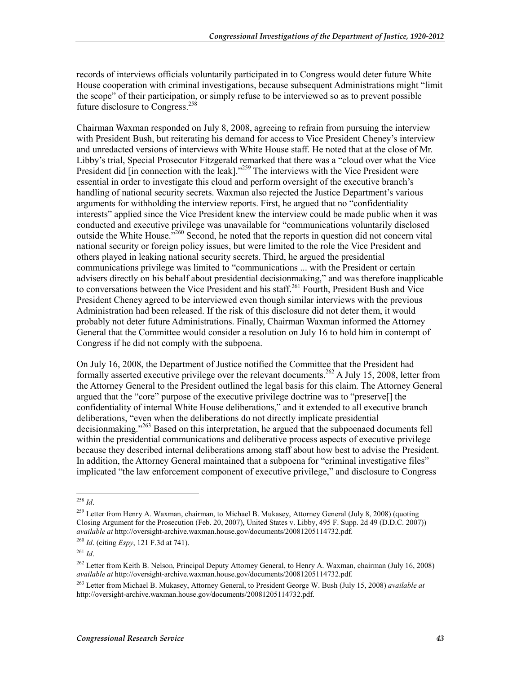records of interviews officials voluntarily participated in to Congress would deter future White House cooperation with criminal investigations, because subsequent Administrations might "limit the scope" of their participation, or simply refuse to be interviewed so as to prevent possible future disclosure to Congress.<sup>258</sup>

Chairman Waxman responded on July 8, 2008, agreeing to refrain from pursuing the interview with President Bush, but reiterating his demand for access to Vice President Cheney's interview and unredacted versions of interviews with White House staff. He noted that at the close of Mr. Libby's trial, Special Prosecutor Fitzgerald remarked that there was a "cloud over what the Vice President did [in connection with the leak]."<sup>259</sup> The interviews with the Vice President were essential in order to investigate this cloud and perform oversight of the executive branch's handling of national security secrets. Waxman also rejected the Justice Department's various arguments for withholding the interview reports. First, he argued that no "confidentiality interests" applied since the Vice President knew the interview could be made public when it was conducted and executive privilege was unavailable for "communications voluntarily disclosed outside the White House.<sup> $3260$ </sup> Second, he noted that the reports in question did not concern vital national security or foreign policy issues, but were limited to the role the Vice President and others played in leaking national security secrets. Third, he argued the presidential communications privilege was limited to "communications ... with the President or certain advisers directly on his behalf about presidential decisionmaking," and was therefore inapplicable to conversations between the Vice President and his staff.<sup>261</sup> Fourth, President Bush and Vice President Cheney agreed to be interviewed even though similar interviews with the previous Administration had been released. If the risk of this disclosure did not deter them, it would probably not deter future Administrations. Finally, Chairman Waxman informed the Attorney General that the Committee would consider a resolution on July 16 to hold him in contempt of Congress if he did not comply with the subpoena.

On July 16, 2008, the Department of Justice notified the Committee that the President had formally asserted executive privilege over the relevant documents.<sup>262</sup> A July 15, 2008, letter from the Attorney General to the President outlined the legal basis for this claim. The Attorney General argued that the "core" purpose of the executive privilege doctrine was to "preserve[] the confidentiality of internal White House deliberations," and it extended to all executive branch deliberations, "even when the deliberations do not directly implicate presidential decisionmaking."<sup>263</sup> Based on this interpretation, he argued that the subpoenaed documents fell within the presidential communications and deliberative process aspects of executive privilege because they described internal deliberations among staff about how best to advise the President. In addition, the Attorney General maintained that a subpoena for "criminal investigative files" implicated "the law enforcement component of executive privilege," and disclosure to Congress

<sup>1</sup> <sup>258</sup> *Id*.

<sup>&</sup>lt;sup>259</sup> Letter from Henry A. Waxman, chairman, to Michael B. Mukasey, Attorney General (July 8, 2008) (quoting Closing Argument for the Prosecution (Feb. 20, 2007), United States v. Libby, 495 F. Supp. 2d 49 (D.D.C. 2007)) *available at* http://oversight-archive.waxman.house.gov/documents/20081205114732.pdf.

<sup>260</sup> *Id*. (citing *Espy*, 121 F.3d at 741).

<sup>261</sup> *Id*.

<sup>&</sup>lt;sup>262</sup> Letter from Keith B. Nelson, Principal Deputy Attorney General, to Henry A. Waxman, chairman (July 16, 2008) *available at* http://oversight-archive.waxman.house.gov/documents/20081205114732.pdf.

<sup>263</sup> Letter from Michael B. Mukasey, Attorney General, to President George W. Bush (July 15, 2008) *available at* http://oversight-archive.waxman.house.gov/documents/20081205114732.pdf.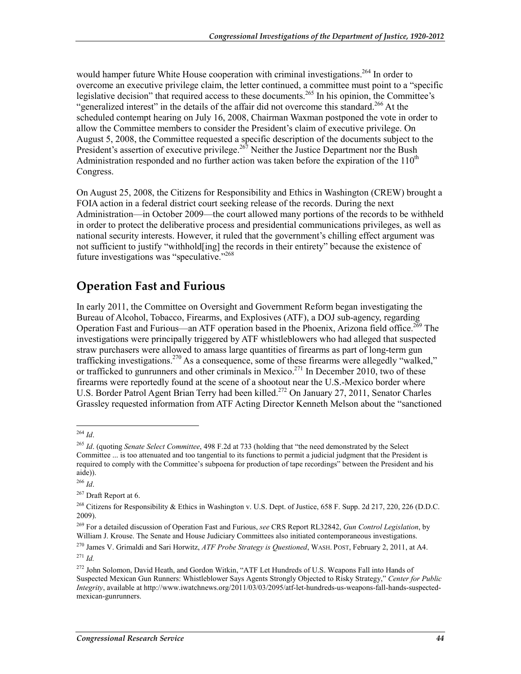would hamper future White House cooperation with criminal investigations.<sup>264</sup> In order to overcome an executive privilege claim, the letter continued, a committee must point to a "specific legislative decision" that required access to these documents.<sup>265</sup> In his opinion, the Committee's "generalized interest" in the details of the affair did not overcome this standard.<sup>266</sup> At the scheduled contempt hearing on July 16, 2008, Chairman Waxman postponed the vote in order to allow the Committee members to consider the President's claim of executive privilege. On August 5, 2008, the Committee requested a specific description of the documents subject to the President's assertion of executive privilege.<sup>267</sup> Neither the Justice Department nor the Bush Administration responded and no further action was taken before the expiration of the  $110<sup>th</sup>$ Congress.

On August 25, 2008, the Citizens for Responsibility and Ethics in Washington (CREW) brought a FOIA action in a federal district court seeking release of the records. During the next Administration—in October 2009—the court allowed many portions of the records to be withheld in order to protect the deliberative process and presidential communications privileges, as well as national security interests. However, it ruled that the government's chilling effect argument was not sufficient to justify "withhold[ing] the records in their entirety" because the existence of future investigations was "speculative."<sup>268</sup>

#### **Operation Fast and Furious**

In early 2011, the Committee on Oversight and Government Reform began investigating the Bureau of Alcohol, Tobacco, Firearms, and Explosives (ATF), a DOJ sub-agency, regarding Operation Fast and Furious—an ATF operation based in the Phoenix, Arizona field office.<sup>269</sup> The investigations were principally triggered by ATF whistleblowers who had alleged that suspected straw purchasers were allowed to amass large quantities of firearms as part of long-term gun trafficking investigations.<sup>270</sup> As a consequence, some of these firearms were allegedly "walked," or trafficked to gunrunners and other criminals in Mexico.<sup>271</sup> In December 2010, two of these firearms were reportedly found at the scene of a shootout near the U.S.-Mexico border where U.S. Border Patrol Agent Brian Terry had been killed.<sup>272</sup> On January 27, 2011, Senator Charles Grassley requested information from ATF Acting Director Kenneth Melson about the "sanctioned

<sup>264</sup> *Id*.

<sup>265</sup> *Id*. (quoting *Senate Select Committee*, 498 F.2d at 733 (holding that "the need demonstrated by the Select Committee ... is too attenuated and too tangential to its functions to permit a judicial judgment that the President is required to comply with the Committee's subpoena for production of tape recordings" between the President and his aide)).

<sup>266</sup> *Id*.

<sup>267</sup> Draft Report at 6.

<sup>268</sup> Citizens for Responsibility & Ethics in Washington v. U.S. Dept. of Justice, 658 F. Supp. 2d 217, 220, 226 (D.D.C. 2009).

<sup>269</sup> For a detailed discussion of Operation Fast and Furious, *see* CRS Report RL32842, *Gun Control Legislation*, by William J. Krouse. The Senate and House Judiciary Committees also initiated contemporaneous investigations.

<sup>270</sup> James V. Grimaldi and Sari Horwitz, *ATF Probe Strategy is Questioned*, WASH. POST, February 2, 2011, at A4. <sup>271</sup> *Id.*

<sup>&</sup>lt;sup>272</sup> John Solomon, David Heath, and Gordon Witkin, "ATF Let Hundreds of U.S. Weapons Fall into Hands of Suspected Mexican Gun Runners: Whistleblower Says Agents Strongly Objected to Risky Strategy," *Center for Public Integrity*, available at http://www.iwatchnews.org/2011/03/03/2095/atf-let-hundreds-us-weapons-fall-hands-suspectedmexican-gunrunners.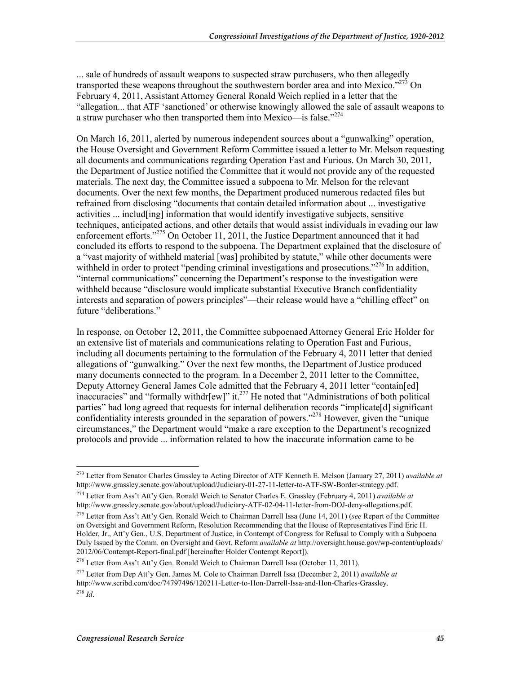... sale of hundreds of assault weapons to suspected straw purchasers, who then allegedly transported these weapons throughout the southwestern border area and into Mexico."<sup>273</sup> On February 4, 2011, Assistant Attorney General Ronald Weich replied in a letter that the "allegation... that ATF 'sanctioned' or otherwise knowingly allowed the sale of assault weapons to a straw purchaser who then transported them into Mexico—is false. $1274$ 

On March 16, 2011, alerted by numerous independent sources about a "gunwalking" operation, the House Oversight and Government Reform Committee issued a letter to Mr. Melson requesting all documents and communications regarding Operation Fast and Furious. On March 30, 2011, the Department of Justice notified the Committee that it would not provide any of the requested materials. The next day, the Committee issued a subpoena to Mr. Melson for the relevant documents. Over the next few months, the Department produced numerous redacted files but refrained from disclosing "documents that contain detailed information about ... investigative activities ... includ[ing] information that would identify investigative subjects, sensitive techniques, anticipated actions, and other details that would assist individuals in evading our law enforcement efforts."<sup>275</sup> On October 11, 2011, the Justice Department announced that it had concluded its efforts to respond to the subpoena. The Department explained that the disclosure of a "vast majority of withheld material [was] prohibited by statute," while other documents were withheld in order to protect "pending criminal investigations and prosecutions."<sup>276</sup> In addition. "internal communications" concerning the Department's response to the investigation were withheld because "disclosure would implicate substantial Executive Branch confidentiality interests and separation of powers principles"—their release would have a "chilling effect" on future "deliberations"

In response, on October 12, 2011, the Committee subpoenaed Attorney General Eric Holder for an extensive list of materials and communications relating to Operation Fast and Furious, including all documents pertaining to the formulation of the February 4, 2011 letter that denied allegations of "gunwalking." Over the next few months, the Department of Justice produced many documents connected to the program. In a December 2, 2011 letter to the Committee, Deputy Attorney General James Cole admitted that the February 4, 2011 letter "contain[ed] inaccuracies" and "formally withdr[ew]" it.<sup>277</sup> He noted that "Administrations of both political parties" had long agreed that requests for internal deliberation records "implicate[d] significant confidentiality interests grounded in the separation of powers."<sup>278</sup> However, given the "unique" circumstances," the Department would "make a rare exception to the Department's recognized protocols and provide ... information related to how the inaccurate information came to be

<u>.</u>

<sup>273</sup> Letter from Senator Charles Grassley to Acting Director of ATF Kenneth E. Melson (January 27, 2011) *available at* http://www.grassley.senate.gov/about/upload/Judiciary-01-27-11-letter-to-ATF-SW-Border-strategy.pdf.

<sup>274</sup> Letter from Ass't Att'y Gen. Ronald Weich to Senator Charles E. Grassley (February 4, 2011) *available at* http://www.grassley.senate.gov/about/upload/Judiciary-ATF-02-04-11-letter-from-DOJ-deny-allegations.pdf.

<sup>275</sup> Letter from Ass't Att'y Gen. Ronald Weich to Chairman Darrell Issa (June 14, 2011) (*see* Report of the Committee on Oversight and Government Reform, Resolution Recommending that the House of Representatives Find Eric H. Holder, Jr., Att'y Gen., U.S. Department of Justice, in Contempt of Congress for Refusal to Comply with a Subpoena Duly Issued by the Comm. on Oversight and Govt. Reform *available at* http://oversight.house.gov/wp-content/uploads/ 2012/06/Contempt-Report-final.pdf [hereinafter Holder Contempt Report]).

<sup>&</sup>lt;sup>276</sup> Letter from Ass't Att'y Gen. Ronald Weich to Chairman Darrell Issa (October 11, 2011).

<sup>277</sup> Letter from Dep Att'y Gen. James M. Cole to Chairman Darrell Issa (December 2, 2011) *available at* http://www.scribd.com/doc/74797496/120211-Letter-to-Hon-Darrell-Issa-and-Hon-Charles-Grassley. <sup>278</sup> *Id*.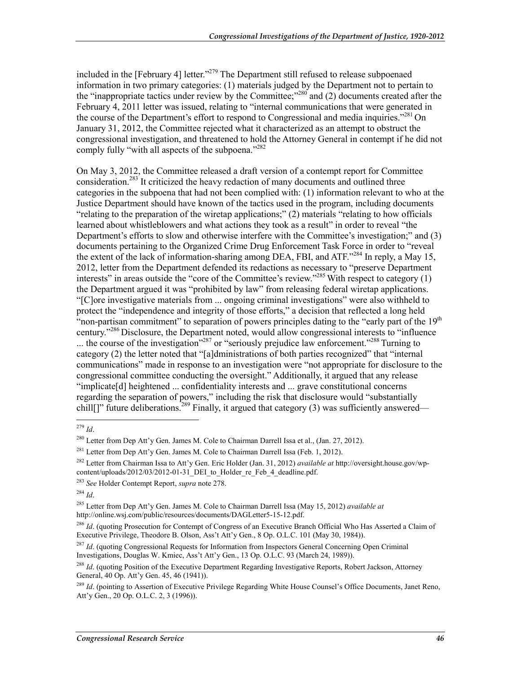included in the  $[February 4]$  letter."<sup>279</sup> The Department still refused to release subpoenaed information in two primary categories: (1) materials judged by the Department not to pertain to the "inappropriate tactics under review by the Committee;"<sup>280</sup> and (2) documents created after the February 4, 2011 letter was issued, relating to "internal communications that were generated in the course of the Department's effort to respond to Congressional and media inquiries."<sup>281</sup> On January 31, 2012, the Committee rejected what it characterized as an attempt to obstruct the congressional investigation, and threatened to hold the Attorney General in contempt if he did not comply fully "with all aspects of the subpoena."<sup>282</sup>

On May 3, 2012, the Committee released a draft version of a contempt report for Committee consideration.<sup>283</sup> It criticized the heavy redaction of many documents and outlined three categories in the subpoena that had not been complied with: (1) information relevant to who at the Justice Department should have known of the tactics used in the program, including documents "relating to the preparation of the wiretap applications;" (2) materials "relating to how officials learned about whistleblowers and what actions they took as a result" in order to reveal "the Department's efforts to slow and otherwise interfere with the Committee's investigation;" and (3) documents pertaining to the Organized Crime Drug Enforcement Task Force in order to "reveal the extent of the lack of information-sharing among DEA, FBI, and ATF."<sup>284</sup> In reply, a May 15, 2012, letter from the Department defended its redactions as necessary to "preserve Department interests" in areas outside the "core of the Committee's review."<sup>285</sup> With respect to category  $(1)$ the Department argued it was "prohibited by law" from releasing federal wiretap applications. "[C]ore investigative materials from ... ongoing criminal investigations" were also withheld to protect the "independence and integrity of those efforts," a decision that reflected a long held "non-partisan commitment" to separation of powers principles dating to the "early part of the 19<sup>th</sup> century."286 Disclosure, the Department noted, would allow congressional interests to "influence ... the course of the investigation"<sup>287</sup> or "seriously prejudice law enforcement."<sup>288</sup> Turning to category (2) the letter noted that "[a]dministrations of both parties recognized" that "internal communications" made in response to an investigation were "not appropriate for disclosure to the congressional committee conducting the oversight." Additionally, it argued that any release "implicate[d] heightened ... confidentiality interests and ... grave constitutional concerns regarding the separation of powers," including the risk that disclosure would "substantially chill[]" future deliberations.<sup>289</sup> Finally, it argued that category (3) was sufficiently answered—

<sup>284</sup> *Id*.

<sup>1</sup> <sup>279</sup> *Id*.

<sup>&</sup>lt;sup>280</sup> Letter from Dep Att'y Gen. James M. Cole to Chairman Darrell Issa et al., (Jan. 27, 2012).

<sup>&</sup>lt;sup>281</sup> Letter from Dep Att'y Gen. James M. Cole to Chairman Darrell Issa (Feb. 1, 2012).

<sup>282</sup> Letter from Chairman Issa to Att'y Gen. Eric Holder (Jan. 31, 2012) *available at* http://oversight.house.gov/wpcontent/uploads/2012/03/2012-01-31\_DEI\_to\_Holder\_re\_Feb\_4\_deadline.pdf.

<sup>283</sup> *See* Holder Contempt Report, *supra* note 278.

<sup>285</sup> Letter from Dep Att'y Gen. James M. Cole to Chairman Darrell Issa (May 15, 2012) *available at* http://online.wsj.com/public/resources/documents/DAGLetter5-15-12.pdf.

<sup>&</sup>lt;sup>286</sup> *Id.* (quoting Prosecution for Contempt of Congress of an Executive Branch Official Who Has Asserted a Claim of Executive Privilege, Theodore B. Olson, Ass't Att'y Gen., 8 Op. O.L.C. 101 (May 30, 1984)).

<sup>&</sup>lt;sup>287</sup> *Id.* (quoting Congressional Requests for Information from Inspectors General Concerning Open Criminal Investigations, Douglas W. Kmiec, Ass't Att'y Gen., 13 Op. O.L.C. 93 (March 24, 1989)).

<sup>&</sup>lt;sup>288</sup> *Id.* (quoting Position of the Executive Department Regarding Investigative Reports, Robert Jackson, Attorney General, 40 Op. Att'y Gen. 45, 46 (1941)).

<sup>&</sup>lt;sup>289</sup> *Id.* (pointing to Assertion of Executive Privilege Regarding White House Counsel's Office Documents, Janet Reno, Att'y Gen., 20 Op. O.L.C. 2, 3 (1996)).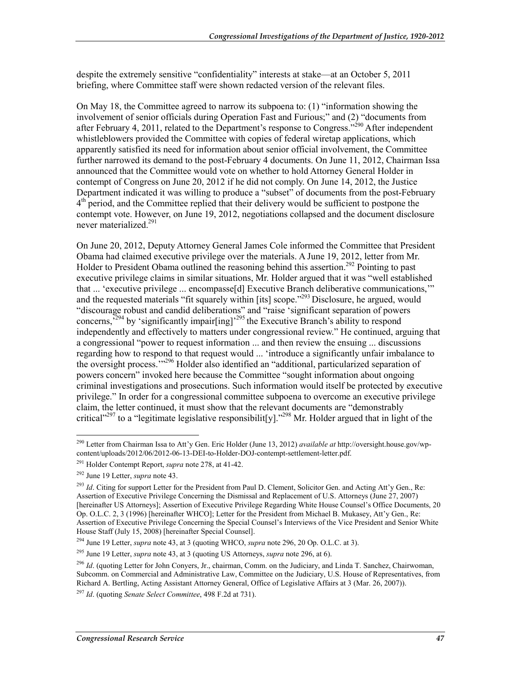despite the extremely sensitive "confidentiality" interests at stake—at an October 5, 2011 briefing, where Committee staff were shown redacted version of the relevant files.

On May 18, the Committee agreed to narrow its subpoena to: (1) "information showing the involvement of senior officials during Operation Fast and Furious;" and (2) "documents from after February 4, 2011, related to the Department's response to Congress.<sup> $2290$ </sup> After independent whistleblowers provided the Committee with copies of federal wiretap applications, which apparently satisfied its need for information about senior official involvement, the Committee further narrowed its demand to the post-February 4 documents. On June 11, 2012, Chairman Issa announced that the Committee would vote on whether to hold Attorney General Holder in contempt of Congress on June 20, 2012 if he did not comply. On June 14, 2012, the Justice Department indicated it was willing to produce a "subset" of documents from the post-February  $4<sup>th</sup>$  period, and the Committee replied that their delivery would be sufficient to postpone the contempt vote. However, on June 19, 2012, negotiations collapsed and the document disclosure never materialized.<sup>291</sup>

On June 20, 2012, Deputy Attorney General James Cole informed the Committee that President Obama had claimed executive privilege over the materials. A June 19, 2012, letter from Mr. Holder to President Obama outlined the reasoning behind this assertion.<sup>292</sup> Pointing to past executive privilege claims in similar situations, Mr. Holder argued that it was "well established that ... 'executive privilege ... encompasse[d] Executive Branch deliberative communications,'" and the requested materials "fit squarely within [its] scope."<sup>293</sup> Disclosure, he argued, would "discourage robust and candid deliberations" and "raise 'significant separation of powers concerns,<sup> $294$ </sup> by 'significantly impair $\left[\text{ing}\right]^{295}$  the Executive Branch's ability to respond independently and effectively to matters under congressional review." He continued, arguing that a congressional "power to request information ... and then review the ensuing ... discussions regarding how to respond to that request would ... 'introduce a significantly unfair imbalance to the oversight process.'"296 Holder also identified an "additional, particularized separation of powers concern" invoked here because the Committee "sought information about ongoing criminal investigations and prosecutions. Such information would itself be protected by executive privilege." In order for a congressional committee subpoena to overcome an executive privilege claim, the letter continued, it must show that the relevant documents are "demonstrably critical"<sup>297</sup> to a "legitimate legislative responsibilit[y]."<sup>298</sup> Mr. Holder argued that in light of the

<sup>&</sup>lt;u>.</u> 290 Letter from Chairman Issa to Att'y Gen. Eric Holder (June 13, 2012) *available at* http://oversight.house.gov/wpcontent/uploads/2012/06/2012-06-13-DEI-to-Holder-DOJ-contempt-settlement-letter.pdf.

<sup>291</sup> Holder Contempt Report, *supra* note 278, at 41-42.

<sup>292</sup> June 19 Letter, *supra* note 43.

<sup>&</sup>lt;sup>293</sup> *Id.* Citing for support Letter for the President from Paul D. Clement, Solicitor Gen. and Acting Att'y Gen., Re: Assertion of Executive Privilege Concerning the Dismissal and Replacement of U.S. Attorneys (June 27, 2007) [hereinafter US Attorneys]; Assertion of Executive Privilege Regarding White House Counsel's Office Documents, 20 Op. O.L.C. 2, 3 (1996) [hereinafter WHCO]; Letter for the President from Michael B. Mukasey, Att'y Gen., Re: Assertion of Executive Privilege Concerning the Special Counsel's Interviews of the Vice President and Senior White House Staff (July 15, 2008) [hereinafter Special Counsel].

<sup>294</sup> June 19 Letter, *supra* note 43, at 3 (quoting WHCO, *supra* note 296, 20 Op. O.L.C. at 3).

<sup>295</sup> June 19 Letter, *supra* note 43, at 3 (quoting US Attorneys, *supra* note 296, at 6).

<sup>296</sup> *Id*. (quoting Letter for John Conyers, Jr., chairman, Comm. on the Judiciary, and Linda T. Sanchez, Chairwoman, Subcomm. on Commercial and Administrative Law, Committee on the Judiciary, U.S. House of Representatives, from Richard A. Bertling, Acting Assistant Attorney General, Office of Legislative Affairs at 3 (Mar. 26, 2007)).

<sup>297</sup> *Id*. (quoting *Senate Select Committee*, 498 F.2d at 731).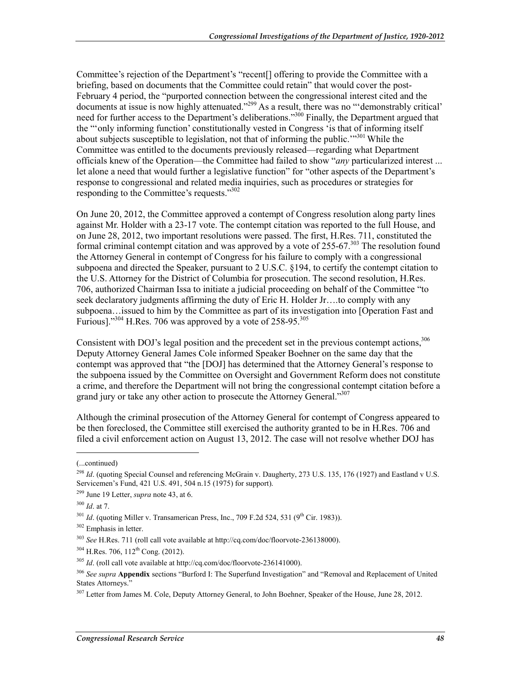Committee's rejection of the Department's "recent[] offering to provide the Committee with a briefing, based on documents that the Committee could retain" that would cover the post-February 4 period, the "purported connection between the congressional interest cited and the documents at issue is now highly attenuated."<sup>299</sup> As a result, there was no "demonstrably critical" need for further access to the Department's deliberations."<sup>300</sup> Finally, the Department argued that the "'only informing function' constitutionally vested in Congress 'is that of informing itself about subjects susceptible to legislation, not that of informing the public."<sup>301</sup> While the Committee was entitled to the documents previously released—regarding what Department officials knew of the Operation—the Committee had failed to show "*any* particularized interest ... let alone a need that would further a legislative function" for "other aspects of the Department's response to congressional and related media inquiries, such as procedures or strategies for responding to the Committee's requests."302

On June 20, 2012, the Committee approved a contempt of Congress resolution along party lines against Mr. Holder with a 23-17 vote. The contempt citation was reported to the full House, and on June 28, 2012, two important resolutions were passed. The first, H.Res. 711, constituted the formal criminal contempt citation and was approved by a vote of 255-67.<sup>303</sup> The resolution found the Attorney General in contempt of Congress for his failure to comply with a congressional subpoena and directed the Speaker, pursuant to 2 U.S.C. §194, to certify the contempt citation to the U.S. Attorney for the District of Columbia for prosecution. The second resolution, H.Res. 706, authorized Chairman Issa to initiate a judicial proceeding on behalf of the Committee "to seek declaratory judgments affirming the duty of Eric H. Holder Jr….to comply with any subpoena…issued to him by the Committee as part of its investigation into [Operation Fast and Furious]." $304$  H.Res. 706 was approved by a vote of 258-95. $305$ 

Consistent with DOJ's legal position and the precedent set in the previous contempt actions,<sup>306</sup> Deputy Attorney General James Cole informed Speaker Boehner on the same day that the contempt was approved that "the [DOJ] has determined that the Attorney General's response to the subpoena issued by the Committee on Oversight and Government Reform does not constitute a crime, and therefore the Department will not bring the congressional contempt citation before a grand jury or take any other action to prosecute the Attorney General."<sup>307</sup>

Although the criminal prosecution of the Attorney General for contempt of Congress appeared to be then foreclosed, the Committee still exercised the authority granted to be in H.Res. 706 and filed a civil enforcement action on August 13, 2012. The case will not resolve whether DOJ has

<sup>(...</sup>continued)

<sup>&</sup>lt;sup>298</sup> *Id.* (quoting Special Counsel and referencing McGrain v. Daugherty, 273 U.S. 135, 176 (1927) and Eastland v U.S. Servicemen's Fund, 421 U.S. 491, 504 n.15 (1975) for support).

<sup>299</sup> June 19 Letter, *supra* note 43, at 6.

<sup>300</sup> *Id*. at 7.

 $301$  *Id.* (quoting Miller v. Transamerican Press, Inc., 709 F.2d 524, 531 (9<sup>th</sup> Cir. 1983)).

<sup>&</sup>lt;sup>302</sup> Emphasis in letter.

<sup>303</sup> *See* H.Res. 711 (roll call vote available at http://cq.com/doc/floorvote-236138000).

<sup>304</sup> H.Res. 706, 112<sup>th</sup> Cong. (2012).

<sup>305</sup> *Id*. (roll call vote available at http://cq.com/doc/floorvote-236141000).

<sup>306</sup> *See supra* **Appendix** sections "Burford I: The Superfund Investigation" and "Removal and Replacement of United States Attorneys."

<sup>&</sup>lt;sup>307</sup> Letter from James M. Cole, Deputy Attorney General, to John Boehner, Speaker of the House, June 28, 2012.